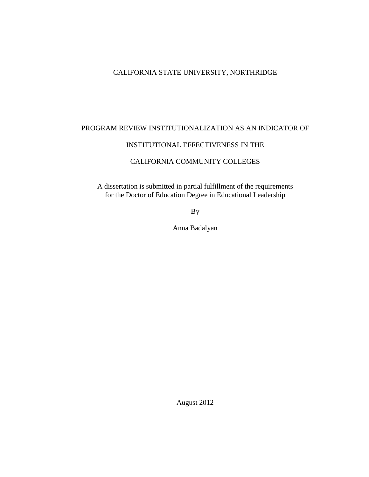# CALIFORNIA STATE UNIVERSITY, NORTHRIDGE

# PROGRAM REVIEW INSTITUTIONALIZATION AS AN INDICATOR OF

# INSTITUTIONAL EFFECTIVENESS IN THE

# CALIFORNIA COMMUNITY COLLEGES

A dissertation is submitted in partial fulfillment of the requirements for the Doctor of Education Degree in Educational Leadership

By

Anna Badalyan

August 2012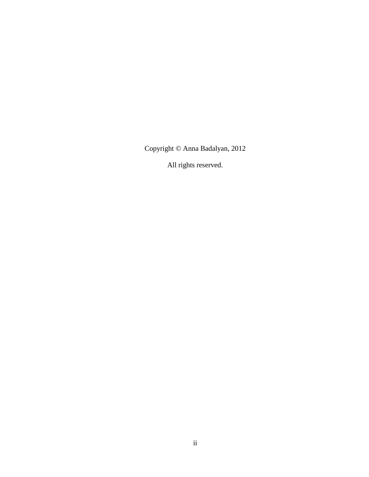Copyright © Anna Badalyan, 2012

All rights reserved.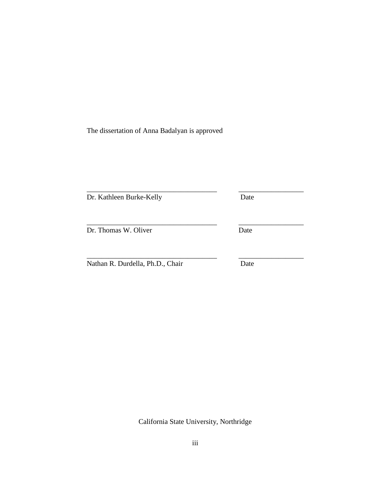The dissertation of Anna Badalyan is approved

| Dr. Kathleen Burke-Kelly         | Date |
|----------------------------------|------|
| Dr. Thomas W. Oliver             | Date |
| Nathan R. Durdella, Ph.D., Chair | Date |

California State University, Northridge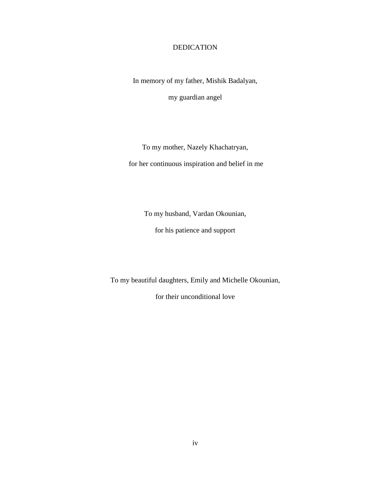# DEDICATION

<span id="page-3-0"></span>In memory of my father, Mishik Badalyan,

my guardian angel

To my mother, Nazely Khachatryan, for her continuous inspiration and belief in me

To my husband, Vardan Okounian,

for his patience and support

To my beautiful daughters, Emily and Michelle Okounian,

for their unconditional love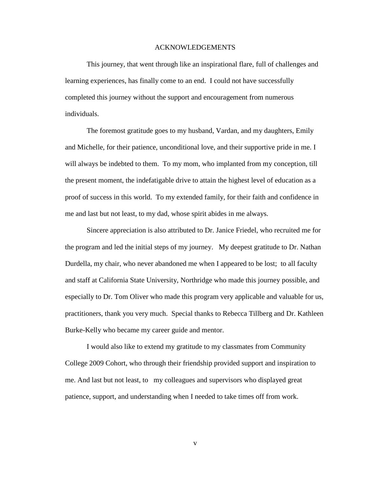#### ACKNOWLEDGEMENTS

<span id="page-4-0"></span>This journey, that went through like an inspirational flare, full of challenges and learning experiences, has finally come to an end. I could not have successfully completed this journey without the support and encouragement from numerous individuals.

The foremost gratitude goes to my husband, Vardan, and my daughters, Emily and Michelle, for their patience, unconditional love, and their supportive pride in me. I will always be indebted to them. To my mom, who implanted from my conception, till the present moment, the indefatigable drive to attain the highest level of education as a proof of success in this world. To my extended family, for their faith and confidence in me and last but not least, to my dad, whose spirit abides in me always.

Sincere appreciation is also attributed to Dr. Janice Friedel, who recruited me for the program and led the initial steps of my journey. My deepest gratitude to Dr. Nathan Durdella, my chair, who never abandoned me when I appeared to be lost; to all faculty and staff at California State University, Northridge who made this journey possible, and especially to Dr. Tom Oliver who made this program very applicable and valuable for us, practitioners, thank you very much. Special thanks to Rebecca Tillberg and Dr. Kathleen Burke-Kelly who became my career guide and mentor.

I would also like to extend my gratitude to my classmates from Community College 2009 Cohort, who through their friendship provided support and inspiration to me. And last but not least, to my colleagues and supervisors who displayed great patience, support, and understanding when I needed to take times off from work.

v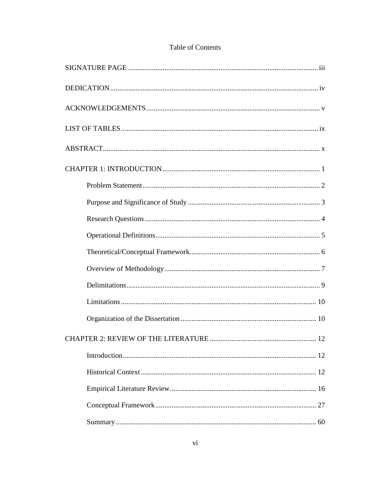# Table of Contents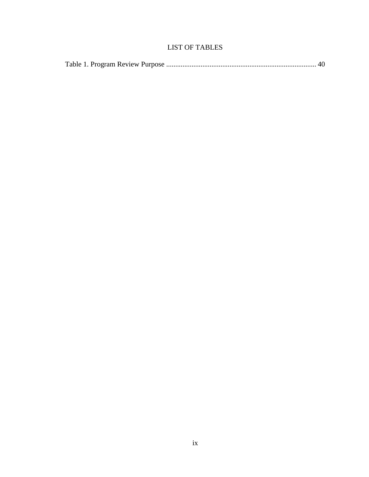# LIST OF TABLES

<span id="page-8-0"></span>

|--|--|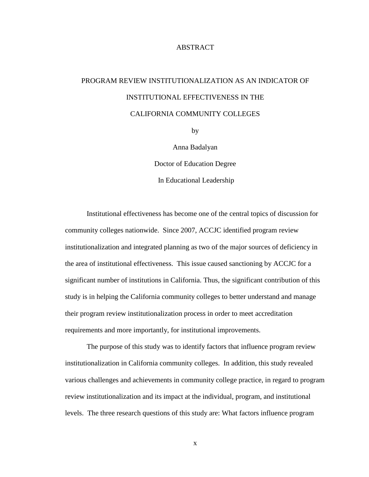# ABSTRACT

# <span id="page-9-0"></span>PROGRAM REVIEW INSTITUTIONALIZATION AS AN INDICATOR OF INSTITUTIONAL EFFECTIVENESS IN THE CALIFORNIA COMMUNITY COLLEGES

by

Anna Badalyan Doctor of Education Degree In Educational Leadership

Institutional effectiveness has become one of the central topics of discussion for community colleges nationwide. Since 2007, ACCJC identified program review institutionalization and integrated planning as two of the major sources of deficiency in the area of institutional effectiveness. This issue caused sanctioning by ACCJC for a significant number of institutions in California. Thus, the significant contribution of this study is in helping the California community colleges to better understand and manage their program review institutionalization process in order to meet accreditation requirements and more importantly, for institutional improvements.

The purpose of this study was to identify factors that influence program review institutionalization in California community colleges. In addition, this study revealed various challenges and achievements in community college practice, in regard to program review institutionalization and its impact at the individual, program, and institutional levels. The three research questions of this study are: What factors influence program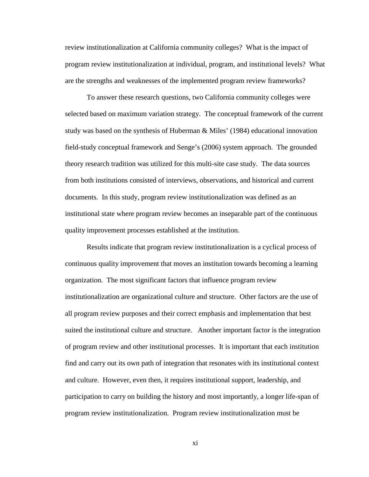review institutionalization at California community colleges? What is the impact of program review institutionalization at individual, program, and institutional levels? What are the strengths and weaknesses of the implemented program review frameworks?

To answer these research questions, two California community colleges were selected based on maximum variation strategy. The conceptual framework of the current study was based on the synthesis of Huberman & Miles' (1984) educational innovation field-study conceptual framework and Senge's (2006) system approach. The grounded theory research tradition was utilized for this multi-site case study. The data sources from both institutions consisted of interviews, observations, and historical and current documents. In this study, program review institutionalization was defined as an institutional state where program review becomes an inseparable part of the continuous quality improvement processes established at the institution.

Results indicate that program review institutionalization is a cyclical process of continuous quality improvement that moves an institution towards becoming a learning organization. The most significant factors that influence program review institutionalization are organizational culture and structure. Other factors are the use of all program review purposes and their correct emphasis and implementation that best suited the institutional culture and structure. Another important factor is the integration of program review and other institutional processes. It is important that each institution find and carry out its own path of integration that resonates with its institutional context and culture. However, even then, it requires institutional support, leadership, and participation to carry on building the history and most importantly, a longer life-span of program review institutionalization. Program review institutionalization must be

xi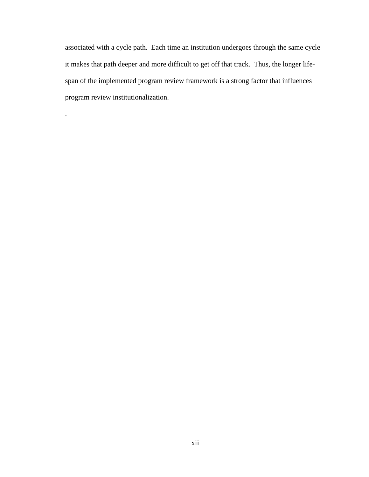associated with a cycle path. Each time an institution undergoes through the same cycle it makes that path deeper and more difficult to get off that track. Thus, the longer lifespan of the implemented program review framework is a strong factor that influences program review institutionalization.

.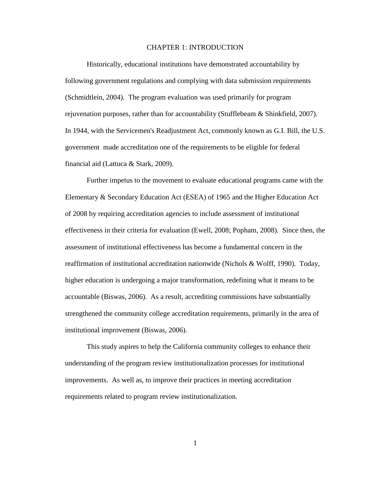#### CHAPTER 1: INTRODUCTION

<span id="page-12-0"></span>Historically, educational institutions have demonstrated accountability by following government regulations and complying with data submission requirements [\(Schmidtlein, 2004\)](#page-181-0). The program evaluation was used primarily for program rejuvenation purposes, rather than for accountability [\(Stufflebeam & Shinkfield, 2007\)](#page-182-0). In 1944, with the Servicemen's Readjustment Act, commonly known as G.I. Bill, the U.S. government made accreditation one of the requirements to be eligible for federal financial aid [\(Lattuca & Stark, 2009\)](#page-179-0).

Further impetus to the movement to evaluate educational programs came with the Elementary & Secondary Education Act (ESEA) of 1965 and the Higher Education Act of 2008 by requiring accreditation agencies to include assessment of institutional effectiveness in their criteria for evaluation [\(Ewell, 2008;](#page-178-0) [Popham, 2008\)](#page-180-0). Since then, the assessment of institutional effectiveness has become a fundamental concern in the reaffirmation of institutional accreditation nationwide [\(Nichols & Wolff, 1990\)](#page-179-1). Today, higher education is undergoing a major transformation, redefining what it means to be accountable [\(Biswas, 2006\)](#page-175-1). As a result, accrediting commissions have substantially strengthened the community college accreditation requirements, primarily in the area of institutional improvement [\(Biswas, 2006\)](#page-175-1).

This study aspires to help the California community colleges to enhance their understanding of the program review institutionalization processes for institutional improvements. As well as, to improve their practices in meeting accreditation requirements related to program review institutionalization.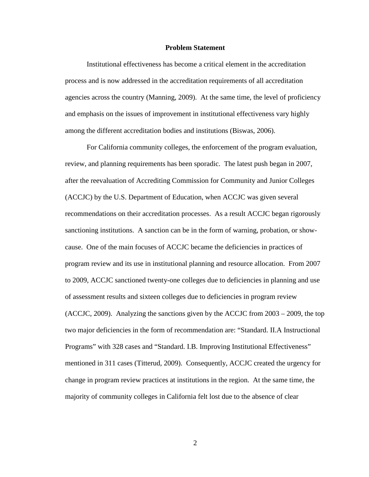#### **Problem Statement**

<span id="page-13-0"></span>Institutional effectiveness has become a critical element in the accreditation process and is now addressed in the accreditation requirements of all accreditation agencies across the country [\(Manning, 2009\)](#page-179-2). At the same time, the level of proficiency and emphasis on the issues of improvement in institutional effectiveness vary highly among the different accreditation bodies and institutions [\(Biswas, 2006\)](#page-175-1).

For California community colleges, the enforcement of the program evaluation, review, and planning requirements has been sporadic. The latest push began in 2007, after the reevaluation of Accrediting Commission for Community and Junior Colleges (ACCJC) by the U.S. Department of Education, when ACCJC was given several recommendations on their accreditation processes. As a result ACCJC began rigorously sanctioning institutions. A sanction can be in the form of warning, probation, or showcause. One of the main focuses of ACCJC became the deficiencies in practices of program review and its use in institutional planning and resource allocation. From 2007 to 2009, ACCJC sanctioned twenty-one colleges due to deficiencies in planning and use of assessment results and sixteen colleges due to deficiencies in program review [\(ACCJC, 2009\)](#page-175-2). Analyzing the sanctions given by the ACCJC from 2003 – 2009, the top two major deficiencies in the form of recommendation are: "Standard. II.A Instructional Programs" with 328 cases and "Standard. I.B. Improving Institutional Effectiveness" mentioned in 311 cases [\(Titterud, 2009\)](#page-182-1). Consequently, ACCJC created the urgency for change in program review practices at institutions in the region. At the same time, the majority of community colleges in California felt lost due to the absence of clear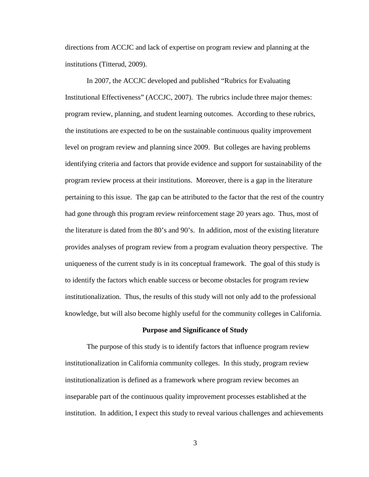directions from ACCJC and lack of expertise on program review and planning at the institutions [\(Titterud, 2009\)](#page-182-1).

In 2007, the ACCJC developed and published "Rubrics for Evaluating Institutional Effectiveness" [\(ACCJC,](#page-175-3) 2007). The rubrics include three major themes: program review, planning, and student learning outcomes. According to these rubrics, the institutions are expected to be on the sustainable continuous quality improvement level on program review and planning since 2009. But colleges are having problems identifying criteria and factors that provide evidence and support for sustainability of the program review process at their institutions. Moreover, there is a gap in the literature pertaining to this issue. The gap can be attributed to the factor that the rest of the country had gone through this program review reinforcement stage 20 years ago. Thus, most of the literature is dated from the 80's and 90's. In addition, most of the existing literature provides analyses of program review from a program evaluation theory perspective. The uniqueness of the current study is in its conceptual framework. The goal of this study is to identify the factors which enable success or become obstacles for program review institutionalization. Thus, the results of this study will not only add to the professional knowledge, but will also become highly useful for the community colleges in California.

#### **Purpose and Significance of Study**

<span id="page-14-0"></span>The purpose of this study is to identify factors that influence program review institutionalization in California community colleges. In this study, program review institutionalization is defined as a framework where program review becomes an inseparable part of the continuous quality improvement processes established at the institution. In addition, I expect this study to reveal various challenges and achievements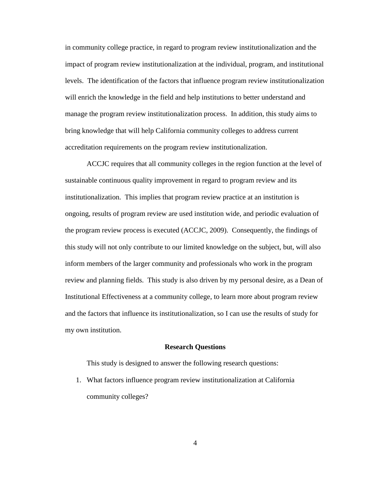in community college practice, in regard to program review institutionalization and the impact of program review institutionalization at the individual, program, and institutional levels. The identification of the factors that influence program review institutionalization will enrich the knowledge in the field and help institutions to better understand and manage the program review institutionalization process. In addition, this study aims to bring knowledge that will help California community colleges to address current accreditation requirements on the program review institutionalization.

ACCJC requires that all community colleges in the region function at the level of sustainable continuous quality improvement in regard to program review and its institutionalization. This implies that program review practice at an institution is ongoing, results of program review are used institution wide, and periodic evaluation of the program review process is executed [\(ACCJC, 2009\)](#page-175-2). Consequently, the findings of this study will not only contribute to our limited knowledge on the subject, but, will also inform members of the larger community and professionals who work in the program review and planning fields. This study is also driven by my personal desire, as a Dean of Institutional Effectiveness at a community college, to learn more about program review and the factors that influence its institutionalization, so I can use the results of study for my own institution.

#### **Research Questions**

<span id="page-15-0"></span>This study is designed to answer the following research questions:

1. What factors influence program review institutionalization at California community colleges?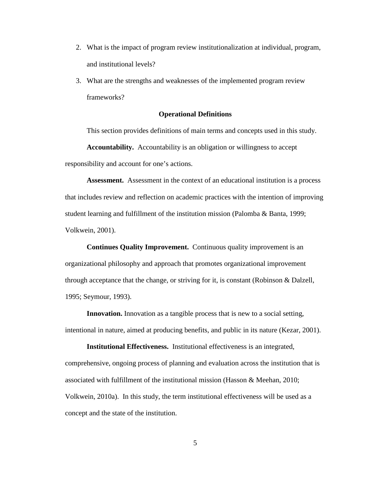- 2. What is the impact of program review institutionalization at individual, program, and institutional levels?
- 3. What are the strengths and weaknesses of the implemented program review frameworks?

## **Operational Definitions**

<span id="page-16-0"></span>This section provides definitions of main terms and concepts used in this study.

**Accountability.** Accountability is an obligation or willingness to accept responsibility and account for one's actions.

**Assessment.** Assessment in the context of an educational institution is a process that includes review and reflection on academic practices with the intention of improving student learning and fulfillment of the institution mission [\(Palomba & Banta, 1999;](#page-180-1) [Volkwein, 2001\)](#page-182-2).

**Continues Quality Improvement.** Continuous quality improvement is an organizational philosophy and approach that promotes organizational improvement through acceptance that the change, or striving for it, is constant [\(Robinson & Dalzell,](#page-180-2)  [1995;](#page-180-2) [Seymour, 1993\)](#page-181-1).

**Innovation.** Innovation as a tangible process that is new to a social setting, intentional in nature, aimed at producing benefits, and public in its nature [\(Kezar, 2001\)](#page-179-3).

**Institutional Effectiveness.** Institutional effectiveness is an integrated, comprehensive, ongoing process of planning and evaluation across the institution that is associated with fulfillment of the institutional mission [\(Hasson & Meehan, 2010;](#page-178-1) [Volkwein, 2010a\)](#page-182-3). In this study, the term institutional effectiveness will be used as a concept and the state of the institution.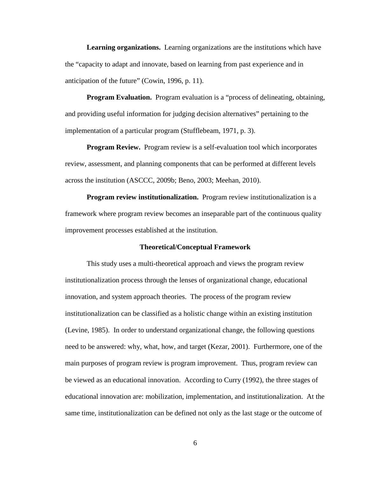**Learning organizations.** Learning organizations are the institutions which have the "capacity to adapt and innovate, based on learning from past experience and in anticipation of the future" (Cowin, 1996, p. 11).

**Program Evaluation.** Program evaluation is a "process of delineating, obtaining, and providing useful information for judging decision alternatives" pertaining to the implementation of a particular program (Stufflebeam, 1971, p. 3).

**Program Review.** Program review is a self-evaluation tool which incorporates review, assessment, and planning components that can be performed at different levels across the institution [\(ASCCC, 2009b;](#page-175-4) [Beno, 2003;](#page-175-5) [Meehan, 2010\)](#page-179-4).

**Program review institutionalization.** Program review institutionalization is a framework where program review becomes an inseparable part of the continuous quality improvement processes established at the institution.

#### **Theoretical/Conceptual Framework**

<span id="page-17-0"></span>This study uses a multi-theoretical approach and views the program review institutionalization process through the lenses of organizational change, educational innovation, and system approach theories. The process of the program review institutionalization can be classified as a holistic change within an existing institution [\(Levine, 1985\)](#page-179-5). In order to understand organizational change, the following questions need to be answered: why, what, how, and target [\(Kezar, 2001\)](#page-179-3). Furthermore, one of the main purposes of program review is program improvement. Thus, program review can be viewed as an educational innovation. According to Curry (1992), the three stages of educational innovation are: mobilization, implementation, and institutionalization. At the same time, institutionalization can be defined not only as the last stage or the outcome of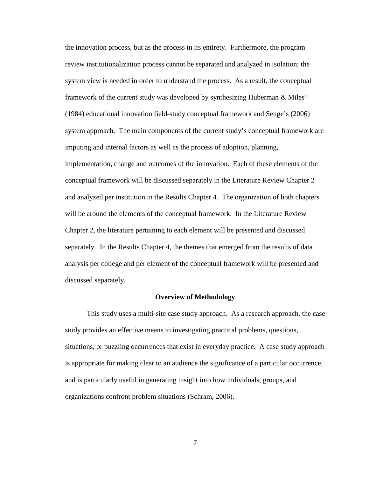the innovation process, but as the process in its entirety. Furthermore, the program review institutionalization process cannot be separated and analyzed in isolation; the system view is needed in order to understand the process. As a result, the conceptual framework of the current study was developed by synthesizing Huberman & Miles' (1984) educational innovation field-study conceptual framework and Senge's (2006) system approach. The main components of the current study's conceptual framework are imputing and internal factors as well as the process of adoption, planning, implementation, change and outcomes of the innovation. Each of these elements of the conceptual framework will be discussed separately in the Literature Review Chapter 2 and analyzed per institution in the Results Chapter 4. The organization of both chapters will be around the elements of the conceptual framework. In the Literature Review Chapter 2, the literature pertaining to each element will be presented and discussed separately. In the Results Chapter 4, the themes that emerged from the results of data analysis per college and per element of the conceptual framework will be presented and discussed separately.

#### **Overview of Methodology**

<span id="page-18-0"></span>This study uses a multi-site case study approach. As a research approach, the case study provides an effective means to investigating practical problems, questions, situations, or puzzling occurrences that exist in everyday practice. A case study approach is appropriate for making clear to an audience the significance of a particular occurrence, and is particularly useful in generating insight into how individuals, groups, and organizations confront problem situations [\(Schram, 2006\)](#page-181-2).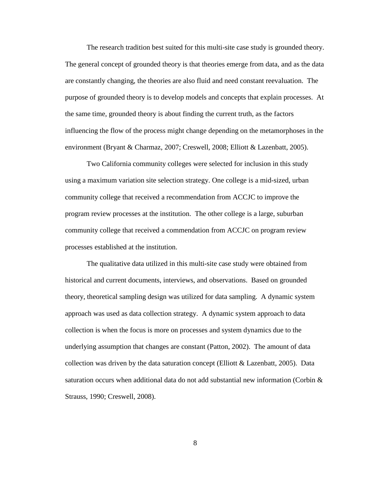The research tradition best suited for this multi-site case study is grounded theory. The general concept of grounded theory is that theories emerge from data, and as the data are constantly changing, the theories are also fluid and need constant reevaluation. The purpose of grounded theory is to develop models and concepts that explain processes. At the same time, grounded theory is about finding the current truth, as the factors influencing the flow of the process might change depending on the metamorphoses in the environment [\(Bryant & Charmaz, 2007;](#page-176-0) [Creswell, 2008;](#page-177-0) [Elliott & Lazenbatt, 2005\)](#page-178-2).

Two California community colleges were selected for inclusion in this study using a maximum variation site selection strategy. One college is a mid-sized, urban community college that received a recommendation from ACCJC to improve the program review processes at the institution. The other college is a large, suburban community college that received a commendation from ACCJC on program review processes established at the institution.

The qualitative data utilized in this multi-site case study were obtained from historical and current documents, interviews, and observations. Based on grounded theory, theoretical sampling design was utilized for data sampling. A dynamic system approach was used as data collection strategy. A dynamic system approach to data collection is when the focus is more on processes and system dynamics due to the underlying assumption that changes are constant [\(Patton, 2002\)](#page-180-3). The amount of data collection was driven by the data saturation concept [\(Elliott & Lazenbatt, 2005\)](#page-178-2). Data saturation occurs when additional data do not add substantial new information (Corbin  $\&$ [Strauss, 1990;](#page-177-1) [Creswell, 2008\)](#page-177-0).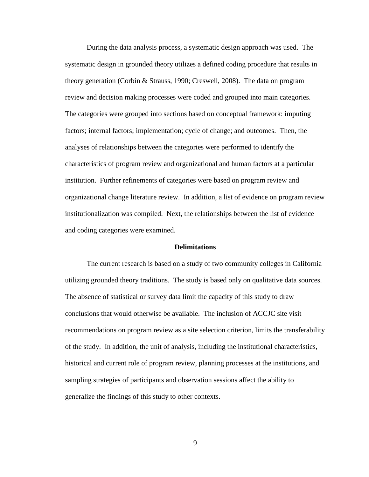During the data analysis process, a systematic design approach was used. The systematic design in grounded theory utilizes a defined coding procedure that results in theory generation [\(Corbin & Strauss, 1990;](#page-177-1) [Creswell, 2008\)](#page-177-0). The data on program review and decision making processes were coded and grouped into main categories. The categories were grouped into sections based on conceptual framework: imputing factors; internal factors; implementation; cycle of change; and outcomes. Then, the analyses of relationships between the categories were performed to identify the characteristics of program review and organizational and human factors at a particular institution. Further refinements of categories were based on program review and organizational change literature review. In addition, a list of evidence on program review institutionalization was compiled. Next, the relationships between the list of evidence and coding categories were examined.

#### **Delimitations**

<span id="page-20-0"></span>The current research is based on a study of two community colleges in California utilizing grounded theory traditions. The study is based only on qualitative data sources. The absence of statistical or survey data limit the capacity of this study to draw conclusions that would otherwise be available. The inclusion of ACCJC site visit recommendations on program review as a site selection criterion, limits the transferability of the study. In addition, the unit of analysis, including the institutional characteristics, historical and current role of program review, planning processes at the institutions, and sampling strategies of participants and observation sessions affect the ability to generalize the findings of this study to other contexts.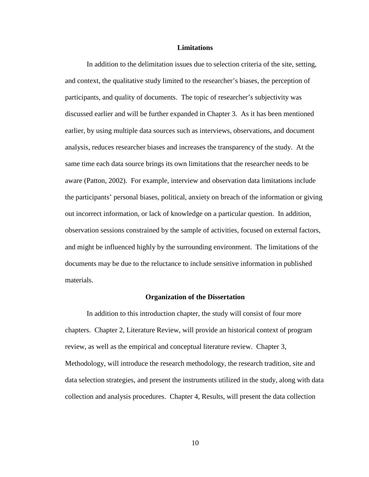#### **Limitations**

<span id="page-21-0"></span>In addition to the delimitation issues due to selection criteria of the site, setting, and context, the qualitative study limited to the researcher's biases, the perception of participants, and quality of documents. The topic of researcher's subjectivity was discussed earlier and will be further expanded in Chapter 3. As it has been mentioned earlier, by using multiple data sources such as interviews, observations, and document analysis, reduces researcher biases and increases the transparency of the study. At the same time each data source brings its own limitations that the researcher needs to be aware [\(Patton, 2002\)](#page-180-3). For example, interview and observation data limitations include the participants' personal biases, political, anxiety on breach of the information or giving out incorrect information, or lack of knowledge on a particular question. In addition, observation sessions constrained by the sample of activities, focused on external factors, and might be influenced highly by the surrounding environment. The limitations of the documents may be due to the reluctance to include sensitive information in published materials.

#### **Organization of the Dissertation**

<span id="page-21-1"></span>In addition to this introduction chapter, the study will consist of four more chapters. Chapter 2, Literature Review, will provide an historical context of program review, as well as the empirical and conceptual literature review. Chapter 3, Methodology, will introduce the research methodology, the research tradition, site and data selection strategies, and present the instruments utilized in the study, along with data collection and analysis procedures. Chapter 4, Results, will present the data collection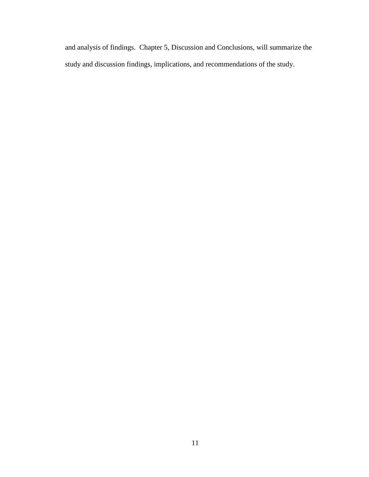and analysis of findings. Chapter 5, Discussion and Conclusions, will summarize the study and discussion findings, implications, and recommendations of the study.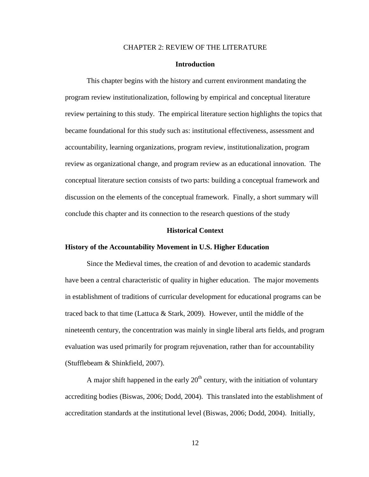## CHAPTER 2: REVIEW OF THE LITERATURE

## **Introduction**

<span id="page-23-1"></span><span id="page-23-0"></span>This chapter begins with the history and current environment mandating the program review institutionalization, following by empirical and conceptual literature review pertaining to this study. The empirical literature section highlights the topics that became foundational for this study such as: institutional effectiveness, assessment and accountability, learning organizations, program review, institutionalization, program review as organizational change, and program review as an educational innovation. The conceptual literature section consists of two parts: building a conceptual framework and discussion on the elements of the conceptual framework. Finally, a short summary will conclude this chapter and its connection to the research questions of the study

#### **Historical Context**

#### <span id="page-23-2"></span>**History of the Accountability Movement in U.S. Higher Education**

Since the Medieval times, the creation of and devotion to academic standards have been a central characteristic of quality in higher education. The major movements in establishment of traditions of curricular development for educational programs can be traced back to that time [\(Lattuca & Stark, 2009\)](#page-179-0). However, until the middle of the nineteenth century, the concentration was mainly in single liberal arts fields, and program evaluation was used primarily for program rejuvenation, rather than for accountability [\(Stufflebeam & Shinkfield, 2007\)](#page-182-0).

A major shift happened in the early  $20<sup>th</sup>$  century, with the initiation of voluntary accrediting bodies [\(Biswas, 2006;](#page-175-1) [Dodd, 2004\)](#page-177-2). This translated into the establishment of accreditation standards at the institutional level [\(Biswas, 2006;](#page-175-1) [Dodd, 2004\)](#page-177-2). Initially,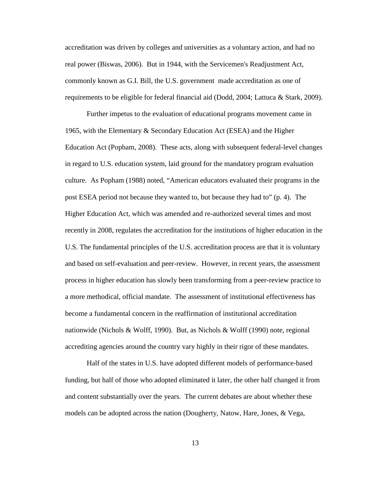accreditation was driven by colleges and universities as a voluntary action, and had no real power [\(Biswas, 2006\)](#page-175-1). But in 1944, with the Servicemen's Readjustment Act, commonly known as G.I. Bill, the U.S. government made accreditation as one of requirements to be eligible for federal financial aid [\(Dodd, 2004;](#page-177-2) [Lattuca & Stark, 2009\)](#page-179-0).

Further impetus to the evaluation of educational programs movement came in 1965, with the Elementary & Secondary Education Act (ESEA) and the Higher Education Act [\(Popham, 2008\)](#page-180-0). These acts, along with subsequent federal-level changes in regard to U.S. education system, laid ground for the mandatory program evaluation culture. As Popham (1988) noted, "American educators evaluated their programs in the post ESEA period not because they wanted to, but because they had to" (p. 4). The Higher Education Act, which was amended and re-authorized several times and most recently in 2008, regulates the accreditation for the institutions of higher education in the U.S. The fundamental principles of the U.S. accreditation process are that it is voluntary and based on self-evaluation and peer-review. However, in recent years, the assessment process in higher education has slowly been transforming from a peer-review practice to a more methodical, official mandate. The assessment of institutional effectiveness has become a fundamental concern in the reaffirmation of institutional accreditation nationwide [\(Nichols & Wolff, 1990\)](#page-179-1). But, as Nichols & Wolff (1990) note, regional accrediting agencies around the country vary highly in their rigor of these mandates.

Half of the states in U.S. have adopted different models of performance-based funding, but half of those who adopted eliminated it later, the other half changed it from and content substantially over the years. The current debates are about whether these models can be adopted across the nation [\(Dougherty, Natow, Hare, Jones, & Vega,](#page-177-3)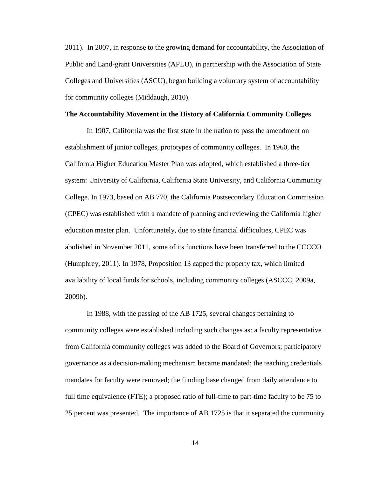2011). In 2007, in response to the growing demand for accountability, the Association of Public and Land-grant Universities (APLU), in partnership with the Association of State Colleges and Universities (ASCU), began building a voluntary system of accountability for community colleges [\(Middaugh, 2010\)](#page-179-6).

## **The Accountability Movement in the History of California Community Colleges**

In 1907, California was the first state in the nation to pass the amendment on establishment of junior colleges, prototypes of community colleges. In 1960, the California Higher Education Master Plan was adopted, which established a three-tier system: University of California, California State University, and California Community College. In 1973, based on AB 770, the California Postsecondary Education Commission (CPEC) was established with a mandate of planning and reviewing the California higher education master plan. Unfortunately, due to state financial difficulties, CPEC was abolished in November 2011, some of its functions have been transferred to the CCCCO [\(Humphrey, 2011\)](#page-179-7). In 1978, Proposition 13 capped the property tax, which limited availability of local funds for schools, including community colleges [\(ASCCC, 2009a,](#page-175-6) [2009b\)](#page-175-4).

In 1988, with the passing of the AB 1725, several changes pertaining to community colleges were established including such changes as: a faculty representative from California community colleges was added to the Board of Governors; participatory governance as a decision-making mechanism became mandated; the teaching credentials mandates for faculty were removed; the funding base changed from daily attendance to full time equivalence (FTE); a proposed ratio of full-time to part-time faculty to be 75 to 25 percent was presented. The importance of AB 1725 is that it separated the community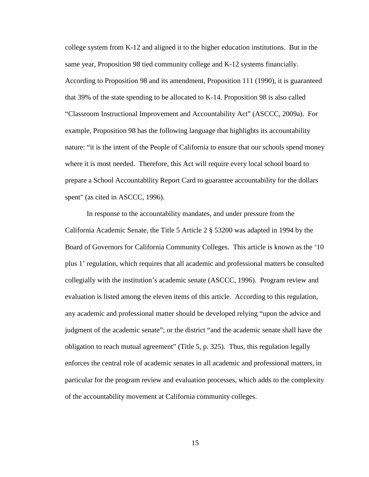college system from K-12 and aligned it to the higher education institutions. But in the same year, Proposition 98 tied community college and K-12 systems financially. According to Proposition 98 and its amendment, Proposition 111 (1990), it is guaranteed that 39% of the state spending to be allocated to K-14. Proposition 98 is also called "Classroom Instructional Improvement and Accountability Act" [\(ASCCC, 2009a\)](#page-175-6). For example, Proposition 98 has the following language that highlights its accountability nature: "it is the intent of the People of California to ensure that our schools spend money where it is most needed. Therefore, this Act will require every local school board to prepare a School Accountability Report Card to guarantee accountability for the dollars spent" (as cited in ASCC[C, 1996\)](#page-175-7).

In response to the accountability mandates, and under pressure from the California Academic Senate, the Title 5 Article 2 § 53200 was adapted in 1994 by the Board of Governors for California Community Colleges. This article is known as the '10 plus 1' regulation, which requires that all academic and professional matters be consulted collegially with the institution's academic senate [\(ASCCC, 1996\)](#page-175-7). Program review and evaluation is listed among the eleven items of this article. According to this regulation, any academic and professional matter should be developed relying "upon the advice and judgment of the academic senate"; or the district "and the academic senate shall have the obligation to reach mutual agreement" (Title 5, p. 325). Thus, this regulation legally enforces the central role of academic senates in all academic and professional matters, in particular for the program review and evaluation processes, which adds to the complexity of the accountability movement at California community colleges.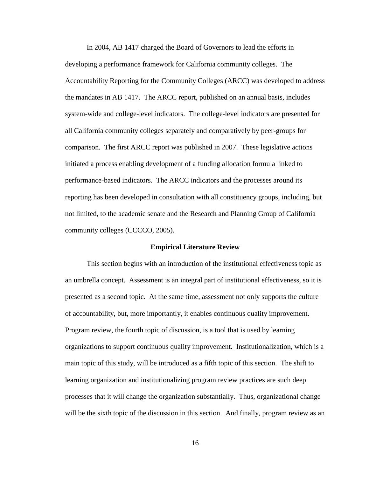In 2004, AB 1417 charged the Board of Governors to lead the efforts in developing a performance framework for California community colleges. The Accountability Reporting for the Community Colleges (ARCC) was developed to address the mandates in AB 1417. The ARCC report, published on an annual basis, includes system-wide and college-level indicators. The college-level indicators are presented for all California community colleges separately and comparatively by peer-groups for comparison. The first ARCC report was published in 2007. These legislative actions initiated a process enabling development of a funding allocation formula linked to performance-based indicators. The ARCC indicators and the processes around its reporting has been developed in consultation with all constituency groups, including, but not limited, to the academic senate and the Research and Planning Group of California community colleges [\(CCCCO, 2005\)](#page-176-1).

#### **Empirical Literature Review**

<span id="page-27-0"></span>This section begins with an introduction of the institutional effectiveness topic as an umbrella concept. Assessment is an integral part of institutional effectiveness, so it is presented as a second topic. At the same time, assessment not only supports the culture of accountability, but, more importantly, it enables continuous quality improvement. Program review, the fourth topic of discussion, is a tool that is used by learning organizations to support continuous quality improvement. Institutionalization, which is a main topic of this study, will be introduced as a fifth topic of this section. The shift to learning organization and institutionalizing program review practices are such deep processes that it will change the organization substantially. Thus, organizational change will be the sixth topic of the discussion in this section. And finally, program review as an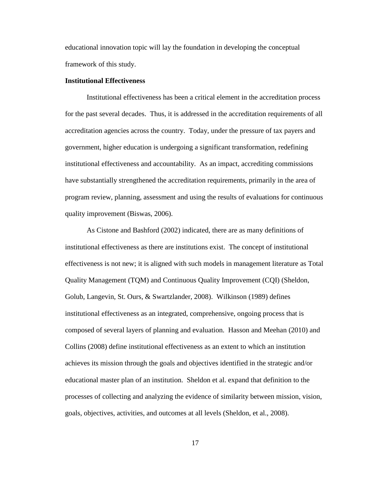educational innovation topic will lay the foundation in developing the conceptual framework of this study.

## **Institutional Effectiveness**

Institutional effectiveness has been a critical element in the accreditation process for the past several decades. Thus, it is addressed in the accreditation requirements of all accreditation agencies across the country. Today, under the pressure of tax payers and government, higher education is undergoing a significant transformation, redefining institutional effectiveness and accountability. As an impact, accrediting commissions have substantially strengthened the accreditation requirements, primarily in the area of program review, planning, assessment and using the results of evaluations for continuous quality improvement [\(Biswas, 2006\)](#page-175-1).

As Cistone and Bashford (2002) indicated, there are as many definitions of institutional effectiveness as there are institutions exist. The concept of institutional effectiveness is not new; it is aligned with such models in management literature as Total Quality Management (TQM) and Continuous Quality Improvement (CQI) [\(Sheldon,](#page-181-3)  [Golub, Langevin, St. Ours, & Swartzlander, 2008\)](#page-181-3). Wilkinson (1989) defines institutional effectiveness as an integrated, comprehensive, ongoing process that is composed of several layers of planning and evaluation. Hasson and Meehan (2010) and Collins (2008) define institutional effectiveness as an extent to which an institution achieves its mission through the goals and objectives identified in the strategic and/or educational master plan of an institution. Sheldon et al. expand that definition to the processes of collecting and analyzing the evidence of similarity between mission, vision, goals, objectives, activities, and outcomes at all levels [\(Sheldon, et al., 2008\)](#page-181-3).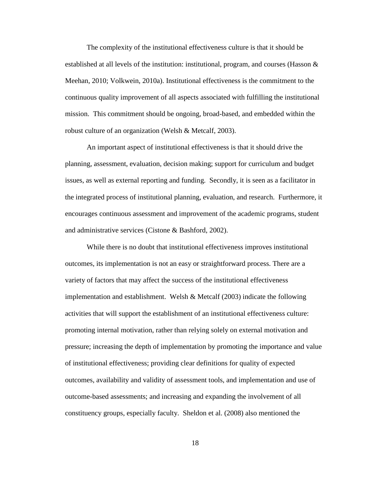The complexity of the institutional effectiveness culture is that it should be established at all levels of the institution: institutional, program, and courses [\(Hasson &](#page-178-1)  [Meehan, 2010;](#page-178-1) [Volkwein, 2010a\)](#page-182-3). Institutional effectiveness is the commitment to the continuous quality improvement of all aspects associated with fulfilling the institutional mission. This commitment should be ongoing, broad-based, and embedded within the robust culture of an organization [\(Welsh & Metcalf, 2003\)](#page-182-4).

An important aspect of institutional effectiveness is that it should drive the planning, assessment, evaluation, decision making; support for curriculum and budget issues, as well as external reporting and funding. Secondly, it is seen as a facilitator in the integrated process of institutional planning, evaluation, and research. Furthermore, it encourages continuous assessment and improvement of the academic programs, student and administrative services [\(Cistone & Bashford, 2002\)](#page-176-2).

While there is no doubt that institutional effectiveness improves institutional outcomes, its implementation is not an easy or straightforward process. There are a variety of factors that may affect the success of the institutional effectiveness implementation and establishment. Welsh & Metcalf (2003) indicate the following activities that will support the establishment of an institutional effectiveness culture: promoting internal motivation, rather than relying solely on external motivation and pressure; increasing the depth of implementation by promoting the importance and value of institutional effectiveness; providing clear definitions for quality of expected outcomes, availability and validity of assessment tools, and implementation and use of outcome-based assessments; and increasing and expanding the involvement of all constituency groups, especially faculty. Sheldon et al. (2008) also mentioned the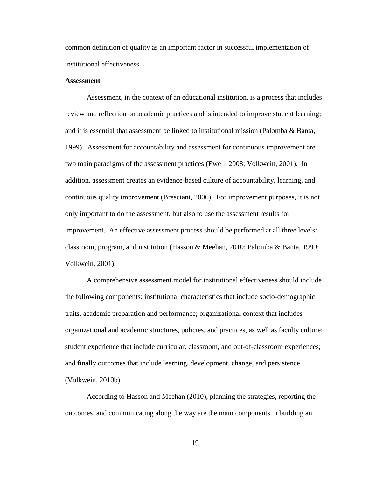common definition of quality as an important factor in successful implementation of institutional effectiveness.

## **Assessment**

Assessment, in the context of an educational institution, is a process that includes review and reflection on academic practices and is intended to improve student learning; and it is essential that assessment be linked to institutional mission [\(Palomba & Banta,](#page-180-1)  [1999\)](#page-180-1). Assessment for accountability and assessment for continuous improvement are two main paradigms of the assessment practices [\(Ewell, 2008;](#page-178-0) [Volkwein, 2001\)](#page-182-2). In addition, assessment creates an evidence-based culture of accountability, learning, and continuous quality improvement [\(Bresciani, 2006\)](#page-176-3). For improvement purposes, it is not only important to do the assessment, but also to use the assessment results for improvement. An effective assessment process should be performed at all three levels: classroom, program, and institution [\(Hasson & Meehan, 2010;](#page-178-1) [Palomba & Banta, 1999;](#page-180-1) [Volkwein, 2001\)](#page-182-2).

A comprehensive assessment model for institutional effectiveness should include the following components: institutional characteristics that include socio-demographic traits, academic preparation and performance; organizational context that includes organizational and academic structures, policies, and practices, as well as faculty culture; student experience that include curricular, classroom, and out-of-classroom experiences; and finally outcomes that include learning, development, change, and persistence [\(Volkwein, 2010b\)](#page-182-5).

According to Hasson and Meehan (2010), planning the strategies, reporting the outcomes, and communicating along the way are the main components in building an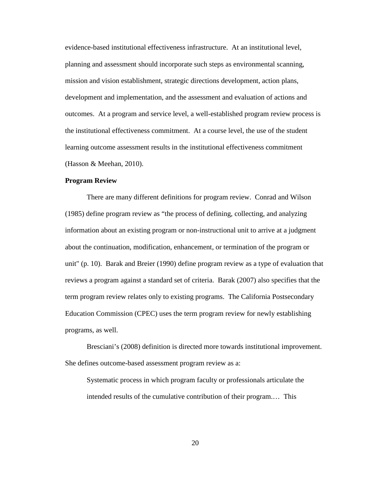evidence-based institutional effectiveness infrastructure. At an institutional level, planning and assessment should incorporate such steps as environmental scanning, mission and vision establishment, strategic directions development, action plans, development and implementation, and the assessment and evaluation of actions and outcomes. At a program and service level, a well-established program review process is the institutional effectiveness commitment. At a course level, the use of the student learning outcome assessment results in the institutional effectiveness commitment [\(Hasson & Meehan, 2010\)](#page-178-1).

## **Program Review**

There are many different definitions for program review. Conrad and Wilson (1985) define program review as "the process of defining, collecting, and analyzing information about an existing program or non-instructional unit to arrive at a judgment about the continuation, modification, enhancement, or termination of the program or unit" (p. 10). Barak and Breier (1990) define program review as a type of evaluation that reviews a program against a standard set of criteria. Barak (2007) also specifies that the term program review relates only to existing programs. The California Postsecondary Education Commission (CPEC) uses the term program review for newly establishing programs, as well.

Bresciani's (2008) definition is directed more towards institutional improvement. She defines outcome-based assessment program review as a:

Systematic process in which program faculty or professionals articulate the intended results of the cumulative contribution of their program.… This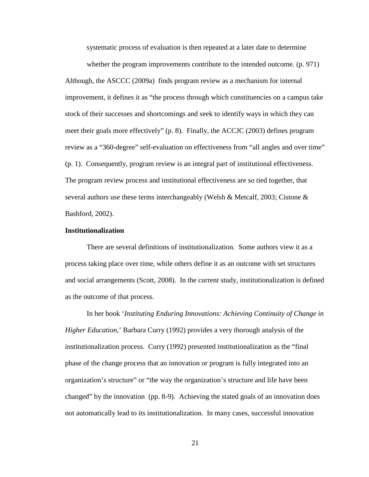systematic process of evaluation is then repeated at a later date to determine

whether the program improvements contribute to the intended outcome. (p. 971) Although, the ASCCC (2009a) finds program review as a mechanism for internal improvement, it defines it as "the process through which constituencies on a campus take stock of their successes and shortcomings and seek to identify ways in which they can meet their goals more effectively" (p. 8). Finally, the ACCJC (2003) defines program review as a "360-degree" self-evaluation on effectiveness from "all angles and over time" (p. 1). Consequently, program review is an integral part of institutional effectiveness. The program review process and institutional effectiveness are so tied together, that several authors use these terms interchangeably [\(Welsh & Metcalf, 2003;](#page-177-4) [Cistone &](#page-176-4)  [Bashford, 2002\)](#page-176-4).

## **Institutionalization**

There are several definitions of institutionalization. Some authors view it as a process taking place over time, while others define it as an outcome with set structures and social arrangements [\(Scott, 2008\)](#page-181-4). In the current study, institutionalization is defined as the outcome of that process.

In her book '*Instituting Enduring Innovations: Achieving Continuity of Change in Higher Education*,' Barbara Curry (1992) provides a very thorough analysis of the institutionalization process. Curry (1992) presented institutionalization as the "final phase of the change process that an innovation or program is fully integrated into an organization's structure" or "the way the organization's structure and life have been changed" by the innovation (pp. 8-9). Achieving the stated goals of an innovation does not automatically lead to its institutionalization. In many cases, successful innovation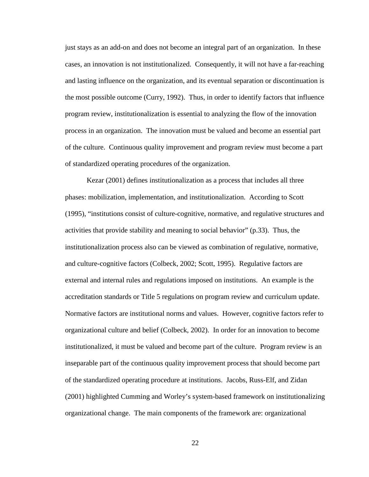just stays as an add-on and does not become an integral part of an organization. In these cases, an innovation is not institutionalized. Consequently, it will not have a far-reaching and lasting influence on the organization, and its eventual separation or discontinuation is the most possible outcome (Curry, 1992). Thus, in order to identify factors that influence program review, institutionalization is essential to analyzing the flow of the innovation process in an organization. The innovation must be valued and become an essential part of the culture. Continuous quality improvement and program review must become a part of standardized operating procedures of the organization.

Kezar (2001) defines institutionalization as a process that includes all three phases: mobilization, implementation, and institutionalization. According to Scott (1995), "institutions consist of culture-cognitive, normative, and regulative structures and activities that provide stability and meaning to social behavior" (p.33). Thus, the institutionalization process also can be viewed as combination of regulative, normative, and culture-cognitive factors [\(Colbeck, 2002;](#page-177-5) [Scott, 1995\)](#page-181-5). Regulative factors are external and internal rules and regulations imposed on institutions. An example is the accreditation standards or Title 5 regulations on program review and curriculum update. Normative factors are institutional norms and values. However, cognitive factors refer to organizational culture and belief [\(Colbeck,](#page-177-5) 2002). In order for an innovation to become institutionalized, it must be valued and become part of the culture. Program review is an inseparable part of the continuous quality improvement process that should become part of the standardized operating procedure at institutions. Jacobs, Russ-Elf, and Zidan (2001) highlighted Cumming and Worley's system-based framework on institutionalizing organizational change. The main components of the framework are: organizational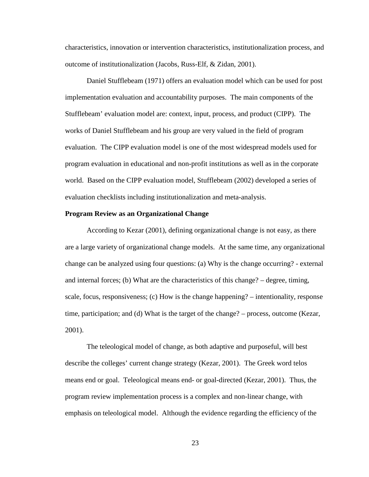characteristics, innovation or intervention characteristics, institutionalization process, and outcome of institutionalization [\(Jacobs, Russ-Elf, & Zidan, 2001\)](#page-179-8).

Daniel Stufflebeam (1971) offers an evaluation model which can be used for post implementation evaluation and accountability purposes. The main components of the Stufflebeam' evaluation model are: context, input, process, and product (CIPP). The works of Daniel Stufflebeam and his group are very valued in the field of program evaluation. The CIPP evaluation model is one of the most widespread models used for program evaluation in educational and non-profit institutions as well as in the corporate world. Based on the CIPP evaluation model, Stufflebeam (2002) developed a series of evaluation checklists including institutionalization and meta-analysis.

## **Program Review as an Organizational Change**

According to Kezar (2001), defining organizational change is not easy, as there are a large variety of organizational change models. At the same time, any organizational change can be analyzed using four questions: (a) Why is the change occurring? - external and internal forces; (b) What are the characteristics of this change? – degree, timing, scale, focus, responsiveness; (c) How is the change happening? – intentionality, response time, participation; and (d) What is the target of the change? – process, outcome (Kezar, 2001).

The teleological model of change, as both adaptive and purposeful, will best describe the colleges' current change strategy (Kezar, 2001). The Greek word telos means end or goal. Teleological means end- or goal-directed (Kezar, 2001). Thus, the program review implementation process is a complex and non-linear change, with emphasis on teleological model. Although the evidence regarding the efficiency of the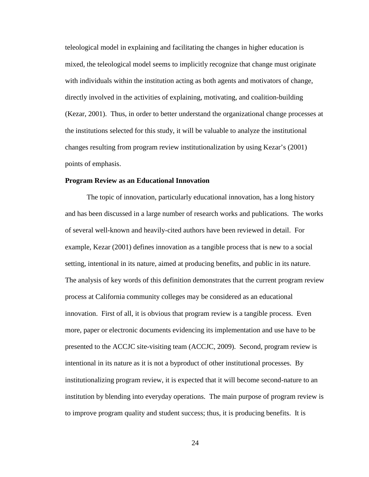teleological model in explaining and facilitating the changes in higher education is mixed, the teleological model seems to implicitly recognize that change must originate with individuals within the institution acting as both agents and motivators of change, directly involved in the activities of explaining, motivating, and coalition-building (Kezar, 2001). Thus, in order to better understand the organizational change processes at the institutions selected for this study, it will be valuable to analyze the institutional changes resulting from program review institutionalization by using Kezar's (2001) points of emphasis.

#### **Program Review as an Educational Innovation**

The topic of innovation, particularly educational innovation, has a long history and has been discussed in a large number of research works and publications. The works of several well-known and heavily-cited authors have been reviewed in detail. For example, Kezar (2001) defines innovation as a tangible process that is new to a social setting, intentional in its nature, aimed at producing benefits, and public in its nature. The analysis of key words of this definition demonstrates that the current program review process at California community colleges may be considered as an educational innovation. First of all, it is obvious that program review is a tangible process. Even more, paper or electronic documents evidencing its implementation and use have to be presented to the ACCJC site-visiting team (ACCJC, 2009). Second, program review is intentional in its nature as it is not a byproduct of other institutional processes. By institutionalizing program review, it is expected that it will become second-nature to an institution by blending into everyday operations. The main purpose of program review is to improve program quality and student success; thus, it is producing benefits. It is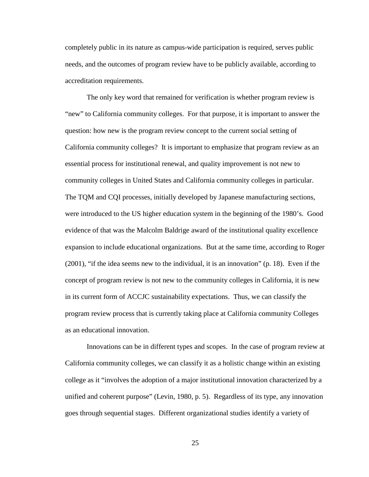completely public in its nature as campus-wide participation is required, serves public needs, and the outcomes of program review have to be publicly available, according to accreditation requirements.

The only key word that remained for verification is whether program review is "new" to California community colleges. For that purpose, it is important to answer the question: how new is the program review concept to the current social setting of California community colleges? It is important to emphasize that program review as an essential process for institutional renewal, and quality improvement is not new to community colleges in United States and California community colleges in particular. The TQM and CQI processes, initially developed by Japanese manufacturing sections, were introduced to the US higher education system in the beginning of the 1980's. Good evidence of that was the Malcolm Baldrige award of the institutional quality excellence expansion to include educational organizations. But at the same time, according to Roger (2001), "if the idea seems new to the individual, it is an innovation" (p. 18). Even if the concept of program review is not new to the community colleges in California, it is new in its current form of ACCJC sustainability expectations. Thus, we can classify the program review process that is currently taking place at California community Colleges as an educational innovation.

Innovations can be in different types and scopes. In the case of program review at California community colleges, we can classify it as a holistic change within an existing college as it "involves the adoption of a major institutional innovation characterized by a unified and coherent purpose" (Levin, 1980, p. 5). Regardless of its type, any innovation goes through sequential stages. Different organizational studies identify a variety of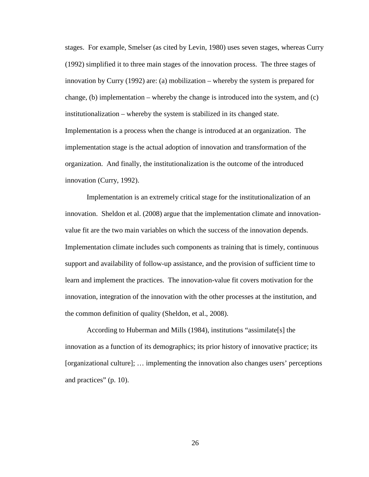stages. For example, Smelser (as cited by Levin, 1980) uses seven stages, whereas Curry (1992) simplified it to three main stages of the innovation process. The three stages of innovation by Curry (1992) are: (a) mobilization – whereby the system is prepared for change, (b) implementation – whereby the change is introduced into the system, and  $(c)$ institutionalization – whereby the system is stabilized in its changed state. Implementation is a process when the change is introduced at an organization. The implementation stage is the actual adoption of innovation and transformation of the organization. And finally, the institutionalization is the outcome of the introduced innovation [\(Curry, 1992\)](#page-177-0).

Implementation is an extremely critical stage for the institutionalization of an innovation. Sheldon et al. (2008) argue that the implementation climate and innovationvalue fit are the two main variables on which the success of the innovation depends. Implementation climate includes such components as training that is timely, continuous support and availability of follow-up assistance, and the provision of sufficient time to learn and implement the practices. The innovation-value fit covers motivation for the innovation, integration of the innovation with the other processes at the institution, and the common definition of quality [\(Sheldon, et al., 2008\)](#page-181-0).

According to Huberman and Mills (1984), institutions "assimilate[s] the innovation as a function of its demographics; its prior history of innovative practice; its [organizational culture]; … implementing the innovation also changes users' perceptions and practices" (p. 10).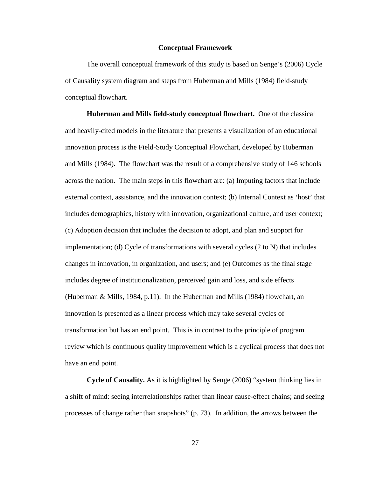## **Conceptual Framework**

The overall conceptual framework of this study is based on Senge's (2006) Cycle of Causality system diagram and steps from Huberman and Mills (1984) field-study conceptual flowchart.

**Huberman and Mills field-study conceptual flowchart.**One of the classical and heavily-cited models in the literature that presents a visualization of an educational innovation process is the Field-Study Conceptual Flowchart, developed by Huberman and Mills (1984). The flowchart was the result of a comprehensive study of 146 schools across the nation. The main steps in this flowchart are: (a) Imputing factors that include external context, assistance, and the innovation context; (b) Internal Context as 'host' that includes demographics, history with innovation, organizational culture, and user context; (c) Adoption decision that includes the decision to adopt, and plan and support for implementation; (d) Cycle of transformations with several cycles (2 to N) that includes changes in innovation, in organization, and users; and (e) Outcomes as the final stage includes degree of institutionalization, perceived gain and loss, and side effects (Huberman & Mills, 1984, p.11). In the Huberman and Mills (1984) flowchart, an innovation is presented as a linear process which may take several cycles of transformation but has an end point. This is in contrast to the principle of program review which is continuous quality improvement which is a cyclical process that does not have an end point.

**Cycle of Causality.** As it is highlighted by Senge (2006) "system thinking lies in a shift of mind: seeing interrelationships rather than linear cause-effect chains; and seeing processes of change rather than snapshots" (p. 73). In addition, the arrows between the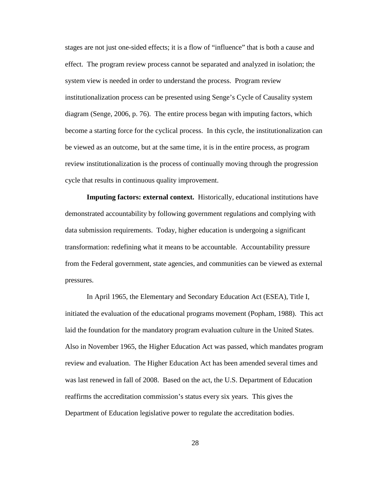stages are not just one-sided effects; it is a flow of "influence" that is both a cause and effect. The program review process cannot be separated and analyzed in isolation; the system view is needed in order to understand the process. Program review institutionalization process can be presented using Senge's Cycle of Causality system diagram (Senge, 2006, p. 76). The entire process began with imputing factors, which become a starting force for the cyclical process. In this cycle, the institutionalization can be viewed as an outcome, but at the same time, it is in the entire process, as program review institutionalization is the process of continually moving through the progression cycle that results in continuous quality improvement.

**Imputing factors: external context.** Historically, educational institutions have demonstrated accountability by following government regulations and complying with data submission requirements. Today, higher education is undergoing a significant transformation: redefining what it means to be accountable.Accountability pressure from the Federal government, state agencies, and communities can be viewed as external pressures.

In April 1965, the Elementary and Secondary Education Act (ESEA), Title I, initiated the evaluation of the educational programs movement (Popham, 1988). This act laid the foundation for the mandatory program evaluation culture in the United States. Also in November 1965, the Higher Education Act was passed, which mandates program review and evaluation. The Higher Education Act has been amended several times and was last renewed in fall of 2008. Based on the act, the U.S. Department of Education reaffirms the accreditation commission's status every six years. This gives the Department of Education legislative power to regulate the accreditation bodies.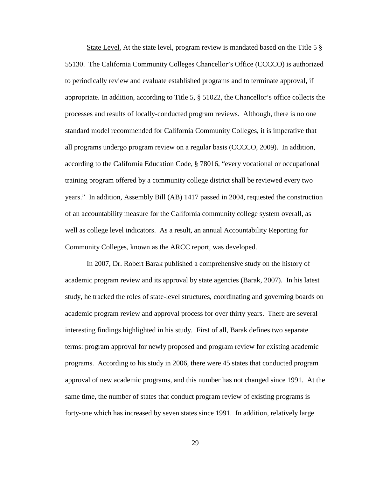State Level. At the state level, program review is mandated based on the Title 5 § 55130. The California Community Colleges Chancellor's Office (CCCCO) is authorized to periodically review and evaluate established programs and to terminate approval, if appropriate. In addition, according to Title 5, § 51022, the Chancellor's office collects the processes and results of locally-conducted program reviews. Although, there is no one standard model recommended for California Community Colleges, it is imperative that all programs undergo program review on a regular basis (CCCCO, 2009). In addition, according to the California Education Code, § 78016, "every vocational or occupational training program offered by a community college district shall be reviewed every two years." In addition, Assembly Bill (AB) 1417 passed in 2004, requested the construction of an accountability measure for the California community college system overall, as well as college level indicators. As a result, an annual Accountability Reporting for Community Colleges, known as the ARCC report, was developed.

In 2007, Dr. Robert Barak published a comprehensive study on the history of academic program review and its approval by state agencies [\(Barak, 2007\)](#page-175-0). In his latest study, he tracked the roles of state-level structures, coordinating and governing boards on academic program review and approval process for over thirty years. There are several interesting findings highlighted in his study. First of all, Barak defines two separate terms: program approval for newly proposed and program review for existing academic programs. According to his study in 2006, there were 45 states that conducted program approval of new academic programs, and this number has not changed since 1991. At the same time, the number of states that conduct program review of existing programs is forty-one which has increased by seven states since 1991. In addition, relatively large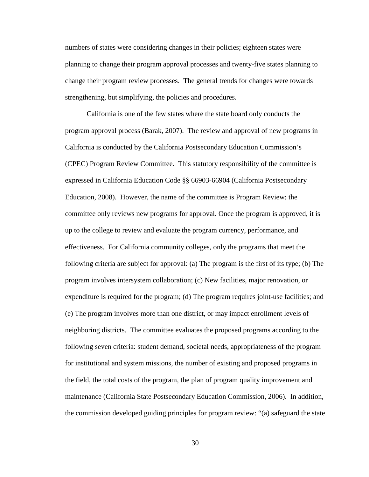numbers of states were considering changes in their policies; eighteen states were planning to change their program approval processes and twenty-five states planning to change their program review processes. The general trends for changes were towards strengthening, but simplifying, the policies and procedures.

California is one of the few states where the state board only conducts the program approval process [\(Barak, 2007\)](#page-175-0). The review and approval of new programs in California is conducted by the California Postsecondary Education Commission's (CPEC) Program Review Committee. This statutory responsibility of the committee is expressed in California Education Code §§ 66903-66904 [\(California Postsecondary](#page-176-0)  [Education, 2008\)](#page-176-0). However, the name of the committee is Program Review; the committee only reviews new programs for approval. Once the program is approved, it is up to the college to review and evaluate the program currency, performance, and effectiveness. For California community colleges, only the programs that meet the following criteria are subject for approval: (a) The program is the first of its type; (b) The program involves intersystem collaboration; (c) New facilities, major renovation, or expenditure is required for the program; (d) The program requires joint-use facilities; and (e) The program involves more than one district, or may impact enrollment levels of neighboring districts. The committee evaluates the proposed programs according to the following seven criteria: student demand, societal needs, appropriateness of the program for institutional and system missions, the number of existing and proposed programs in the field, the total costs of the program, the plan of program quality improvement and maintenance [\(California State Postsecondary Education Commission, 2006\)](#page-176-1). In addition, the commission developed guiding principles for program review: "(a) safeguard the state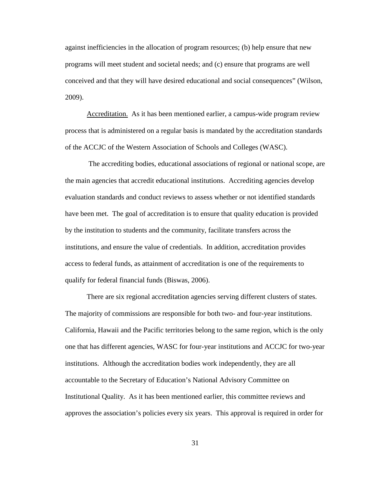against inefficiencies in the allocation of program resources; (b) help ensure that new programs will meet student and societal needs; and (c) ensure that programs are well conceived and that they will have desired educational and social consequences" [\(Wilson,](#page-182-0)  [2009\)](#page-182-0).

Accreditation. As it has been mentioned earlier, a campus-wide program review process that is administered on a regular basis is mandated by the accreditation standards of the ACCJC of the Western Association of Schools and Colleges (WASC).

The accrediting bodies, educational associations of regional or national scope, are the main agencies that accredit educational institutions. Accrediting agencies develop evaluation standards and conduct reviews to assess whether or not identified standards have been met. The goal of accreditation is to ensure that quality education is provided by the institution to students and the community, facilitate transfers across the institutions, and ensure the value of credentials. In addition, accreditation provides access to federal funds, as attainment of accreditation is one of the requirements to qualify for federal financial funds (Biswas, 2006).

There are six regional accreditation agencies serving different clusters of states. The majority of commissions are responsible for both two- and four-year institutions. California, Hawaii and the Pacific territories belong to the same region, which is the only one that has different agencies, WASC for four-year institutions and ACCJC for two-year institutions. Although the accreditation bodies work independently, they are all accountable to the Secretary of Education's National Advisory Committee on Institutional Quality. As it has been mentioned earlier, this committee reviews and approves the association's policies every six years. This approval is required in order for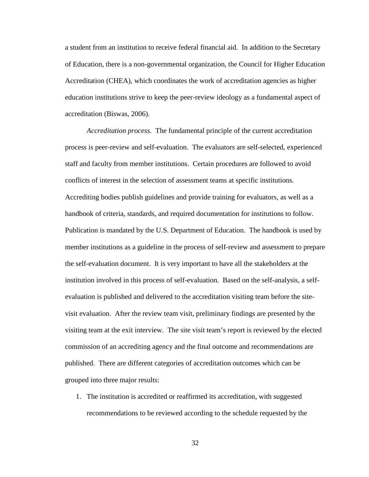a student from an institution to receive federal financial aid. In addition to the Secretary of Education, there is a non-governmental organization, the Council for Higher Education Accreditation (CHEA), which coordinates the work of accreditation agencies as higher education institutions strive to keep the peer-review ideology as a fundamental aspect of accreditation (Biswas, 2006).

*Accreditation process.* The fundamental principle of the current accreditation process is peer-review and self-evaluation. The evaluators are self-selected, experienced staff and faculty from member institutions. Certain procedures are followed to avoid conflicts of interest in the selection of assessment teams at specific institutions. Accrediting bodies publish guidelines and provide training for evaluators, as well as a handbook of criteria, standards, and required documentation for institutions to follow. Publication is mandated by the U.S. Department of Education. The handbook is used by member institutions as a guideline in the process of self-review and assessment to prepare the self-evaluation document. It is very important to have all the stakeholders at the institution involved in this process of self-evaluation. Based on the self-analysis, a selfevaluation is published and delivered to the accreditation visiting team before the sitevisit evaluation. After the review team visit, preliminary findings are presented by the visiting team at the exit interview. The site visit team's report is reviewed by the elected commission of an accrediting agency and the final outcome and recommendations are published. There are different categories of accreditation outcomes which can be grouped into three major results:

1. The institution is accredited or reaffirmed its accreditation, with suggested recommendations to be reviewed according to the schedule requested by the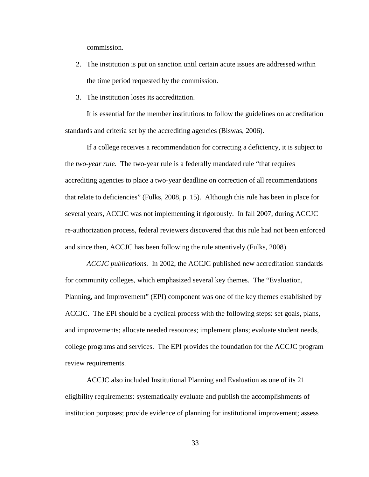commission.

- 2. The institution is put on sanction until certain acute issues are addressed within the time period requested by the commission.
- 3. The institution loses its accreditation.

It is essential for the member institutions to follow the guidelines on accreditation standards and criteria set by the accrediting agencies [\(Biswas, 2006\)](#page-175-1).

If a college receives a recommendation for correcting a deficiency, it is subject to the *two-year rule*. The two-year rule is a federally mandated rule "that requires accrediting agencies to place a two-year deadline on correction of all recommendations that relate to deficiencies" (Fulks, 2008, p. 15). Although this rule has been in place for several years, ACCJC was not implementing it rigorously. In fall 2007, during ACCJC re-authorization process, federal reviewers discovered that this rule had not been enforced and since then, ACCJC has been following the rule attentively (Fulks, 2008).

*ACCJC publications.* In 2002, the ACCJC published new accreditation standards for community colleges, which emphasized several key themes. The "Evaluation, Planning, and Improvement" (EPI) component was one of the key themes established by ACCJC. The EPI should be a cyclical process with the following steps: set goals, plans, and improvements; allocate needed resources; implement plans; evaluate student needs, college programs and services. The EPI provides the foundation for the ACCJC program review requirements.

ACCJC also included Institutional Planning and Evaluation as one of its 21 eligibility requirements: systematically evaluate and publish the accomplishments of institution purposes; provide evidence of planning for institutional improvement; assess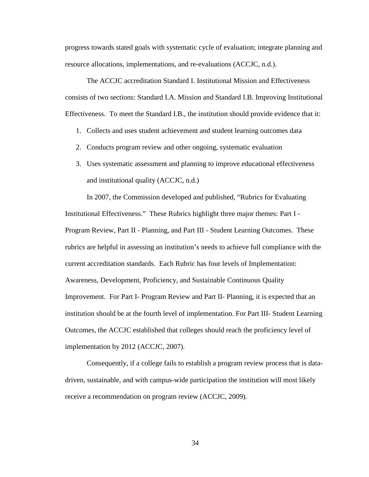progress towards stated goals with systematic cycle of evaluation; integrate planning and resource allocations, implementations, and re-evaluations (ACCJC, n.d.).

The ACCJC accreditation Standard I. Institutional Mission and Effectiveness consists of two sections: Standard I.A. Mission and Standard I.B. Improving Institutional Effectiveness. To meet the Standard I.B., the institution should provide evidence that it:

- 1. Collects and uses student achievement and student learning outcomes data
- 2. Conducts program review and other ongoing, systematic evaluation
- 3. Uses systematic assessment and planning to improve educational effectiveness and institutional quality (ACCJC, n.d.)

In 2007, the Commission developed and published, "Rubrics for Evaluating Institutional Effectiveness." These Rubrics highlight three major themes: Part I - Program Review, Part II - Planning, and Part III - Student Learning Outcomes. These rubrics are helpful in assessing an institution's needs to achieve full compliance with the current accreditation standards. Each Rubric has four levels of Implementation: Awareness, Development, Proficiency, and Sustainable Continuous Quality Improvement. For Part I- Program Review and Part II- Planning, it is expected that an institution should be at the fourth level of implementation. For Part III- Student Learning Outcomes, the ACCJC established that colleges should reach the proficiency level of implementation by 2012 [\(ACCJC, 2007\)](#page-175-2).

Consequently, if a college fails to establish a program review process that is datadriven, sustainable, and with campus-wide participation the institution will most likely receive a recommendation on program review [\(ACCJC, 2009\)](#page-175-3).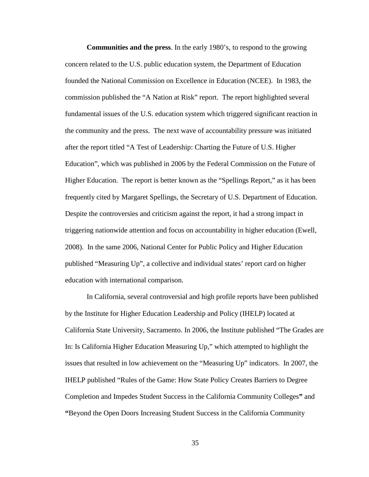**Communities and the press**. In the early 1980's, to respond to the growing concern related to the U.S. public education system, the Department of Education founded the National Commission on Excellence in Education (NCEE). In 1983, the commission published the "A Nation at Risk" report. The report highlighted several fundamental issues of the U.S. education system which triggered significant reaction in the community and the press. The next wave of accountability pressure was initiated after the report titled "A Test of Leadership: Charting the Future of U.S. Higher Education", which was published in 2006 by the Federal Commission on the Future of Higher Education. The report is better known as the "Spellings Report," as it has been frequently cited by Margaret Spellings, the Secretary of U.S. Department of Education. Despite the controversies and criticism against the report, it had a strong impact in triggering nationwide attention and focus on accountability in higher education (Ewell, 2008). In the same 2006, National Center for Public Policy and Higher Education published "Measuring Up", a collective and individual states' report card on higher education with international comparison.

In California, several controversial and high profile reports have been published by the Institute for Higher Education Leadership and Policy (IHELP) located at California State University, Sacramento. In 2006, the Institute published "The Grades are In: Is California Higher Education Measuring Up," which attempted to highlight the issues that resulted in low achievement on the "Measuring Up" indicators. In 2007, the IHELP published "Rules of the Game: How State Policy Creates Barriers to Degree Completion and Impedes Student Success in the California Community Colleges**"** and **"**Beyond the Open Doors Increasing Student Success in the California Community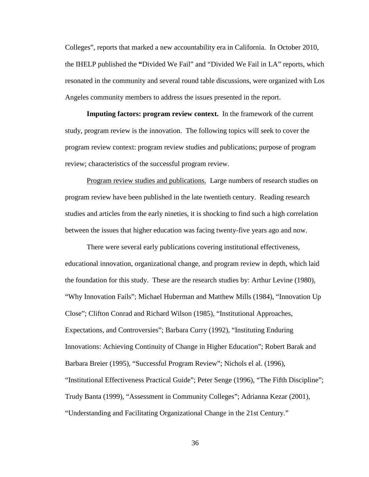Colleges", reports that marked a new accountability era in California. In October 2010, the IHELP published the **"**Divided We Fail" and "Divided We Fail in LA" reports, which resonated in the community and several round table discussions, were organized with Los Angeles community members to address the issues presented in the report.

**Imputing factors: program review context.** In the framework of the current study, program review is the innovation. The following topics will seek to cover the program review context: program review studies and publications; purpose of program review; characteristics of the successful program review.

Program review studies and publications. Large numbers of research studies on program review have been published in the late twentieth century. Reading research studies and articles from the early nineties, it is shocking to find such a high correlation between the issues that higher education was facing twenty-five years ago and now.

There were several early publications covering institutional effectiveness, educational innovation, organizational change, and program review in depth, which laid the foundation for this study. These are the research studies by: Arthur Levine (1980), "Why Innovation Fails"; Michael Huberman and Matthew Mills (1984), "Innovation Up Close"; Clifton Conrad and Richard Wilson (1985), "Institutional Approaches, Expectations, and Controversies"; Barbara Curry (1992), "Instituting Enduring Innovations: Achieving Continuity of Change in Higher Education"; Robert Barak and Barbara Breier (1995), "Successful Program Review"; Nichols el al. (1996), "Institutional Effectiveness Practical Guide"; Peter Senge (1996), "The Fifth Discipline"; Trudy Banta (1999), "Assessment in Community Colleges"; Adrianna Kezar (2001), "Understanding and Facilitating Organizational Change in the 21st Century."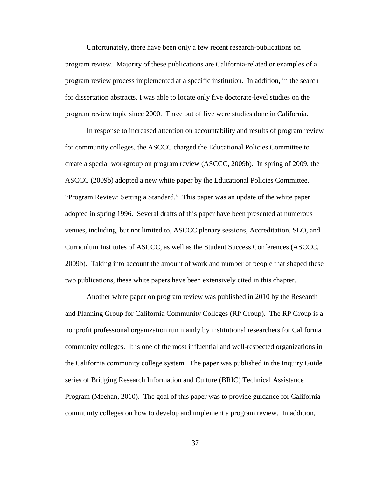Unfortunately, there have been only a few recent research-publications on program review. Majority of these publications are California-related or examples of a program review process implemented at a specific institution. In addition, in the search for dissertation abstracts, I was able to locate only five doctorate-level studies on the program review topic since 2000. Three out of five were studies done in California.

In response to increased attention on accountability and results of program review for community colleges, the ASCCC charged the Educational Policies Committee to create a special workgroup on program review [\(ASCCC, 2009b\)](#page-175-4). In spring of 2009, the ASCCC (2009b) adopted a new white paper by the Educational Policies Committee, "Program Review: Setting a Standard." This paper was an update of the white paper adopted in spring 1996. Several drafts of this paper have been presented at numerous venues, including, but not limited to, ASCCC plenary sessions, Accreditation, SLO, and Curriculum Institutes of ASCCC, as well as the Student Success Conferences [\(ASCCC,](#page-175-4)  [2009b\)](#page-175-4). Taking into account the amount of work and number of people that shaped these two publications, these white papers have been extensively cited in this chapter.

Another white paper on program review was published in 2010 by the Research and Planning Group for California Community Colleges (RP Group). The RP Group is a nonprofit professional organization run mainly by institutional researchers for California community colleges. It is one of the most influential and well-respected organizations in the California community college system. The paper was published in the Inquiry Guide series of Bridging Research Information and Culture (BRIC) Technical Assistance Program [\(Meehan, 2010\)](#page-179-0). The goal of this paper was to provide guidance for California community colleges on how to develop and implement a program review. In addition,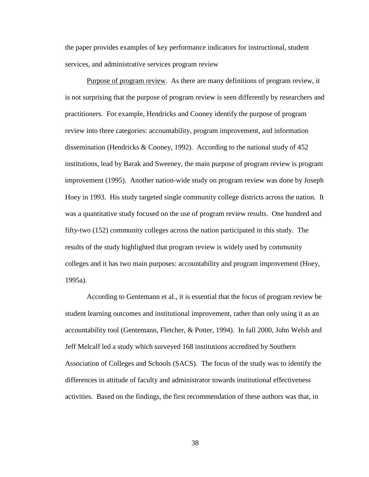the paper provides examples of key performance indicators for instructional, student services, and administrative services program review

Purpose of program review.As there are many definitions of program review, it is not surprising that the purpose of program review is seen differently by researchers and practitioners. For example, Hendricks and Cooney identify the purpose of program review into three categories: accountability, program improvement, and information dissemination [\(Hendricks & Cooney, 1992\)](#page-178-0). According to the national study of 452 institutions, lead by Barak and Sweeney, the main purpose of program review is program improvement (1995). Another nation-wide study on program review was done by Joseph Hoey in 1993. His study targeted single community college districts across the nation. It was a quantitative study focused on the use of program review results. One hundred and fifty-two (152) community colleges across the nation participated in this study. The results of the study highlighted that program review is widely used by community colleges and it has two main purposes: accountability and program improvement [\(Hoey,](#page-178-1)  [1995a\)](#page-178-1).

According to Gentemann et al., it is essential that the focus of program review be student learning outcomes and institutional improvement, rather than only using it as an accountability tool [\(Gentemann, Fletcher, & Potter, 1994\)](#page-178-2). In fall 2000, John Welsh and Jeff Melcalf led a study which surveyed 168 institutions accredited by Southern Association of Colleges and Schools (SACS). The focus of the study was to identify the differences in attitude of faculty and administrator towards institutional effectiveness activities. Based on the findings, the first recommendation of these authors was that, in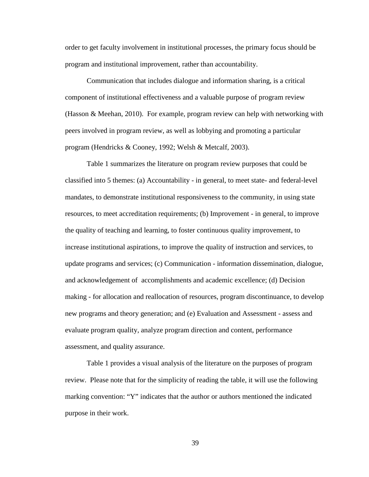order to get faculty involvement in institutional processes, the primary focus should be program and institutional improvement, rather than accountability.

Communication that includes dialogue and information sharing, is a critical component of institutional effectiveness and a valuable purpose of program review [\(Hasson & Meehan, 2010\)](#page-178-3). For example, program review can help with networking with peers involved in program review, as well as lobbying and promoting a particular program [\(Hendricks & Cooney, 1992;](#page-178-0) [Welsh & Metcalf, 2003\)](#page-182-1).

Table 1 summarizes the literature on program review purposes that could be classified into 5 themes: (a) Accountability - in general, to meet state- and federal-level mandates, to demonstrate institutional responsiveness to the community, in using state resources, to meet accreditation requirements; (b) Improvement - in general, to improve the quality of teaching and learning, to foster continuous quality improvement, to increase institutional aspirations, to improve the quality of instruction and services, to update programs and services; (c) Communication - information dissemination, dialogue, and acknowledgement of accomplishments and academic excellence; (d) Decision making - for allocation and reallocation of resources, program discontinuance, to develop new programs and theory generation; and (e) Evaluation and Assessment - assess and evaluate program quality, analyze program direction and content, performance assessment, and quality assurance.

Table 1 provides a visual analysis of the literature on the purposes of program review. Please note that for the simplicity of reading the table, it will use the following marking convention: "Y" indicates that the author or authors mentioned the indicated purpose in their work.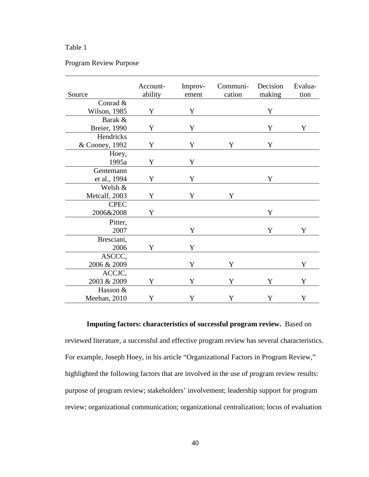## Table 1

## Program Review Purpose

| Source               | Account-<br>ability | Improv-<br>ement | Communi-<br>cation | Decision<br>making | Evalua-<br>tion |
|----------------------|---------------------|------------------|--------------------|--------------------|-----------------|
| Conrad &             |                     |                  |                    |                    |                 |
| Wilson, 1985         | Y                   | Y                |                    | Y                  |                 |
| Barak &              |                     |                  |                    |                    |                 |
| <b>Breier</b> , 1990 | Y                   | Y                |                    | Y                  | Y               |
| Hendricks            |                     |                  |                    |                    |                 |
| & Cooney, 1992       | Y                   | Y                | Y                  | Y                  |                 |
| Hoey,                |                     |                  |                    |                    |                 |
| 1995a                | Y                   | Y                |                    |                    |                 |
| Gentemann            |                     |                  |                    |                    |                 |
| et al., 1994         | Y                   | Y                |                    | Y                  |                 |
| Welsh &              |                     |                  |                    |                    |                 |
| Metcalf, 2003        | Y                   | Y                | Y                  |                    |                 |
| <b>CPEC</b>          |                     |                  |                    |                    |                 |
| 2006&2008            | Y                   |                  |                    | Y                  |                 |
| Pitter,              |                     |                  |                    |                    |                 |
| 2007                 |                     | Y                |                    | Y                  | Y               |
| Bresciani,           |                     |                  |                    |                    |                 |
| 2006                 | Y                   | Y                |                    |                    |                 |
| ASCCC,               |                     |                  |                    |                    |                 |
| 2006 & 2009          |                     | Y                | Y                  |                    | Y               |
| ACCJC,               |                     |                  |                    |                    |                 |
| 2003 & 2009          | Y                   | Y                | Y                  | Y                  | Y               |
| Hasson &             |                     |                  |                    |                    |                 |
| Meehan, 2010         | Y                   | Y                | Y                  | Y                  | Y               |

**Imputing factors: characteristics of successful program review.** Based on reviewed literature, a successful and effective program review has several characteristics. For example, Joseph Hoey, in his article "Organizational Factors in Program Review," highlighted the following factors that are involved in the use of program review results: purpose of program review; stakeholders' involvement; leadership support for program review; organizational communication; organizational centralization; locus of evaluation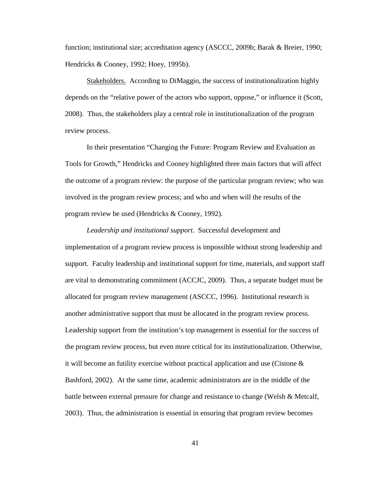function; institutional size; accreditation agency [\(ASCCC, 2009b;](#page-175-4) [Barak & Breier, 1990;](#page-175-5) [Hendricks & Cooney, 1992;](#page-178-0) [Hoey, 1995b\)](#page-178-4).

Stakeholders.According to DiMaggio, the success of institutionalization highly depends on the "relative power of the actors who support, oppose," or influence it [\(Scott,](#page-181-1)  [2008\)](#page-181-1). Thus, the stakeholders play a central role in institutionalization of the program review process.

In their presentation "Changing the Future: Program Review and Evaluation as Tools for Growth," Hendricks and Cooney highlighted three main factors that will affect the outcome of a program review: the purpose of the particular program review; who was involved in the program review process; and who and when will the results of the program review be used [\(Hendricks & Cooney, 1992\)](#page-178-0).

*Leadership and institutional support*. Successful development and implementation of a program review process is impossible without strong leadership and support. Faculty leadership and institutional support for time, materials, and support staff are vital to demonstrating commitment [\(ACCJC, 2009\)](#page-175-3). Thus, a separate budget must be allocated for program review management [\(ASCCC, 1996\)](#page-175-6). Institutional research is another administrative support that must be allocated in the program review process. Leadership support from the institution's top management is essential for the success of the program review process, but even more critical for its institutionalization. Otherwise, it will become an futility exercise without practical application and use (Cistone  $\&$ [Bashford, 2002\)](#page-176-2). At the same time, academic administrators are in the middle of the battle between external pressure for change and resistance to change [\(Welsh & Metcalf,](#page-182-1)  [2003\)](#page-182-1). Thus, the administration is essential in ensuring that program review becomes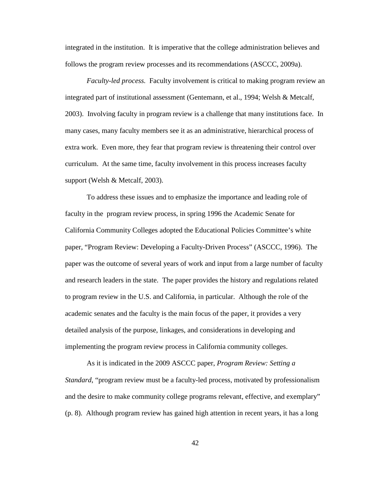integrated in the institution. It is imperative that the college administration believes and follows the program review processes and its recommendations [\(ASCCC, 2009a](#page-175-2)).

*Faculty-led process.* Faculty involvement is critical to making program review an integrated part of institutional assessment [\(Gentemann, et al., 1994;](#page-178-2) [Welsh & Metcalf,](#page-182-1)  [2003\)](#page-182-1). Involving faculty in program review is a challenge that many institutions face. In many cases, many faculty members see it as an administrative, hierarchical process of extra work. Even more, they fear that program review is threatening their control over curriculum. At the same time, faculty involvement in this process increases faculty support [\(Welsh & Metcalf, 2003\)](#page-182-1).

To address these issues and to emphasize the importance and leading role of faculty in the program review process, in spring 1996 the Academic Senate for California Community Colleges adopted the Educational Policies Committee's white paper, "Program Review: Developing a Faculty-Driven Process" [\(ASCCC, 1996\)](#page-175-6). The paper was the outcome of several years of work and input from a large number of faculty and research leaders in the state. The paper provides the history and regulations related to program review in the U.S. and California, in particular. Although the role of the academic senates and the faculty is the main focus of the paper, it provides a very detailed analysis of the purpose, linkages, and considerations in developing and implementing the program review process in California community colleges.

As it is indicated in the 2009 ASCCC paper, *Program Review: Setting a Standard*, "program review must be a faculty-led process, motivated by professionalism and the desire to make community college programs relevant, effective, and exemplary" (p. 8). Although program review has gained high attention in recent years, it has a long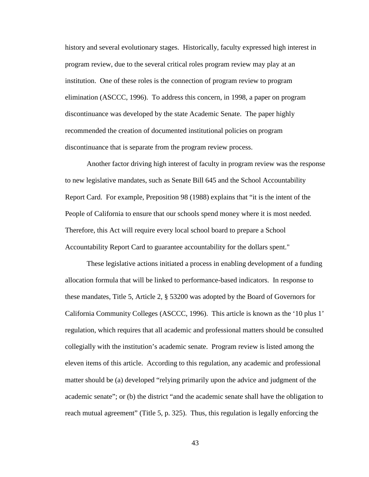history and several evolutionary stages. Historically, faculty expressed high interest in program review, due to the several critical roles program review may play at an institution. One of these roles is the connection of program review to program elimination [\(ASCCC, 1996\)](#page-175-6). To address this concern, in 1998, a paper on program discontinuance was developed by the state Academic Senate. The paper highly recommended the creation of documented institutional policies on program discontinuance that is separate from the program review process.

Another factor driving high interest of faculty in program review was the response to new legislative mandates, such as Senate Bill 645 and the School Accountability Report Card. For example, Preposition 98 (1988) explains that "it is the intent of the People of California to ensure that our schools spend money where it is most needed. Therefore, this Act will require every local school board to prepare a School Accountability Report Card to guarantee accountability for the dollars spent."

These legislative actions initiated a process in enabling development of a funding allocation formula that will be linked to performance-based indicators. In response to these mandates, Title 5, Article 2, § 53200 was adopted by the Board of Governors for California Community Colleges [\(ASCCC, 1996\)](#page-175-6). This article is known as the '10 plus 1' regulation, which requires that all academic and professional matters should be consulted collegially with the institution's academic senate. Program review is listed among the eleven items of this article. According to this regulation, any academic and professional matter should be (a) developed "relying primarily upon the advice and judgment of the academic senate"; or (b) the district "and the academic senate shall have the obligation to reach mutual agreement" (Title 5, p. 325). Thus, this regulation is legally enforcing the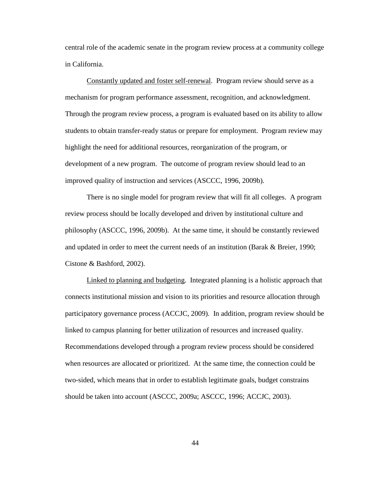central role of the academic senate in the program review process at a community college in California.

Constantly updated and foster self-renewal. Program review should serve as a mechanism for program performance assessment, recognition, and acknowledgment. Through the program review process, a program is evaluated based on its ability to allow students to obtain transfer-ready status or prepare for employment. Program review may highlight the need for additional resources, reorganization of the program, or development of a new program. The outcome of program review should lead to an improved quality of instruction and services [\(ASCCC, 1996,](#page-175-6) [2009b\)](#page-175-4)*.*

There is no single model for program review that will fit all colleges. A program review process should be locally developed and driven by institutional culture and philosophy [\(ASCCC, 1996,](#page-175-6) [2009b\)](#page-175-4). At the same time, it should be constantly reviewed and updated in order to meet the current needs of an institution [\(Barak & Breier, 1990;](#page-175-5) [Cistone & Bashford, 2002\)](#page-176-2).

Linked to planning and budgeting. Integrated planning is a holistic approach that connects institutional mission and vision to its priorities and resource allocation through participatory governance process [\(ACCJC, 2009\)](#page-175-3). In addition, program review should be linked to campus planning for better utilization of resources and increased quality. Recommendations developed through a program review process should be considered when resources are allocated or prioritized. At the same time, the connection could be two-sided, which means that in order to establish legitimate goals, budget constrains should be taken into account [\(ASCCC, 2009a](#page-175-2); ASCCC, 1996; ACCJC, 2003).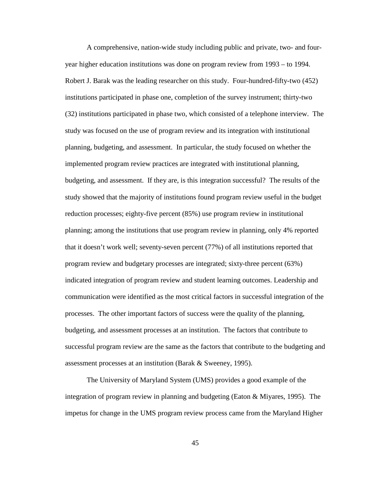A comprehensive, nation-wide study including public and private, two- and fouryear higher education institutions was done on program review from 1993 – to 1994. Robert J. Barak was the leading researcher on this study. Four-hundred-fifty-two (452) institutions participated in phase one, completion of the survey instrument; thirty-two (32) institutions participated in phase two, which consisted of a telephone interview. The study was focused on the use of program review and its integration with institutional planning, budgeting, and assessment. In particular, the study focused on whether the implemented program review practices are integrated with institutional planning, budgeting, and assessment. If they are, is this integration successful? The results of the study showed that the majority of institutions found program review useful in the budget reduction processes; eighty-five percent (85%) use program review in institutional planning; among the institutions that use program review in planning, only 4% reported that it doesn't work well; seventy-seven percent (77%) of all institutions reported that program review and budgetary processes are integrated; sixty-three percent (63%) indicated integration of program review and student learning outcomes. Leadership and communication were identified as the most critical factors in successful integration of the processes. The other important factors of success were the quality of the planning, budgeting, and assessment processes at an institution. The factors that contribute to successful program review are the same as the factors that contribute to the budgeting and assessment processes at an institution [\(Barak & Sweeney, 1995\)](#page-175-7).

The University of Maryland System (UMS) provides a good example of the integration of program review in planning and budgeting [\(Eaton & Miyares, 1995\)](#page-178-5). The impetus for change in the UMS program review process came from the Maryland Higher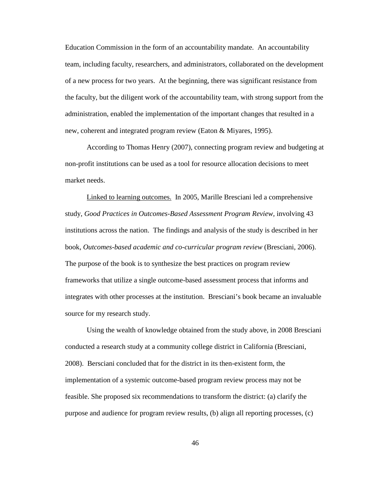Education Commission in the form of an accountability mandate. An accountability team, including faculty, researchers, and administrators, collaborated on the development of a new process for two years. At the beginning, there was significant resistance from the faculty, but the diligent work of the accountability team, with strong support from the administration, enabled the implementation of the important changes that resulted in a new, coherent and integrated program review [\(Eaton & Miyares, 1995\)](#page-178-5).

According to Thomas Henry (2007), connecting program review and budgeting at non-profit institutions can be used as a tool for resource allocation decisions to meet market needs.

Linked to learning outcomes.In 2005, Marille Bresciani led a comprehensive study, *Good Practices in Outcomes-Based Assessment Program Review,* involving 43 institutions across the nation. The findings and analysis of the study is described in her book, *Outcomes-based academic and co-curricular program review* [\(Bresciani, 2006\)](#page-176-3). The purpose of the book is to synthesize the best practices on program review frameworks that utilize a single outcome-based assessment process that informs and integrates with other processes at the institution. Bresciani's book became an invaluable source for my research study.

Using the wealth of knowledge obtained from the study above, in 2008 Bresciani conducted a research study at a community college district in California [\(Bresciani,](#page-176-4)  [2008\)](#page-176-4). Bersciani concluded that for the district in its then-existent form, the implementation of a systemic outcome-based program review process may not be feasible. She proposed six recommendations to transform the district: (a) clarify the purpose and audience for program review results, (b) align all reporting processes, (c)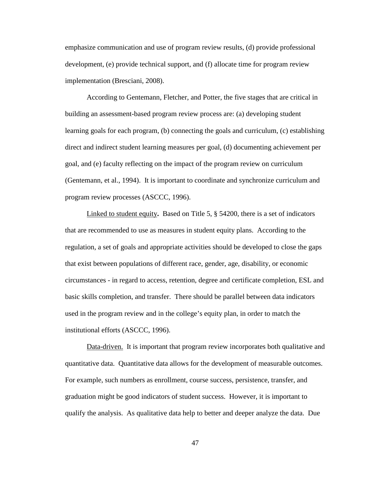emphasize communication and use of program review results, (d) provide professional development, (e) provide technical support, and (f) allocate time for program review implementation [\(Bresciani, 2008\)](#page-176-4).

According to Gentemann, Fletcher, and Potter, the five stages that are critical in building an assessment-based program review process are: (a) developing student learning goals for each program, (b) connecting the goals and curriculum, (c) establishing direct and indirect student learning measures per goal, (d) documenting achievement per goal, and (e) faculty reflecting on the impact of the program review on curriculum [\(Gentemann, et al., 1994\)](#page-178-2). It is important to coordinate and synchronize curriculum and program review processes [\(ASCCC, 1996\)](#page-175-6).

Linked to student equity**.** Based on Title 5, § 54200, there is a set of indicators that are recommended to use as measures in student equity plans. According to the regulation, a set of goals and appropriate activities should be developed to close the gaps that exist between populations of different race, gender, age, disability, or economic circumstances - in regard to access, retention, degree and certificate completion, ESL and basic skills completion, and transfer. There should be parallel between data indicators used in the program review and in the college's equity plan, in order to match the institutional efforts [\(ASCCC, 1996\)](#page-175-3).

Data-driven.It is important that program review incorporates both qualitative and quantitative data. Quantitative data allows for the development of measurable outcomes. For example, such numbers as enrollment, course success, persistence, transfer, and graduation might be good indicators of student success. However, it is important to qualify the analysis. As qualitative data help to better and deeper analyze the data. Due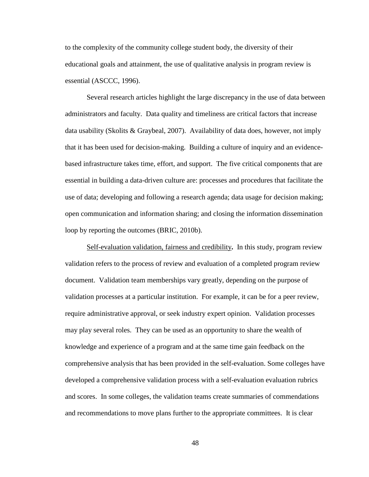to the complexity of the community college student body, the diversity of their educational goals and attainment, the use of qualitative analysis in program review is essential [\(ASCCC, 1996\)](#page-175-3).

Several research articles highlight the large discrepancy in the use of data between administrators and faculty. Data quality and timeliness are critical factors that increase data usability [\(Skolits & Graybeal, 2007\)](#page-181-2). Availability of data does, however, not imply that it has been used for decision-making. Building a culture of inquiry and an evidencebased infrastructure takes time, effort, and support. The five critical components that are essential in building a data-driven culture are: processes and procedures that facilitate the use of data; developing and following a research agenda; data usage for decision making; open communication and information sharing; and closing the information dissemination loop by reporting the outcomes (BRIC, 2010b).

Self-evaluation validation, fairness and credibility**.** In this study, program review validation refers to the process of review and evaluation of a completed program review document. Validation team memberships vary greatly, depending on the purpose of validation processes at a particular institution. For example, it can be for a peer review, require administrative approval, or seek industry expert opinion. Validation processes may play several roles. They can be used as an opportunity to share the wealth of knowledge and experience of a program and at the same time gain feedback on the comprehensive analysis that has been provided in the self-evaluation. Some colleges have developed a comprehensive validation process with a self-evaluation evaluation rubrics and scores. In some colleges, the validation teams create summaries of commendations and recommendations to move plans further to the appropriate committees. It is clear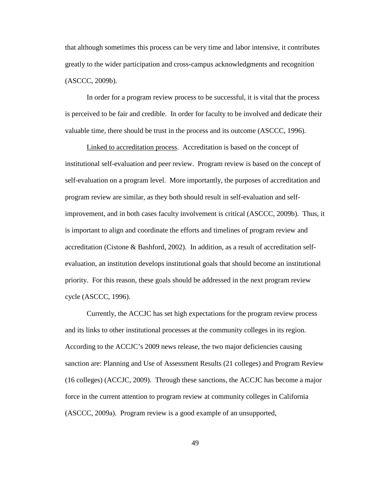that although sometimes this process can be very time and labor intensive, it contributes greatly to the wider participation and cross-campus acknowledgments and recognition [\(ASCCC, 2009b\)](#page-175-4).

In order for a program review process to be successful, it is vital that the process is perceived to be fair and credible. In order for faculty to be involved and dedicate their valuable time, there should be trust in the process and its outcome [\(ASCCC, 1996\)](#page-175-6).

Linked to accreditation process.Accreditation is based on the concept of institutional self-evaluation and peer review. Program review is based on the concept of self-evaluation on a program level. More importantly, the purposes of accreditation and program review are similar, as they both should result in self-evaluation and selfimprovement, and in both cases faculty involvement is critical [\(ASCCC, 2009b\)](#page-175-4). Thus, it is important to align and coordinate the efforts and timelines of program review and accreditation [\(Cistone & Bashford, 2002\)](#page-176-2). In addition, as a result of accreditation selfevaluation, an institution develops institutional goals that should become an institutional priority. For this reason, these goals should be addressed in the next program review cycle [\(ASCCC, 1996\)](#page-175-3).

Currently, the ACCJC has set high expectations for the program review process and its links to other institutional processes at the community colleges in its region. According to the ACCJC's 2009 news release, the two major deficiencies causing sanction are: Planning and Use of Assessment Results (21 colleges) and Program Review (16 colleges) (ACCJC, 2009). Through these sanctions, the ACCJC has become a major force in the current attention to program review at community colleges in California [\(ASCCC, 2009a](#page-175-2)). Program review is a good example of an unsupported,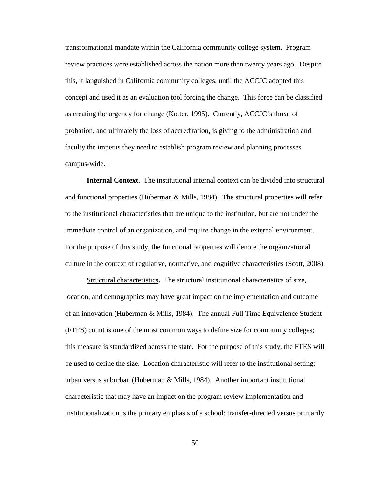transformational mandate within the California community college system. Program review practices were established across the nation more than twenty years ago. Despite this, it languished in California community colleges, until the ACCJC adopted this concept and used it as an evaluation tool forcing the change. This force can be classified as creating the urgency for change (Kotter, 1995). Currently, ACCJC's threat of probation, and ultimately the loss of accreditation, is giving to the administration and faculty the impetus they need to establish program review and planning processes campus-wide.

**Internal Context**. The institutional internal context can be divided into structural and functional properties (Huberman  $\&$  Mills, 1984). The structural properties will refer to the institutional characteristics that are unique to the institution, but are not under the immediate control of an organization, and require change in the external environment. For the purpose of this study, the functional properties will denote the organizational culture in the context of regulative, normative, and cognitive characteristics [\(Scott, 2008\)](#page-181-1).

Structural characteristics**.** The structural institutional characteristics of size, location, and demographics may have great impact on the implementation and outcome of an innovation (Huberman & Mills, 1984). The annual Full Time Equivalence Student (FTES) count is one of the most common ways to define size for community colleges; this measure is standardized across the state. For the purpose of this study, the FTES will be used to define the size. Location characteristic will refer to the institutional setting: urban versus suburban (Huberman & Mills, 1984). Another important institutional characteristic that may have an impact on the program review implementation and institutionalization is the primary emphasis of a school: transfer-directed versus primarily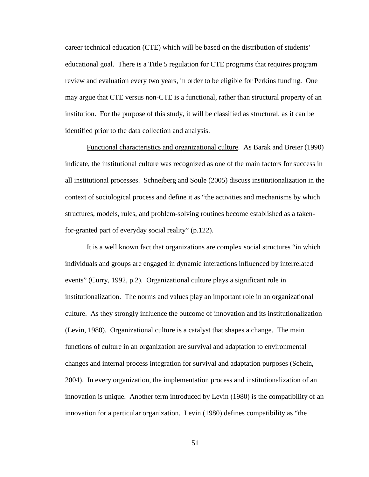career technical education (CTE) which will be based on the distribution of students' educational goal. There is a Title 5 regulation for CTE programs that requires program review and evaluation every two years, in order to be eligible for Perkins funding. One may argue that CTE versus non-CTE is a functional, rather than structural property of an institution. For the purpose of this study, it will be classified as structural, as it can be identified prior to the data collection and analysis.

Functional characteristics and organizational culture. As Barak and Breier (1990) indicate, the institutional culture was recognized as one of the main factors for success in all institutional processes. Schneiberg and Soule (2005) discuss institutionalization in the context of sociological process and define it as "the activities and mechanisms by which structures, models, rules, and problem-solving routines become established as a takenfor-granted part of everyday social reality" (p.122).

It is a well known fact that organizations are complex social structures "in which individuals and groups are engaged in dynamic interactions influenced by interrelated events" (Curry, 1992, p.2). Organizational culture plays a significant role in institutionalization. The norms and values play an important role in an organizational culture. As they strongly influence the outcome of innovation and its institutionalization (Levin, 1980). Organizational culture is a catalyst that shapes a change. The main functions of culture in an organization are survival and adaptation to environmental changes and internal process integration for survival and adaptation purposes [\(Schein,](#page-180-0)  [2004\)](#page-180-0). In every organization, the implementation process and institutionalization of an innovation is unique. Another term introduced by Levin (1980) is the compatibility of an innovation for a particular organization. Levin (1980) defines compatibility as "the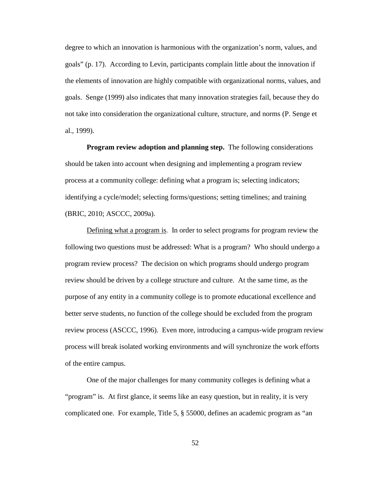degree to which an innovation is harmonious with the organization's norm, values, and goals" (p. 17). According to Levin, participants complain little about the innovation if the elements of innovation are highly compatible with organizational norms, values, and goals. Senge (1999) also indicates that many innovation strategies fail, because they do not take into consideration the organizational culture, structure, and norms [\(P. Senge et](#page-181-3)  [al., 1999\)](#page-181-3).

**Program review adoption and planning step.** The following considerations should be taken into account when designing and implementing a program review process at a community college: defining what a program is; selecting indicators; identifying a cycle/model; selecting forms/questions; setting timelines; and training (BRIC, 2010; ASCCC, 2009a).

Defining what a program is.In order to select programs for program review the following two questions must be addressed: What is a program? Who should undergo a program review process? The decision on which programs should undergo program review should be driven by a college structure and culture. At the same time, as the purpose of any entity in a community college is to promote educational excellence and better serve students, no function of the college should be excluded from the program review process [\(ASCCC, 1996\)](#page-175-3). Even more, introducing a campus-wide program review process will break isolated working environments and will synchronize the work efforts of the entire campus.

One of the major challenges for many community colleges is defining what a "program" is. At first glance, it seems like an easy question, but in reality, it is very complicated one. For example, Title 5, § 55000, defines an academic program as "an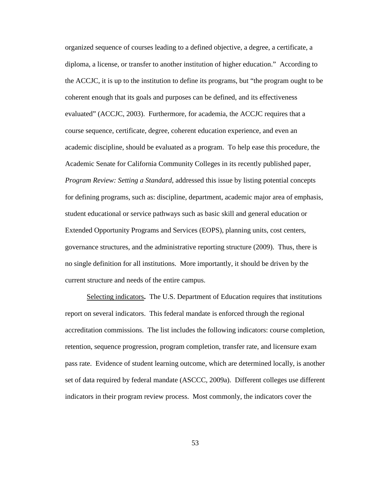organized sequence of courses leading to a defined objective, a degree, a certificate, a diploma, a license, or transfer to another institution of higher education." According to the ACCJC, it is up to the institution to define its programs, but "the program ought to be coherent enough that its goals and purposes can be defined, and its effectiveness evaluated" (ACCJC, 2003). Furthermore, for academia, the ACCJC requires that a course sequence, certificate, degree, coherent education experience, and even an academic discipline, should be evaluated as a program. To help ease this procedure, the Academic Senate for California Community Colleges in its recently published paper, *Program Review: Setting a Standard*, addressed this issue by listing potential concepts for defining programs, such as: discipline, department, academic major area of emphasis, student educational or service pathways such as basic skill and general education or Extended Opportunity Programs and Services (EOPS), planning units, cost centers, governance structures, and the administrative reporting structure (2009). Thus, there is no single definition for all institutions. More importantly, it should be driven by the current structure and needs of the entire campus.

Selecting indicators**.** The U.S. Department of Education requires that institutions report on several indicators. This federal mandate is enforced through the regional accreditation commissions. The list includes the following indicators: course completion, retention, sequence progression, program completion, transfer rate, and licensure exam pass rate. Evidence of student learning outcome, which are determined locally, is another set of data required by federal mandate (ASCCC, 2009a). Different colleges use different indicators in their program review process. Most commonly, the indicators cover the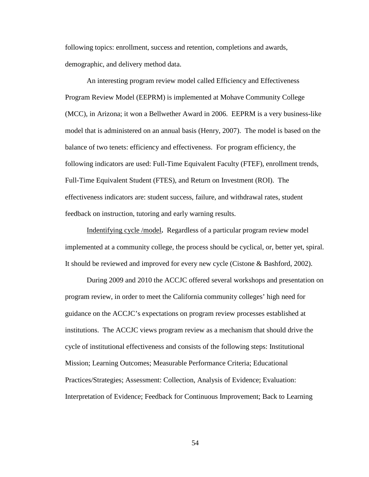following topics: enrollment, success and retention, completions and awards, demographic, and delivery method data.

An interesting program review model called Efficiency and Effectiveness Program Review Model (EEPRM) is implemented at Mohave Community College (MCC), in Arizona; it won a Bellwether Award in 2006. EEPRM is a very business-like model that is administered on an annual basis [\(Henry, 2007\)](#page-178-6). The model is based on the balance of two tenets: efficiency and effectiveness. For program efficiency, the following indicators are used: Full-Time Equivalent Faculty (FTEF), enrollment trends, Full-Time Equivalent Student (FTES), and Return on Investment (ROI). The effectiveness indicators are: student success, failure, and withdrawal rates, student feedback on instruction, tutoring and early warning results.

Indentifying cycle /model**.** Regardless of a particular program review model implemented at a community college, the process should be cyclical, or, better yet, spiral. It should be reviewed and improved for every new cycle [\(Cistone & Bashford, 2002\)](#page-176-2).

During 2009 and 2010 the ACCJC offered several workshops and presentation on program review, in order to meet the California community colleges' high need for guidance on the ACCJC's expectations on program review processes established at institutions. The ACCJC views program review as a mechanism that should drive the cycle of institutional effectiveness and consists of the following steps: Institutional Mission; Learning Outcomes; Measurable Performance Criteria; Educational Practices/Strategies; Assessment: Collection, Analysis of Evidence; Evaluation: Interpretation of Evidence; Feedback for Continuous Improvement; Back to Learning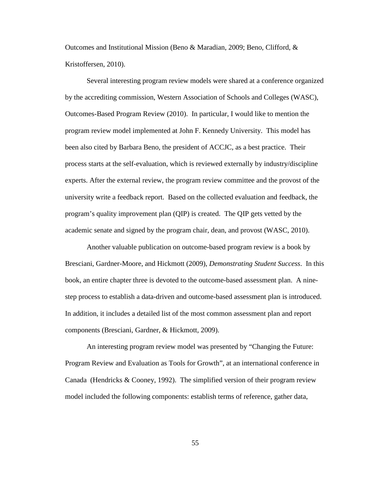Outcomes and Institutional Mission (Beno & Maradian, 2009; Beno, Clifford, & Kristoffersen, 2010).

Several interesting program review models were shared at a conference organized by the accrediting commission, Western Association of Schools and Colleges (WASC), Outcomes-Based Program Review (2010). In particular, I would like to mention the program review model implemented at John F. Kennedy University. This model has been also cited by Barbara Beno, the president of ACCJC, as a best practice. Their process starts at the self-evaluation, which is reviewed externally by industry/discipline experts. After the external review, the program review committee and the provost of the university write a feedback report. Based on the collected evaluation and feedback, the program's quality improvement plan (QIP) is created. The QIP gets vetted by the academic senate and signed by the program chair, dean, and provost (WASC, 2010).

Another valuable publication on outcome-based program review is a book by Bresciani, Gardner-Moore, and Hickmott (2009), *Demonstrating Student Success*. In this book, an entire chapter three is devoted to the outcome-based assessment plan. A ninestep process to establish a data-driven and outcome-based assessment plan is introduced. In addition, it includes a detailed list of the most common assessment plan and report components [\(Bresciani, Gardner, & Hickmott, 2009\)](#page-176-5).

An interesting program review model was presented by "Changing the Future: Program Review and Evaluation as Tools for Growth", at an international conference in Canada [\(Hendricks & Cooney, 1992\)](#page-178-0). The simplified version of their program review model included the following components: establish terms of reference, gather data,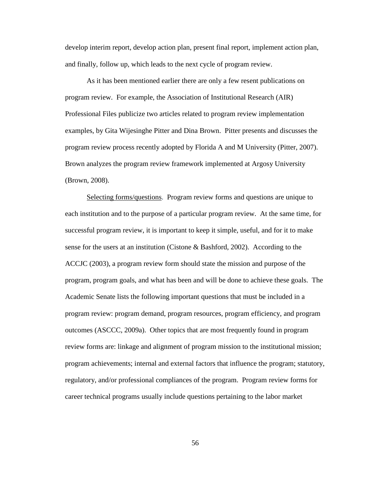develop interim report, develop action plan, present final report, implement action plan, and finally, follow up, which leads to the next cycle of program review.

As it has been mentioned earlier there are only a few resent publications on program review. For example, the Association of Institutional Research (AIR) Professional Files publicize two articles related to program review implementation examples, by Gita Wijesinghe Pitter and Dina Brown. Pitter presents and discusses the program review process recently adopted by Florida A and M University [\(Pitter, 2007\)](#page-180-1). Brown analyzes the program review framework implemented at Argosy University [\(Brown, 2008\)](#page-176-6).

Selecting forms/questions.Program review forms and questions are unique to each institution and to the purpose of a particular program review. At the same time, for successful program review, it is important to keep it simple, useful, and for it to make sense for the users at an institution [\(Cistone & Bashford, 2002\)](#page-176-2). According to the ACCJC (2003), a program review form should state the mission and purpose of the program, program goals, and what has been and will be done to achieve these goals. The Academic Senate lists the following important questions that must be included in a program review: program demand, program resources, program efficiency, and program outcomes (ASCCC, 2009a). Other topics that are most frequently found in program review forms are: linkage and alignment of program mission to the institutional mission; program achievements; internal and external factors that influence the program; statutory, regulatory, and/or professional compliances of the program. Program review forms for career technical programs usually include questions pertaining to the labor market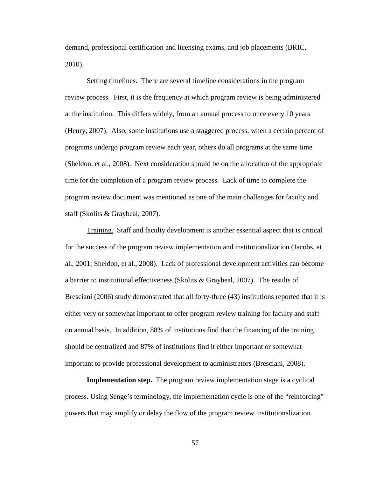demand, professional certification and licensing exams, and job placements (BRIC, 2010).

Setting timelines**.** There are several timeline considerations in the program review process. First, it is the frequency at which program review is being administered at the institution. This differs widely, from an annual process to once every 10 years [\(Henry, 2007\)](#page-178-6). Also, some institutions use a staggered process, when a certain percent of programs undergo program review each year, others do all programs at the same time [\(Sheldon, et al., 2008\)](#page-181-0). Next consideration should be on the allocation of the appropriate time for the completion of a program review process. Lack of time to complete the program review document was mentioned as one of the main challenges for faculty and staff [\(Skolits & Graybeal, 2007\)](#page-181-2).

Training.Staff and faculty development is another essential aspect that is critical for the success of the program review implementation and institutionalization [\(Jacobs, et](#page-179-1)  [al., 2001;](#page-179-1) [Sheldon, et al., 2008\)](#page-181-0). Lack of professional development activities can become a barrier to institutional effectiveness [\(Skolits & Graybeal, 2007\)](#page-181-2). The results of Bresciani (2006) study demonstrated that all forty-three (43) institutions reported that it is either very or somewhat important to offer program review training for faculty and staff on annual basis. In addition, 88% of institutions find that the financing of the training should be centralized and 87% of institutions find it either important or somewhat important to provide professional development to administrators [\(Bresciani, 2008\)](#page-176-4).

**Implementation step.** The program review implementation stage is a cyclical process. Using Senge's terminology, the implementation cycle is one of the "reinforcing" powers that may amplify or delay the flow of the program review institutionalization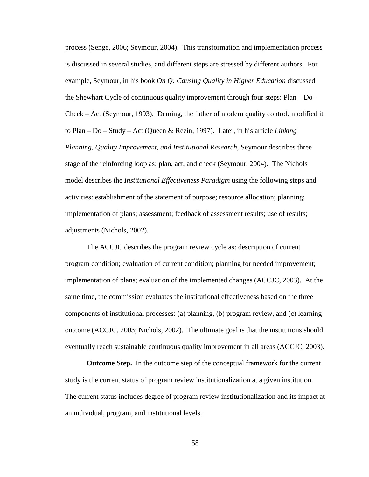process (Senge, 2006; Seymour, 2004). This transformation and implementation process is discussed in several studies, and different steps are stressed by different authors. For example, Seymour, in his book *On Q: Causing Quality in Higher Education* discussed the Shewhart Cycle of continuous quality improvement through four steps: Plan – Do – Check – Act [\(Seymour, 1993\)](#page-181-4). Deming, the father of modern quality control, modified it to Plan – Do – Study – Act [\(Queen & Rezin, 1997\)](#page-180-2). Later, in his article *Linking Planning, Quality Improvement, and Institutional Research*, Seymour describes three stage of the reinforcing loop as: plan, act, and check (Seymour, 2004). The Nichols model describes the *Institutional Effectiveness Paradigm* using the following steps and activities: establishment of the statement of purpose; resource allocation; planning; implementation of plans; assessment; feedback of assessment results; use of results; adjustments (Nichols, 2002).

The ACCJC describes the program review cycle as: description of current program condition; evaluation of current condition; planning for needed improvement; implementation of plans; evaluation of the implemented changes (ACCJC, 2003). At the same time, the commission evaluates the institutional effectiveness based on the three components of institutional processes: (a) planning, (b) program review, and (c) learning outcome (ACCJC, 2003; Nichols, 2002). The ultimate goal is that the institutions should eventually reach sustainable continuous quality improvement in all areas (ACCJC, 2003).

**Outcome Step.** In the outcome step of the conceptual framework for the current study is the current status of program review institutionalization at a given institution. The current status includes degree of program review institutionalization and its impact at an individual, program, and institutional levels.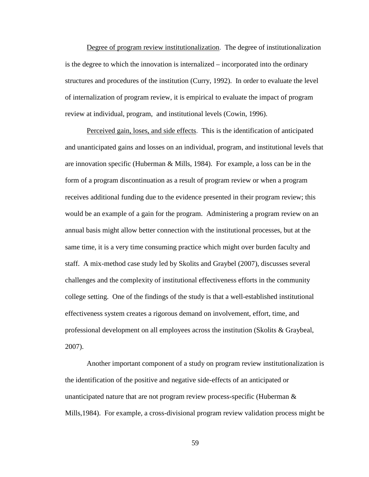Degree of program review institutionalization. The degree of institutionalization is the degree to which the innovation is internalized – incorporated into the ordinary structures and procedures of the institution [\(Curry, 1992\)](#page-177-0). In order to evaluate the level of internalization of program review, it is empirical to evaluate the impact of program review at individual, program, and institutional levels [\(Cowin, 1996\)](#page-177-1).

Perceived gain, loses, and side effects. This is the identification of anticipated and unanticipated gains and losses on an individual, program, and institutional levels that are innovation specific (Huberman & Mills, 1984). For example, a loss can be in the form of a program discontinuation as a result of program review or when a program receives additional funding due to the evidence presented in their program review; this would be an example of a gain for the program. Administering a program review on an annual basis might allow better connection with the institutional processes, but at the same time, it is a very time consuming practice which might over burden faculty and staff.A mix-method case study led by Skolits and Graybel (2007), discusses several challenges and the complexity of institutional effectiveness efforts in the community college setting. One of the findings of the study is that a well-established institutional effectiveness system creates a rigorous demand on involvement, effort, time, and professional development on all employees across the institution [\(Skolits & Graybeal,](#page-181-2)  [2007\)](#page-181-2).

Another important component of a study on program review institutionalization is the identification of the positive and negative side-effects of an anticipated or unanticipated nature that are not program review process-specific (Huberman  $\&$ Mills,1984). For example, a cross-divisional program review validation process might be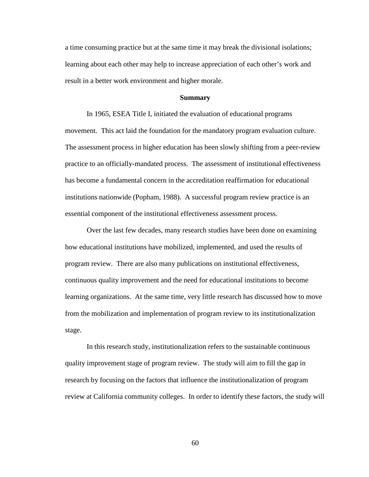a time consuming practice but at the same time it may break the divisional isolations; learning about each other may help to increase appreciation of each other's work and result in a better work environment and higher morale.

## **Summary**

In 1965, ESEA Title I, initiated the evaluation of educational programs movement. This act laid the foundation for the mandatory program evaluation culture. The assessment process in higher education has been slowly shifting from a peer-review practice to an officially-mandated process. The assessment of institutional effectiveness has become a fundamental concern in the accreditation reaffirmation for educational institutions nationwide (Popham, 1988). A successful program review practice is an essential component of the institutional effectiveness assessment process.

Over the last few decades, many research studies have been done on examining how educational institutions have mobilized, implemented, and used the results of program review. There are also many publications on institutional effectiveness, continuous quality improvement and the need for educational institutions to become learning organizations. At the same time, very little research has discussed how to move from the mobilization and implementation of program review to its institutionalization stage.

In this research study, institutionalization refers to the sustainable continuous quality improvement stage of program review. The study will aim to fill the gap in research by focusing on the factors that influence the institutionalization of program review at California community colleges. In order to identify these factors, the study will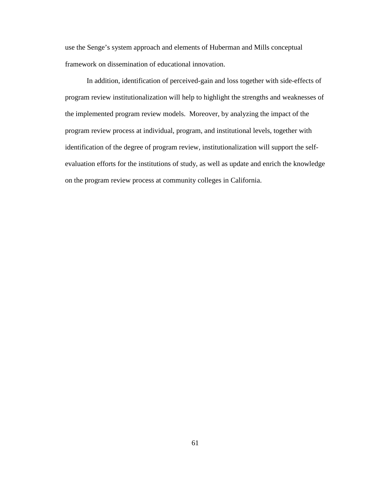use the Senge's system approach and elements of Huberman and Mills conceptual framework on dissemination of educational innovation.

In addition, identification of perceived-gain and loss together with side-effects of program review institutionalization will help to highlight the strengths and weaknesses of the implemented program review models. Moreover, by analyzing the impact of the program review process at individual, program, and institutional levels, together with identification of the degree of program review, institutionalization will support the selfevaluation efforts for the institutions of study, as well as update and enrich the knowledge on the program review process at community colleges in California.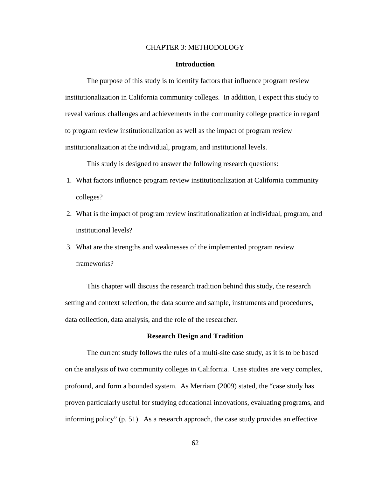## CHAPTER 3: METHODOLOGY

## **Introduction**

The purpose of this study is to identify factors that influence program review institutionalization in California community colleges. In addition, I expect this study to reveal various challenges and achievements in the community college practice in regard to program review institutionalization as well as the impact of program review institutionalization at the individual, program, and institutional levels.

This study is designed to answer the following research questions:

- 1. What factors influence program review institutionalization at California community colleges?
- 2. What is the impact of program review institutionalization at individual, program, and institutional levels?
- 3. What are the strengths and weaknesses of the implemented program review frameworks?

This chapter will discuss the research tradition behind this study, the research setting and context selection, the data source and sample, instruments and procedures, data collection, data analysis, and the role of the researcher.

## **Research Design and Tradition**

The current study follows the rules of a multi-site case study, as it is to be based on the analysis of two community colleges in California. Case studies are very complex, profound, and form a bounded system. As Merriam (2009) stated, the "case study has proven particularly useful for studying educational innovations, evaluating programs, and informing policy" (p. 51). As a research approach, the case study provides an effective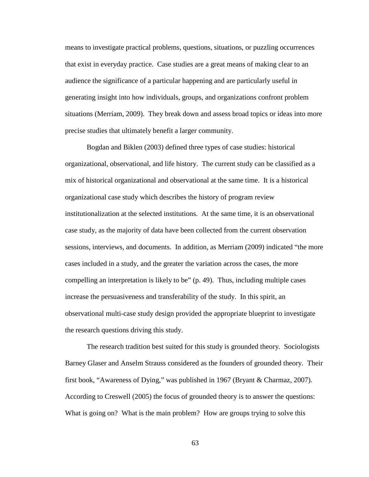means to investigate practical problems, questions, situations, or puzzling occurrences that exist in everyday practice. Case studies are a great means of making clear to an audience the significance of a particular happening and are particularly useful in generating insight into how individuals, groups, and organizations confront problem situations (Merriam, 2009). They break down and assess broad topics or ideas into more precise studies that ultimately benefit a larger community.

Bogdan and Biklen (2003) defined three types of case studies: historical organizational, observational, and life history. The current study can be classified as a mix of historical organizational and observational at the same time. It is a historical organizational case study which describes the history of program review institutionalization at the selected institutions. At the same time, it is an observational case study, as the majority of data have been collected from the current observation sessions, interviews, and documents. In addition, as Merriam (2009) indicated "the more cases included in a study, and the greater the variation across the cases, the more compelling an interpretation is likely to be" (p. 49). Thus, including multiple cases increase the persuasiveness and transferability of the study. In this spirit, an observational multi-case study design provided the appropriate blueprint to investigate the research questions driving this study.

The research tradition best suited for this study is grounded theory. Sociologists Barney Glaser and Anselm Strauss considered as the founders of grounded theory. Their first book, "Awareness of Dying," was published in 1967 [\(Bryant & Charmaz, 2007\)](#page-176-0). According to Creswell (2005) the focus of grounded theory is to answer the questions: What is going on? What is the main problem? How are groups trying to solve this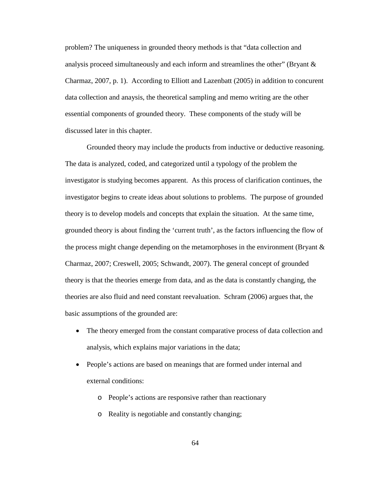problem? The uniqueness in grounded theory methods is that "data collection and analysis proceed simultaneously and each inform and streamlines the other" [\(Bryant &](#page-176-0)  [Charmaz, 2007,](#page-176-0) p. 1). According to Elliott and Lazenbatt (2005) in addition to concurent data collection and anaysis, the theoretical sampling and memo writing are the other essential components of grounded theory. These components of the study will be discussed later in this chapter.

Grounded theory may include the products from inductive or deductive reasoning. The data is analyzed, coded, and categorized until a typology of the problem the investigator is studying becomes apparent. As this process of clarification continues, the investigator begins to create ideas about solutions to problems. The purpose of grounded theory is to develop models and concepts that explain the situation. At the same time, grounded theory is about finding the 'current truth', as the factors influencing the flow of the process might change depending on the metamorphoses in the environment (Bryant  $\&$ [Charmaz, 2007;](#page-176-0) [Creswell, 2005;](#page-177-0) [Schwandt, 2007\)](#page-181-0). The general concept of grounded theory is that the theories emerge from data, and as the data is constantly changing, the theories are also fluid and need constant reevaluation. Schram (2006) argues that, the basic assumptions of the grounded are:

- The theory emerged from the constant comparative process of data collection and analysis, which explains major variations in the data;
- People's actions are based on meanings that are formed under internal and external conditions:
	- o People's actions are responsive rather than reactionary
	- o Reality is negotiable and constantly changing;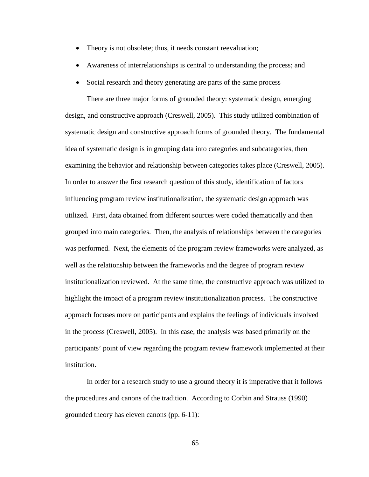- Theory is not obsolete; thus, it needs constant reevaluation;
- Awareness of interrelationships is central to understanding the process; and
- Social research and theory generating are parts of the same process

There are three major forms of grounded theory: systematic design, emerging design, and constructive approach [\(Creswell, 2005\)](#page-177-0). This study utilized combination of systematic design and constructive approach forms of grounded theory. The fundamental idea of systematic design is in grouping data into categories and subcategories, then examining the behavior and relationship between categories takes place [\(Creswell, 2005\)](#page-177-0). In order to answer the first research question of this study, identification of factors influencing program review institutionalization, the systematic design approach was utilized. First, data obtained from different sources were coded thematically and then grouped into main categories. Then, the analysis of relationships between the categories was performed. Next, the elements of the program review frameworks were analyzed, as well as the relationship between the frameworks and the degree of program review institutionalization reviewed. At the same time, the constructive approach was utilized to highlight the impact of a program review institutionalization process. The constructive approach focuses more on participants and explains the feelings of individuals involved in the process [\(Creswell, 2005\)](#page-177-0). In this case, the analysis was based primarily on the participants' point of view regarding the program review framework implemented at their institution.

In order for a research study to use a ground theory it is imperative that it follows the procedures and canons of the tradition. According to Corbin and Strauss (1990) grounded theory has eleven canons (pp. 6-11):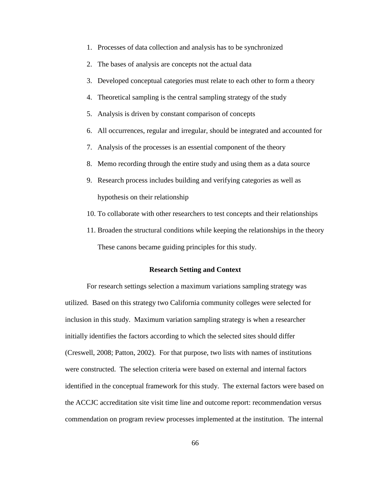- 1. Processes of data collection and analysis has to be synchronized
- 2. The bases of analysis are concepts not the actual data
- 3. Developed conceptual categories must relate to each other to form a theory
- 4. Theoretical sampling is the central sampling strategy of the study
- 5. Analysis is driven by constant comparison of concepts
- 6. All occurrences, regular and irregular, should be integrated and accounted for
- 7. Analysis of the processes is an essential component of the theory
- 8. Memo recording through the entire study and using them as a data source
- 9. Research process includes building and verifying categories as well as hypothesis on their relationship
- 10. To collaborate with other researchers to test concepts and their relationships
- 11. Broaden the structural conditions while keeping the relationships in the theory These canons became guiding principles for this study.

#### **Research Setting and Context**

For research settings selection a maximum variations sampling strategy was utilized. Based on this strategy two California community colleges were selected for inclusion in this study. Maximum variation sampling strategy is when a researcher initially identifies the factors according to which the selected sites should differ [\(Creswell, 2008;](#page-177-1) [Patton, 2002\)](#page-180-0). For that purpose, two lists with names of institutions were constructed. The selection criteria were based on external and internal factors identified in the conceptual framework for this study. The external factors were based on the ACCJC accreditation site visit time line and outcome report: recommendation versus commendation on program review processes implemented at the institution. The internal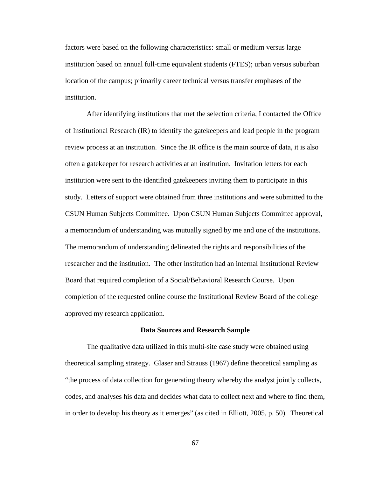factors were based on the following characteristics: small or medium versus large institution based on annual full-time equivalent students (FTES); urban versus suburban location of the campus; primarily career technical versus transfer emphases of the institution.

After identifying institutions that met the selection criteria, I contacted the Office of Institutional Research (IR) to identify the gatekeepers and lead people in the program review process at an institution. Since the IR office is the main source of data, it is also often a gatekeeper for research activities at an institution. Invitation letters for each institution were sent to the identified gatekeepers inviting them to participate in this study. Letters of support were obtained from three institutions and were submitted to the CSUN Human Subjects Committee. Upon CSUN Human Subjects Committee approval, a memorandum of understanding was mutually signed by me and one of the institutions. The memorandum of understanding delineated the rights and responsibilities of the researcher and the institution. The other institution had an internal Institutional Review Board that required completion of a Social/Behavioral Research Course. Upon completion of the requested online course the Institutional Review Board of the college approved my research application.

#### **Data Sources and Research Sample**

The qualitative data utilized in this multi-site case study were obtained using theoretical sampling strategy. Glaser and Strauss (1967) define theoretical sampling as "the process of data collection for generating theory whereby the analyst jointly collects, codes, and analyses his data and decides what data to collect next and where to find them, in order to develop his theory as it emerges" (as cited in Elliott, 2005, p. 50). Theoretical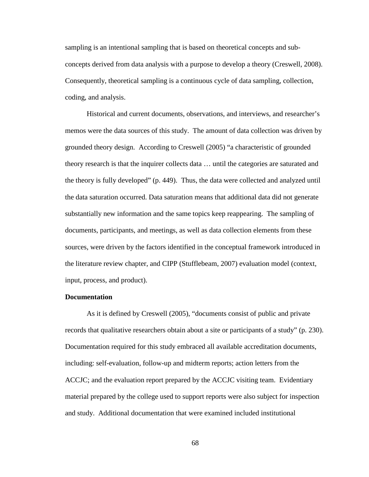sampling is an intentional sampling that is based on theoretical concepts and subconcepts derived from data analysis with a purpose to develop a theory [\(Creswell, 2008\)](#page-177-1). Consequently, theoretical sampling is a continuous cycle of data sampling, collection, coding, and analysis.

Historical and current documents, observations, and interviews, and researcher's memos were the data sources of this study. The amount of data collection was driven by grounded theory design. According to Creswell (2005) "a characteristic of grounded theory research is that the inquirer collects data … until the categories are saturated and the theory is fully developed" (p. 449). Thus, the data were collected and analyzed until the data saturation occurred. Data saturation means that additional data did not generate substantially new information and the same topics keep reappearing. The sampling of documents, participants, and meetings, as well as data collection elements from these sources, were driven by the factors identified in the conceptual framework introduced in the literature review chapter, and CIPP (Stufflebeam, 2007) evaluation model (context, input, process, and product).

### **Documentation**

As it is defined by Creswell (2005), "documents consist of public and private records that qualitative researchers obtain about a site or participants of a study" (p. 230). Documentation required for this study embraced all available accreditation documents, including: self-evaluation, follow-up and midterm reports; action letters from the ACCJC; and the evaluation report prepared by the ACCJC visiting team. Evidentiary material prepared by the college used to support reports were also subject for inspection and study. Additional documentation that were examined included institutional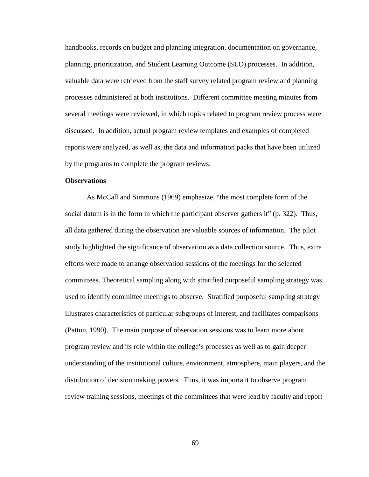handbooks, records on budget and planning integration, documentation on governance, planning, prioritization, and Student Learning Outcome (SLO) processes. In addition, valuable data were retrieved from the staff survey related program review and planning processes administered at both institutions. Different committee meeting minutes from several meetings were reviewed, in which topics related to program review process were discussed. In addition, actual program review templates and examples of completed reports were analyzed, as well as, the data and information packs that have been utilized by the programs to complete the program reviews.

## **Observations**

As McCall and Simmons (1969) emphasize, "the most complete form of the social datum is in the form in which the participant observer gathers it" (p. 322). Thus, all data gathered during the observation are valuable sources of information. The pilot study highlighted the significance of observation as a data collection source. Thus, extra efforts were made to arrange observation sessions of the meetings for the selected committees. Theoretical sampling along with stratified purposeful sampling strategy was used to identify committee meetings to observe. Stratified purposeful sampling strategy illustrates characteristics of particular subgroups of interest, and facilitates comparisons [\(Patton, 1990\)](#page-180-1). The main purpose of observation sessions was to learn more about program review and its role within the college's processes as well as to gain deeper understanding of the institutional culture, environment, atmosphere, main players, and the distribution of decision making powers. Thus, it was important to observe program review training sessions, meetings of the committees that were lead by faculty and report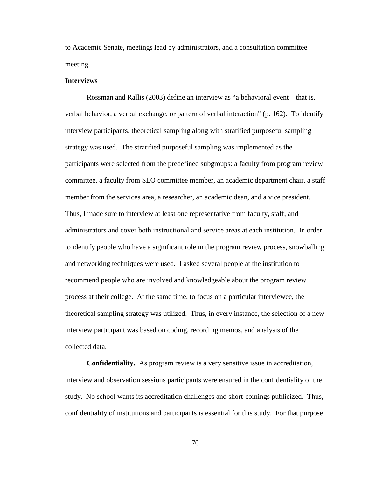to Academic Senate, meetings lead by administrators, and a consultation committee meeting.

### **Interviews**

Rossman and Rallis (2003) define an interview as "a behavioral event – that is, verbal behavior, a verbal exchange, or pattern of verbal interaction" (p. 162). To identify interview participants, theoretical sampling along with stratified purposeful sampling strategy was used. The stratified purposeful sampling was implemented as the participants were selected from the predefined subgroups: a faculty from program review committee, a faculty from SLO committee member, an academic department chair, a staff member from the services area, a researcher, an academic dean, and a vice president. Thus, I made sure to interview at least one representative from faculty, staff, and administrators and cover both instructional and service areas at each institution. In order to identify people who have a significant role in the program review process, snowballing and networking techniques were used. I asked several people at the institution to recommend people who are involved and knowledgeable about the program review process at their college. At the same time, to focus on a particular interviewee, the theoretical sampling strategy was utilized. Thus, in every instance, the selection of a new interview participant was based on coding, recording memos, and analysis of the collected data.

**Confidentiality.** As program review is a very sensitive issue in accreditation, interview and observation sessions participants were ensured in the confidentiality of the study. No school wants its accreditation challenges and short-comings publicized. Thus, confidentiality of institutions and participants is essential for this study. For that purpose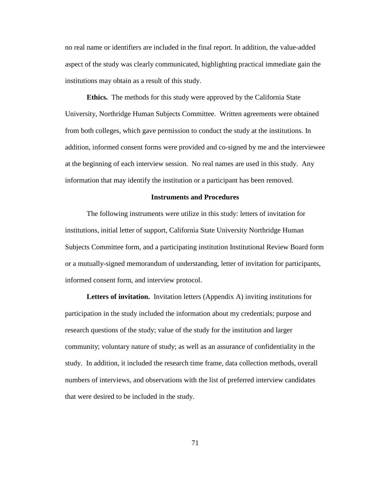no real name or identifiers are included in the final report. In addition, the value-added aspect of the study was clearly communicated, highlighting practical immediate gain the institutions may obtain as a result of this study.

**Ethics.** The methods for this study were approved by the California State University, Northridge Human Subjects Committee. Written agreements were obtained from both colleges, which gave permission to conduct the study at the institutions. In addition, informed consent forms were provided and co-signed by me and the interviewee at the beginning of each interview session. No real names are used in this study. Any information that may identify the institution or a participant has been removed.

## **Instruments and Procedures**

The following instruments were utilize in this study: letters of invitation for institutions, initial letter of support, California State University Northridge Human Subjects Committee form, and a participating institution Institutional Review Board form or a mutually-signed memorandum of understanding, letter of invitation for participants, informed consent form, and interview protocol.

**Letters of invitation.** Invitation letters (Appendix A) inviting institutions for participation in the study included the information about my credentials; purpose and research questions of the study; value of the study for the institution and larger community; voluntary nature of study; as well as an assurance of confidentiality in the study. In addition, it included the research time frame, data collection methods, overall numbers of interviews, and observations with the list of preferred interview candidates that were desired to be included in the study.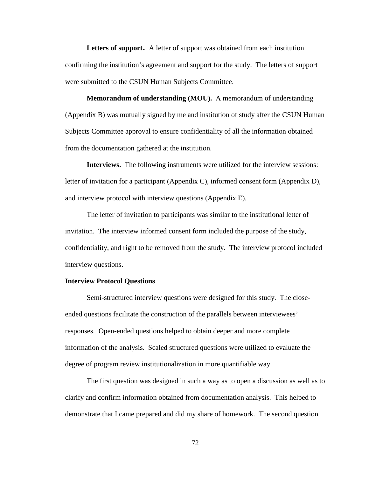**Letters of support.** A letter of support was obtained from each institution confirming the institution's agreement and support for the study. The letters of support were submitted to the CSUN Human Subjects Committee.

**Memorandum of understanding (MOU).** A memorandum of understanding (Appendix B) was mutually signed by me and institution of study after the CSUN Human Subjects Committee approval to ensure confidentiality of all the information obtained from the documentation gathered at the institution.

**Interviews.**The following instruments were utilized for the interview sessions: letter of invitation for a participant (Appendix C), informed consent form (Appendix D), and interview protocol with interview questions (Appendix E).

The letter of invitation to participants was similar to the institutional letter of invitation. The interview informed consent form included the purpose of the study, confidentiality, and right to be removed from the study. The interview protocol included interview questions.

## **Interview Protocol Questions**

Semi-structured interview questions were designed for this study. The closeended questions facilitate the construction of the parallels between interviewees' responses. Open-ended questions helped to obtain deeper and more complete information of the analysis. Scaled structured questions were utilized to evaluate the degree of program review institutionalization in more quantifiable way.

The first question was designed in such a way as to open a discussion as well as to clarify and confirm information obtained from documentation analysis. This helped to demonstrate that I came prepared and did my share of homework. The second question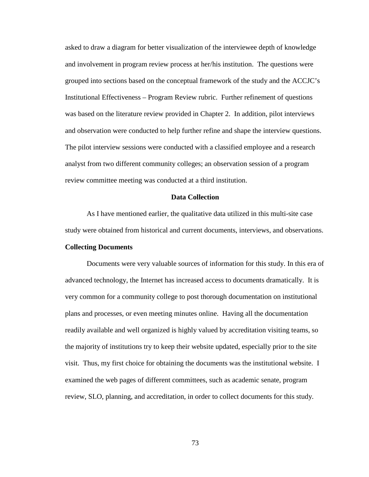asked to draw a diagram for better visualization of the interviewee depth of knowledge and involvement in program review process at her/his institution. The questions were grouped into sections based on the conceptual framework of the study and the ACCJC's Institutional Effectiveness – Program Review rubric. Further refinement of questions was based on the literature review provided in Chapter 2. In addition, pilot interviews and observation were conducted to help further refine and shape the interview questions. The pilot interview sessions were conducted with a classified employee and a research analyst from two different community colleges; an observation session of a program review committee meeting was conducted at a third institution.

## **Data Collection**

As I have mentioned earlier, the qualitative data utilized in this multi-site case study were obtained from historical and current documents, interviews, and observations.

## **Collecting Documents**

Documents were very valuable sources of information for this study. In this era of advanced technology, the Internet has increased access to documents dramatically. It is very common for a community college to post thorough documentation on institutional plans and processes, or even meeting minutes online. Having all the documentation readily available and well organized is highly valued by accreditation visiting teams, so the majority of institutions try to keep their website updated, especially prior to the site visit. Thus, my first choice for obtaining the documents was the institutional website. I examined the web pages of different committees, such as academic senate, program review, SLO, planning, and accreditation, in order to collect documents for this study.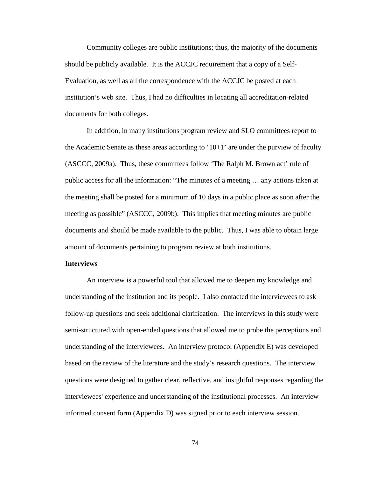Community colleges are public institutions; thus, the majority of the documents should be publicly available. It is the ACCJC requirement that a copy of a Self-Evaluation, as well as all the correspondence with the ACCJC be posted at each institution's web site. Thus, I had no difficulties in locating all accreditation-related documents for both colleges.

In addition, in many institutions program review and SLO committees report to the Academic Senate as these areas according to ' $10+1$ ' are under the purview of faculty (ASCCC, 2009a). Thus, these committees follow 'The Ralph M. Brown act' rule of public access for all the information: "The minutes of a meeting … any actions taken at the meeting shall be posted for a minimum of 10 days in a public place as soon after the meeting as possible" (ASCCC, 2009b). This implies that meeting minutes are public documents and should be made available to the public. Thus, I was able to obtain large amount of documents pertaining to program review at both institutions.

### **Interviews**

An interview is a powerful tool that allowed me to deepen my knowledge and understanding of the institution and its people. I also contacted the interviewees to ask follow-up questions and seek additional clarification. The interviews in this study were semi-structured with open-ended questions that allowed me to probe the perceptions and understanding of the interviewees. An interview protocol (Appendix E) was developed based on the review of the literature and the study's research questions. The interview questions were designed to gather clear, reflective, and insightful responses regarding the interviewees' experience and understanding of the institutional processes. An interview informed consent form (Appendix D) was signed prior to each interview session.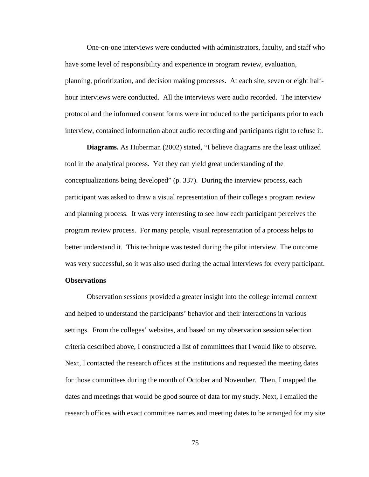One-on-one interviews were conducted with administrators, faculty, and staff who have some level of responsibility and experience in program review, evaluation, planning, prioritization, and decision making processes. At each site, seven or eight halfhour interviews were conducted. All the interviews were audio recorded. The interview protocol and the informed consent forms were introduced to the participants prior to each interview, contained information about audio recording and participants right to refuse it.

**Diagrams.** As Huberman (2002) stated, "I believe diagrams are the least utilized tool in the analytical process. Yet they can yield great understanding of the conceptualizations being developed" (p. 337). During the interview process, each participant was asked to draw a visual representation of their college's program review and planning process. It was very interesting to see how each participant perceives the program review process. For many people, visual representation of a process helps to better understand it. This technique was tested during the pilot interview. The outcome was very successful, so it was also used during the actual interviews for every participant. **Observations**

Observation sessions provided a greater insight into the college internal context and helped to understand the participants' behavior and their interactions in various settings. From the colleges' websites, and based on my observation session selection criteria described above, I constructed a list of committees that I would like to observe. Next, I contacted the research offices at the institutions and requested the meeting dates for those committees during the month of October and November. Then, I mapped the dates and meetings that would be good source of data for my study. Next, I emailed the research offices with exact committee names and meeting dates to be arranged for my site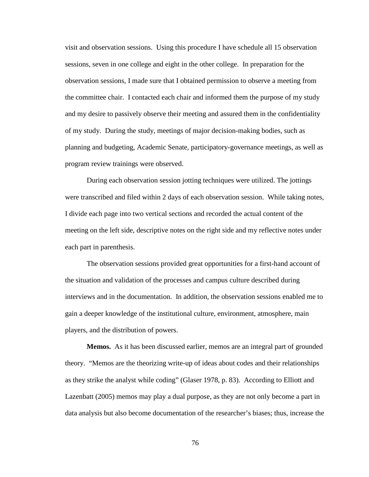visit and observation sessions. Using this procedure I have schedule all 15 observation sessions, seven in one college and eight in the other college. In preparation for the observation sessions, I made sure that I obtained permission to observe a meeting from the committee chair. I contacted each chair and informed them the purpose of my study and my desire to passively observe their meeting and assured them in the confidentiality of my study. During the study, meetings of major decision-making bodies, such as planning and budgeting, Academic Senate, participatory-governance meetings, as well as program review trainings were observed.

During each observation session jotting techniques were utilized. The jottings were transcribed and filed within 2 days of each observation session. While taking notes, I divide each page into two vertical sections and recorded the actual content of the meeting on the left side, descriptive notes on the right side and my reflective notes under each part in parenthesis.

The observation sessions provided great opportunities for a first-hand account of the situation and validation of the processes and campus culture described during interviews and in the documentation. In addition, the observation sessions enabled me to gain a deeper knowledge of the institutional culture, environment, atmosphere, main players, and the distribution of powers.

**Memos.** As it has been discussed earlier, memos are an integral part of grounded theory. "Memos are the theorizing write-up of ideas about codes and their relationships as they strike the analyst while coding" (Glaser 1978, p. 83). According to Elliott and Lazenbatt (2005) memos may play a dual purpose, as they are not only become a part in data analysis but also become documentation of the researcher's biases; thus, increase the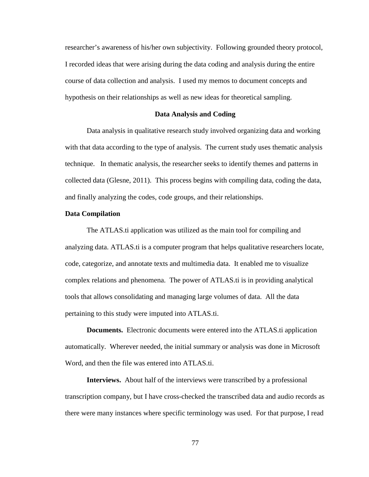researcher's awareness of his/her own subjectivity. Following grounded theory protocol, I recorded ideas that were arising during the data coding and analysis during the entire course of data collection and analysis. I used my memos to document concepts and hypothesis on their relationships as well as new ideas for theoretical sampling.

#### **Data Analysis and Coding**

Data analysis in qualitative research study involved organizing data and working with that data according to the type of analysis. The current study uses thematic analysis technique. In thematic analysis, the researcher seeks to identify themes and patterns in collected data [\(Glesne, 2011\)](#page-178-0). This process begins with compiling data, coding the data, and finally analyzing the codes, code groups, and their relationships.

#### **Data Compilation**

The ATLAS.ti application was utilized as the main tool for compiling and analyzing data. ATLAS.ti is a computer program that helps qualitative researchers locate, code, categorize, and annotate texts and multimedia data. It enabled me to visualize complex relations and phenomena. The power of ATLAS.ti is in providing analytical tools that allows consolidating and managing large volumes of data. All the data pertaining to this study were imputed into ATLAS.ti.

**Documents.** Electronic documents were entered into the ATLAS.ti application automatically. Wherever needed, the initial summary or analysis was done in Microsoft Word, and then the file was entered into ATLAS.ti.

**Interviews.** About half of the interviews were transcribed by a professional transcription company, but I have cross-checked the transcribed data and audio records as there were many instances where specific terminology was used. For that purpose, I read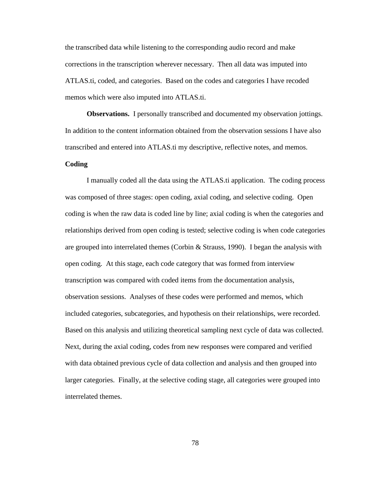the transcribed data while listening to the corresponding audio record and make corrections in the transcription wherever necessary. Then all data was imputed into ATLAS.ti, coded, and categories. Based on the codes and categories I have recoded memos which were also imputed into ATLAS.ti.

**Observations.** I personally transcribed and documented my observation jottings. In addition to the content information obtained from the observation sessions I have also transcribed and entered into ATLAS.ti my descriptive, reflective notes, and memos.

# **Coding**

I manually coded all the data using the ATLAS.ti application. The coding process was composed of three stages: open coding, axial coding, and selective coding. Open coding is when the raw data is coded line by line; axial coding is when the categories and relationships derived from open coding is tested; selective coding is when code categories are grouped into interrelated themes [\(Corbin & Strauss, 1990\)](#page-177-2). I began the analysis with open coding. At this stage, each code category that was formed from interview transcription was compared with coded items from the documentation analysis, observation sessions. Analyses of these codes were performed and memos, which included categories, subcategories, and hypothesis on their relationships, were recorded. Based on this analysis and utilizing theoretical sampling next cycle of data was collected. Next, during the axial coding, codes from new responses were compared and verified with data obtained previous cycle of data collection and analysis and then grouped into larger categories. Finally, at the selective coding stage, all categories were grouped into interrelated themes.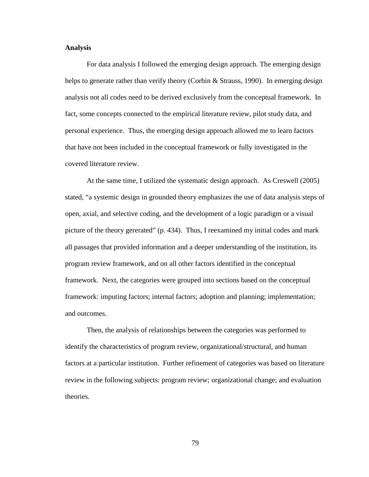## **Analysis**

For data analysis I followed the emerging design approach. The emerging design helps to generate rather than verify theory [\(Corbin & Strauss, 1990\)](#page-177-2). In emerging design analysis not all codes need to be derived exclusively from the conceptual framework. In fact, some concepts connected to the empirical literature review, pilot study data, and personal experience. Thus, the emerging design approach allowed me to learn factors that have not been included in the conceptual framework or fully investigated in the covered literature review.

At the same time, I utilized the systematic design approach. As Creswell (2005) stated, "a systemic design in grounded theory emphasizes the use of data analysis steps of open, axial, and selective coding, and the development of a logic paradigm or a visual picture of the theory gererated" (p. 434). Thus, I reexamined my initial codes and mark all passages that provided information and a deeper understanding of the institution, its program review framework, and on all other factors identified in the conceptual framework. Next, the categories were grouped into sections based on the conceptual framework: imputing factors; internal factors; adoption and planning; implementation; and outcomes.

Then, the analysis of relationships between the categories was performed to identify the characteristics of program review, organizational/structural, and human factors at a particular institution. Further refinement of categories was based on literature review in the following subjects: program review; organizational change; and evaluation theories.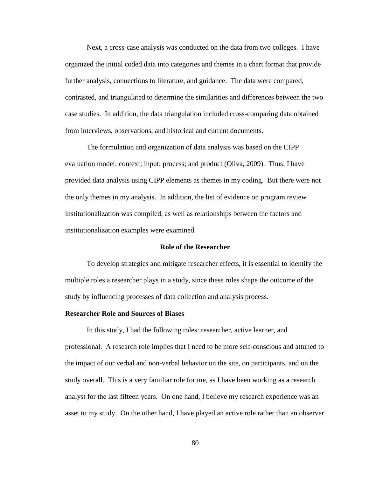Next, a cross-case analysis was conducted on the data from two colleges. I have organized the initial coded data into categories and themes in a chart format that provide further analysis, connections to literature, and guidance. The data were compared, contrasted, and triangulated to determine the similarities and differences between the two case studies. In addition, the data triangulation included cross-comparing data obtained from interviews, observations, and historical and current documents.

The formulation and organization of data analysis was based on the CIPP evaluation model: context; input; process; and product [\(Oliva, 2009\)](#page-180-2). Thus, I have provided data analysis using CIPP elements as themes in my coding. But there were not the only themes in my analysis. In addition, the list of evidence on program review institutionalization was compiled, as well as relationships between the factors and institutionalization examples were examined.

### **Role of the Researcher**

To develop strategies and mitigate researcher effects, it is essential to identify the multiple roles a researcher plays in a study, since these roles shape the outcome of the study by influencing processes of data collection and analysis process.

#### **Researcher Role and Sources of Biases**

In this study, I had the following roles: researcher, active learner, and professional. A research role implies that I need to be more self-conscious and attuned to the impact of our verbal and non-verbal behavior on the site, on participants, and on the study overall. This is a very familiar role for me, as I have been working as a research analyst for the last fifteen years. On one hand, I believe my research experience was an asset to my study. On the other hand, I have played an active role rather than an observer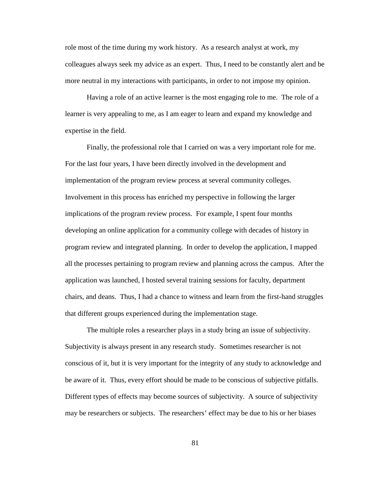role most of the time during my work history. As a research analyst at work, my colleagues always seek my advice as an expert. Thus, I need to be constantly alert and be more neutral in my interactions with participants, in order to not impose my opinion.

Having a role of an active learner is the most engaging role to me. The role of a learner is very appealing to me, as I am eager to learn and expand my knowledge and expertise in the field.

Finally, the professional role that I carried on was a very important role for me. For the last four years, I have been directly involved in the development and implementation of the program review process at several community colleges. Involvement in this process has enriched my perspective in following the larger implications of the program review process. For example, I spent four months developing an online application for a community college with decades of history in program review and integrated planning. In order to develop the application, I mapped all the processes pertaining to program review and planning across the campus. After the application was launched, I hosted several training sessions for faculty, department chairs, and deans. Thus, I had a chance to witness and learn from the first-hand struggles that different groups experienced during the implementation stage.

The multiple roles a researcher plays in a study bring an issue of subjectivity. Subjectivity is always present in any research study. Sometimes researcher is not conscious of it, but it is very important for the integrity of any study to acknowledge and be aware of it. Thus, every effort should be made to be conscious of subjective pitfalls. Different types of effects may become sources of subjectivity. A source of subjectivity may be researchers or subjects. The researchers' effect may be due to his or her biases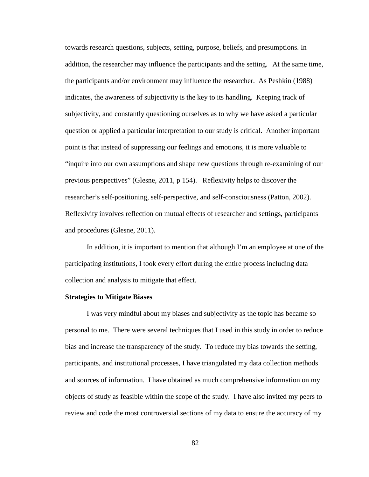towards research questions, subjects, setting, purpose, beliefs, and presumptions. In addition, the researcher may influence the participants and the setting. At the same time, the participants and/or environment may influence the researcher. As Peshkin (1988) indicates, the awareness of subjectivity is the key to its handling. Keeping track of subjectivity, and constantly questioning ourselves as to why we have asked a particular question or applied a particular interpretation to our study is critical. Another important point is that instead of suppressing our feelings and emotions, it is more valuable to "inquire into our own assumptions and shape new questions through re-examining of our previous perspectives" (Glesne, 2011, p 154). Reflexivity helps to discover the researcher's self-positioning, self-perspective, and self-consciousness [\(Patton, 2002\)](#page-180-0). Reflexivity involves reflection on mutual effects of researcher and settings, participants and procedures [\(Glesne, 2011\)](#page-178-0).

In addition, it is important to mention that although I'm an employee at one of the participating institutions, I took every effort during the entire process including data collection and analysis to mitigate that effect.

## **Strategies to Mitigate Biases**

I was very mindful about my biases and subjectivity as the topic has became so personal to me. There were several techniques that I used in this study in order to reduce bias and increase the transparency of the study. To reduce my bias towards the setting, participants, and institutional processes, I have triangulated my data collection methods and sources of information. I have obtained as much comprehensive information on my objects of study as feasible within the scope of the study. I have also invited my peers to review and code the most controversial sections of my data to ensure the accuracy of my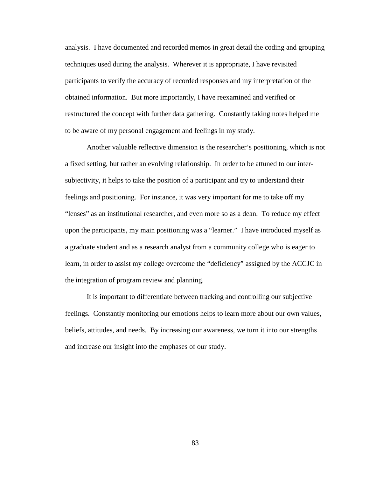analysis. I have documented and recorded memos in great detail the coding and grouping techniques used during the analysis. Wherever it is appropriate, I have revisited participants to verify the accuracy of recorded responses and my interpretation of the obtained information. But more importantly, I have reexamined and verified or restructured the concept with further data gathering. Constantly taking notes helped me to be aware of my personal engagement and feelings in my study.

Another valuable reflective dimension is the researcher's positioning, which is not a fixed setting, but rather an evolving relationship. In order to be attuned to our intersubjectivity, it helps to take the position of a participant and try to understand their feelings and positioning. For instance, it was very important for me to take off my "lenses" as an institutional researcher, and even more so as a dean. To reduce my effect upon the participants, my main positioning was a "learner." I have introduced myself as a graduate student and as a research analyst from a community college who is eager to learn, in order to assist my college overcome the "deficiency" assigned by the ACCJC in the integration of program review and planning.

It is important to differentiate between tracking and controlling our subjective feelings. Constantly monitoring our emotions helps to learn more about our own values, beliefs, attitudes, and needs. By increasing our awareness, we turn it into our strengths and increase our insight into the emphases of our study.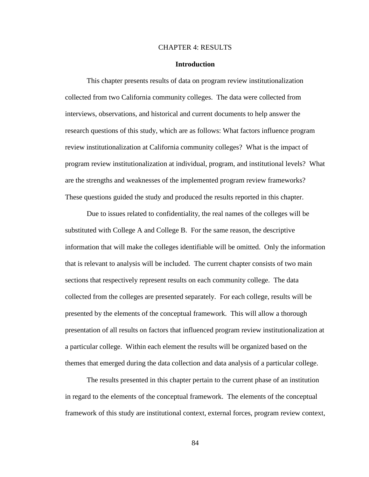#### CHAPTER 4: RESULTS

### **Introduction**

This chapter presents results of data on program review institutionalization collected from two California community colleges. The data were collected from interviews, observations, and historical and current documents to help answer the research questions of this study, which are as follows: What factors influence program review institutionalization at California community colleges? What is the impact of program review institutionalization at individual, program, and institutional levels? What are the strengths and weaknesses of the implemented program review frameworks? These questions guided the study and produced the results reported in this chapter.

Due to issues related to confidentiality, the real names of the colleges will be substituted with College A and College B. For the same reason, the descriptive information that will make the colleges identifiable will be omitted. Only the information that is relevant to analysis will be included. The current chapter consists of two main sections that respectively represent results on each community college. The data collected from the colleges are presented separately. For each college, results will be presented by the elements of the conceptual framework. This will allow a thorough presentation of all results on factors that influenced program review institutionalization at a particular college. Within each element the results will be organized based on the themes that emerged during the data collection and data analysis of a particular college.

The results presented in this chapter pertain to the current phase of an institution in regard to the elements of the conceptual framework. The elements of the conceptual framework of this study are institutional context, external forces, program review context,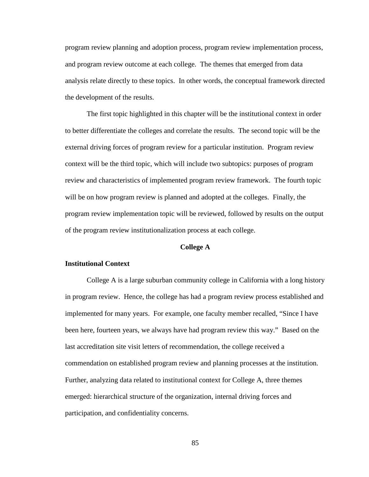program review planning and adoption process, program review implementation process, and program review outcome at each college. The themes that emerged from data analysis relate directly to these topics. In other words, the conceptual framework directed the development of the results.

The first topic highlighted in this chapter will be the institutional context in order to better differentiate the colleges and correlate the results. The second topic will be the external driving forces of program review for a particular institution. Program review context will be the third topic, which will include two subtopics: purposes of program review and characteristics of implemented program review framework. The fourth topic will be on how program review is planned and adopted at the colleges. Finally, the program review implementation topic will be reviewed, followed by results on the output of the program review institutionalization process at each college.

## **College A**

### **Institutional Context**

College A is a large suburban community college in California with a long history in program review. Hence, the college has had a program review process established and implemented for many years. For example, one faculty member recalled, "Since I have been here, fourteen years, we always have had program review this way." Based on the last accreditation site visit letters of recommendation, the college received a commendation on established program review and planning processes at the institution. Further, analyzing data related to institutional context for College A, three themes emerged: hierarchical structure of the organization, internal driving forces and participation, and confidentiality concerns.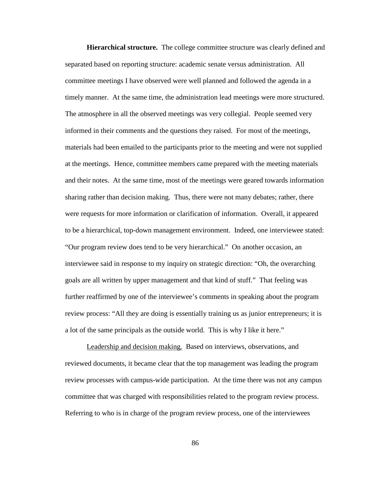**Hierarchical structure.** The college committee structure was clearly defined and separated based on reporting structure: academic senate versus administration. All committee meetings I have observed were well planned and followed the agenda in a timely manner. At the same time, the administration lead meetings were more structured. The atmosphere in all the observed meetings was very collegial. People seemed very informed in their comments and the questions they raised. For most of the meetings, materials had been emailed to the participants prior to the meeting and were not supplied at the meetings. Hence, committee members came prepared with the meeting materials and their notes. At the same time, most of the meetings were geared towards information sharing rather than decision making. Thus, there were not many debates; rather, there were requests for more information or clarification of information. Overall, it appeared to be a hierarchical, top-down management environment. Indeed, one interviewee stated: "Our program review does tend to be very hierarchical." On another occasion, an interviewee said in response to my inquiry on strategic direction: "Oh, the overarching goals are all written by upper management and that kind of stuff." That feeling was further reaffirmed by one of the interviewee's comments in speaking about the program review process: "All they are doing is essentially training us as junior entrepreneurs; it is a lot of the same principals as the outside world. This is why I like it here."

Leadership and decision making*.* Based on interviews, observations, and reviewed documents, it became clear that the top management was leading the program review processes with campus-wide participation. At the time there was not any campus committee that was charged with responsibilities related to the program review process. Referring to who is in charge of the program review process, one of the interviewees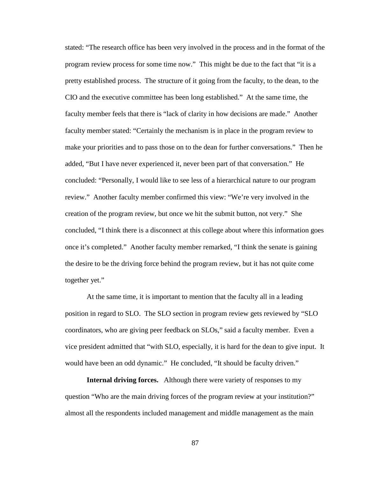stated: "The research office has been very involved in the process and in the format of the program review process for some time now." This might be due to the fact that "it is a pretty established process. The structure of it going from the faculty, to the dean, to the CIO and the executive committee has been long established." At the same time, the faculty member feels that there is "lack of clarity in how decisions are made." Another faculty member stated: "Certainly the mechanism is in place in the program review to make your priorities and to pass those on to the dean for further conversations." Then he added, "But I have never experienced it, never been part of that conversation." He concluded: "Personally, I would like to see less of a hierarchical nature to our program review." Another faculty member confirmed this view: "We're very involved in the creation of the program review, but once we hit the submit button, not very." She concluded, "I think there is a disconnect at this college about where this information goes once it's completed." Another faculty member remarked, "I think the senate is gaining the desire to be the driving force behind the program review, but it has not quite come together yet."

At the same time, it is important to mention that the faculty all in a leading position in regard to SLO. The SLO section in program review gets reviewed by "SLO coordinators, who are giving peer feedback on SLOs," said a faculty member. Even a vice president admitted that "with SLO, especially, it is hard for the dean to give input. It would have been an odd dynamic." He concluded, "It should be faculty driven."

**Internal driving forces.** Although there were variety of responses to my question "Who are the main driving forces of the program review at your institution?" almost all the respondents included management and middle management as the main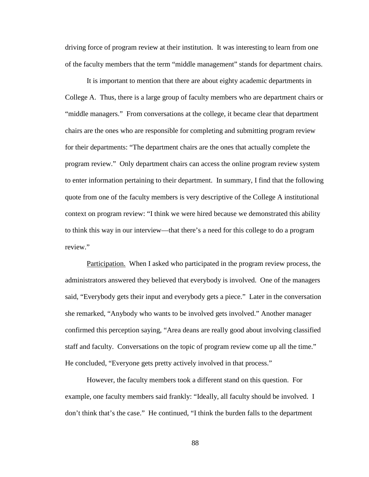driving force of program review at their institution. It was interesting to learn from one of the faculty members that the term "middle management" stands for department chairs.

It is important to mention that there are about eighty academic departments in College A. Thus, there is a large group of faculty members who are department chairs or "middle managers." From conversations at the college, it became clear that department chairs are the ones who are responsible for completing and submitting program review for their departments: "The department chairs are the ones that actually complete the program review." Only department chairs can access the online program review system to enter information pertaining to their department. In summary, I find that the following quote from one of the faculty members is very descriptive of the College A institutional context on program review: "I think we were hired because we demonstrated this ability to think this way in our interview—that there's a need for this college to do a program review."

Participation. When I asked who participated in the program review process, the administrators answered they believed that everybody is involved. One of the managers said, "Everybody gets their input and everybody gets a piece." Later in the conversation she remarked, "Anybody who wants to be involved gets involved." Another manager confirmed this perception saying, "Area deans are really good about involving classified staff and faculty. Conversations on the topic of program review come up all the time." He concluded, "Everyone gets pretty actively involved in that process."

However, the faculty members took a different stand on this question. For example, one faculty members said frankly: "Ideally, all faculty should be involved. I don't think that's the case." He continued, "I think the burden falls to the department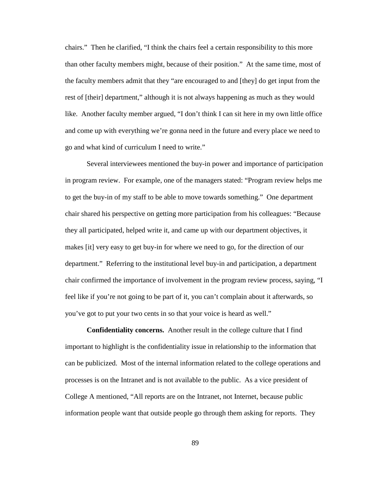chairs." Then he clarified, "I think the chairs feel a certain responsibility to this more than other faculty members might, because of their position." At the same time, most of the faculty members admit that they "are encouraged to and [they] do get input from the rest of [their] department," although it is not always happening as much as they would like. Another faculty member argued, "I don't think I can sit here in my own little office and come up with everything we're gonna need in the future and every place we need to go and what kind of curriculum I need to write."

Several interviewees mentioned the buy-in power and importance of participation in program review. For example, one of the managers stated: "Program review helps me to get the buy-in of my staff to be able to move towards something." One department chair shared his perspective on getting more participation from his colleagues: "Because they all participated, helped write it, and came up with our department objectives, it makes [it] very easy to get buy-in for where we need to go, for the direction of our department." Referring to the institutional level buy-in and participation, a department chair confirmed the importance of involvement in the program review process, saying, "I feel like if you're not going to be part of it, you can't complain about it afterwards, so you've got to put your two cents in so that your voice is heard as well."

**Confidentiality concerns.** Another result in the college culture that I find important to highlight is the confidentiality issue in relationship to the information that can be publicized. Most of the internal information related to the college operations and processes is on the Intranet and is not available to the public. As a vice president of College A mentioned, "All reports are on the Intranet, not Internet, because public information people want that outside people go through them asking for reports. They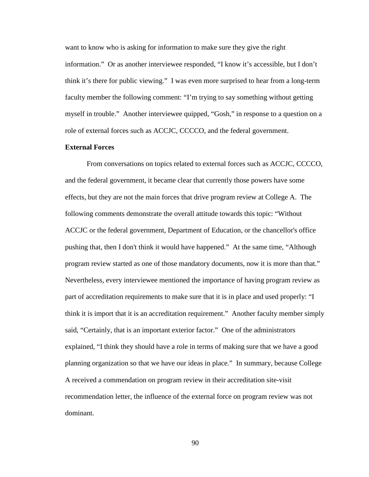want to know who is asking for information to make sure they give the right information." Or as another interviewee responded, "I know it's accessible, but I don't think it's there for public viewing." I was even more surprised to hear from a long-term faculty member the following comment: "I'm trying to say something without getting myself in trouble." Another interviewee quipped, "Gosh," in response to a question on a role of external forces such as ACCJC, CCCCO, and the federal government.

## **External Forces**

From conversations on topics related to external forces such as ACCJC, CCCCO, and the federal government, it became clear that currently those powers have some effects, but they are not the main forces that drive program review at College A. The following comments demonstrate the overall attitude towards this topic: "Without ACCJC or the federal government, Department of Education, or the chancellor's office pushing that, then I don't think it would have happened." At the same time, "Although program review started as one of those mandatory documents, now it is more than that." Nevertheless, every interviewee mentioned the importance of having program review as part of accreditation requirements to make sure that it is in place and used properly: "I think it is import that it is an accreditation requirement." Another faculty member simply said, "Certainly, that is an important exterior factor." One of the administrators explained, "I think they should have a role in terms of making sure that we have a good planning organization so that we have our ideas in place." In summary, because College A received a commendation on program review in their accreditation site-visit recommendation letter, the influence of the external force on program review was not dominant.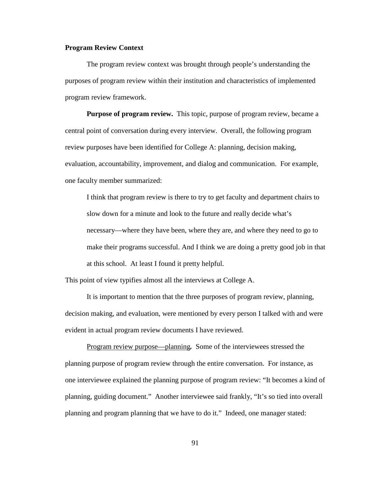## **Program Review Context**

The program review context was brought through people's understanding the purposes of program review within their institution and characteristics of implemented program review framework.

**Purpose of program review.** This topic, purpose of program review, became a central point of conversation during every interview. Overall, the following program review purposes have been identified for College A: planning, decision making, evaluation, accountability, improvement, and dialog and communication. For example, one faculty member summarized:

I think that program review is there to try to get faculty and department chairs to slow down for a minute and look to the future and really decide what's necessary—where they have been, where they are, and where they need to go to make their programs successful. And I think we are doing a pretty good job in that at this school. At least I found it pretty helpful.

This point of view typifies almost all the interviews at College A.

It is important to mention that the three purposes of program review, planning, decision making, and evaluation, were mentioned by every person I talked with and were evident in actual program review documents I have reviewed.

Program review purpose—planning*.* Some of the interviewees stressed the planning purpose of program review through the entire conversation. For instance, as one interviewee explained the planning purpose of program review: "It becomes a kind of planning, guiding document." Another interviewee said frankly, "It's so tied into overall planning and program planning that we have to do it." Indeed, one manager stated: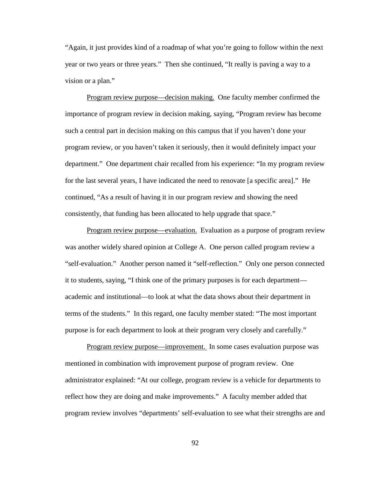"Again, it just provides kind of a roadmap of what you're going to follow within the next year or two years or three years." Then she continued, "It really is paving a way to a vision or a plan."

Program review purpose—decision making. One faculty member confirmed the importance of program review in decision making, saying, "Program review has become such a central part in decision making on this campus that if you haven't done your program review, or you haven't taken it seriously, then it would definitely impact your department." One department chair recalled from his experience: "In my program review for the last several years, I have indicated the need to renovate [a specific area]." He continued, "As a result of having it in our program review and showing the need consistently, that funding has been allocated to help upgrade that space."

Program review purpose—evaluation. Evaluation as a purpose of program review was another widely shared opinion at College A. One person called program review a "self-evaluation." Another person named it "self-reflection." Only one person connected it to students, saying, "I think one of the primary purposes is for each department academic and institutional—to look at what the data shows about their department in terms of the students." In this regard, one faculty member stated: "The most important purpose is for each department to look at their program very closely and carefully."

Program review purpose—improvement. In some cases evaluation purpose was mentioned in combination with improvement purpose of program review. One administrator explained: "At our college, program review is a vehicle for departments to reflect how they are doing and make improvements." A faculty member added that program review involves "departments' self-evaluation to see what their strengths are and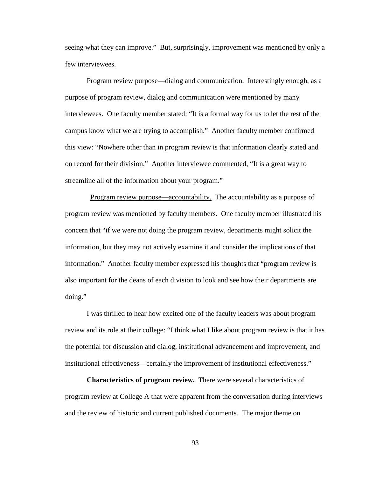seeing what they can improve." But, surprisingly, improvement was mentioned by only a few interviewees.

Program review purpose—dialog and communication. Interestingly enough, as a purpose of program review, dialog and communication were mentioned by many interviewees. One faculty member stated: "It is a formal way for us to let the rest of the campus know what we are trying to accomplish." Another faculty member confirmed this view: "Nowhere other than in program review is that information clearly stated and on record for their division." Another interviewee commented, "It is a great way to streamline all of the information about your program."

 Program review purpose—accountability. The accountability as a purpose of program review was mentioned by faculty members. One faculty member illustrated his concern that "if we were not doing the program review, departments might solicit the information, but they may not actively examine it and consider the implications of that information." Another faculty member expressed his thoughts that "program review is also important for the deans of each division to look and see how their departments are doing."

I was thrilled to hear how excited one of the faculty leaders was about program review and its role at their college: "I think what I like about program review is that it has the potential for discussion and dialog, institutional advancement and improvement, and institutional effectiveness—certainly the improvement of institutional effectiveness."

**Characteristics of program review.** There were several characteristics of program review at College A that were apparent from the conversation during interviews and the review of historic and current published documents. The major theme on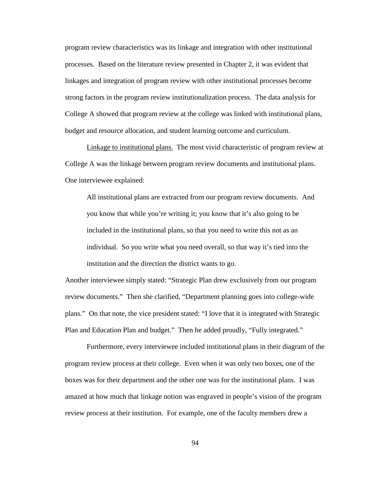program review characteristics was its linkage and integration with other institutional processes. Based on the literature review presented in Chapter 2, it was evident that linkages and integration of program review with other institutional processes become strong factors in the program review institutionalization process. The data analysis for College A showed that program review at the college was linked with institutional plans, budget and resource allocation, and student learning outcome and curriculum.

Linkage to institutional plans. The most vivid characteristic of program review at College A was the linkage between program review documents and institutional plans. One interviewee explained:

All institutional plans are extracted from our program review documents. And you know that while you're writing it; you know that it's also going to be included in the institutional plans, so that you need to write this not as an individual. So you write what you need overall, so that way it's tied into the institution and the direction the district wants to go.

Another interviewee simply stated: "Strategic Plan drew exclusively from our program review documents." Then she clarified, "Department planning goes into college-wide plans." On that note, the vice president stated: "I love that it is integrated with Strategic Plan and Education Plan and budget." Then he added proudly, "Fully integrated."

Furthermore, every interviewee included institutional plans in their diagram of the program review process at their college. Even when it was only two boxes, one of the boxes was for their department and the other one was for the institutional plans. I was amazed at how much that linkage notion was engraved in people's vision of the program review process at their institution. For example, one of the faculty members drew a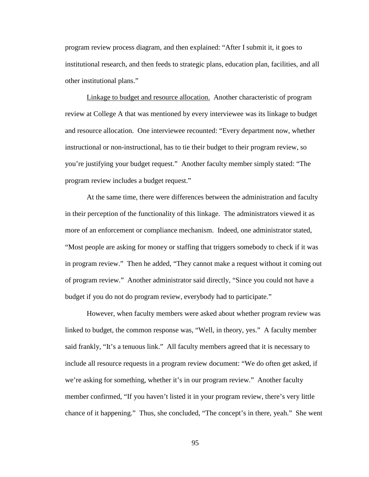program review process diagram, and then explained: "After I submit it, it goes to institutional research, and then feeds to strategic plans, education plan, facilities, and all other institutional plans."

Linkage to budget and resource allocation. Another characteristic of program review at College A that was mentioned by every interviewee was its linkage to budget and resource allocation. One interviewee recounted: "Every department now, whether instructional or non-instructional, has to tie their budget to their program review, so you're justifying your budget request." Another faculty member simply stated: "The program review includes a budget request."

At the same time, there were differences between the administration and faculty in their perception of the functionality of this linkage. The administrators viewed it as more of an enforcement or compliance mechanism. Indeed, one administrator stated, "Most people are asking for money or staffing that triggers somebody to check if it was in program review." Then he added, "They cannot make a request without it coming out of program review." Another administrator said directly, "Since you could not have a budget if you do not do program review, everybody had to participate."

However, when faculty members were asked about whether program review was linked to budget, the common response was, "Well, in theory, yes." A faculty member said frankly, "It's a tenuous link." All faculty members agreed that it is necessary to include all resource requests in a program review document: "We do often get asked, if we're asking for something, whether it's in our program review." Another faculty member confirmed, "If you haven't listed it in your program review, there's very little chance of it happening." Thus, she concluded, "The concept's in there, yeah." She went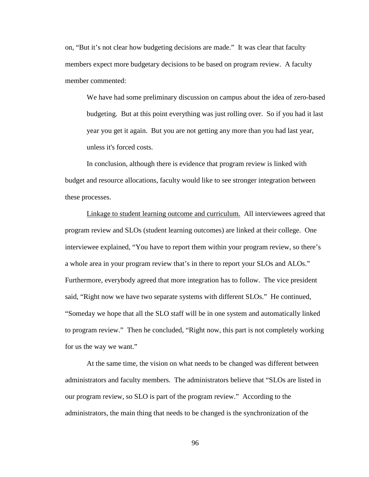on, "But it's not clear how budgeting decisions are made." It was clear that faculty members expect more budgetary decisions to be based on program review. A faculty member commented:

We have had some preliminary discussion on campus about the idea of zero-based budgeting. But at this point everything was just rolling over. So if you had it last year you get it again. But you are not getting any more than you had last year, unless it's forced costs.

In conclusion, although there is evidence that program review is linked with budget and resource allocations, faculty would like to see stronger integration between these processes.

Linkage to student learning outcome and curriculum. All interviewees agreed that program review and SLOs (student learning outcomes) are linked at their college. One interviewee explained, "You have to report them within your program review, so there's a whole area in your program review that's in there to report your SLOs and ALOs." Furthermore, everybody agreed that more integration has to follow. The vice president said, "Right now we have two separate systems with different SLOs." He continued, "Someday we hope that all the SLO staff will be in one system and automatically linked to program review." Then he concluded, "Right now, this part is not completely working for us the way we want."

At the same time, the vision on what needs to be changed was different between administrators and faculty members. The administrators believe that "SLOs are listed in our program review, so SLO is part of the program review." According to the administrators, the main thing that needs to be changed is the synchronization of the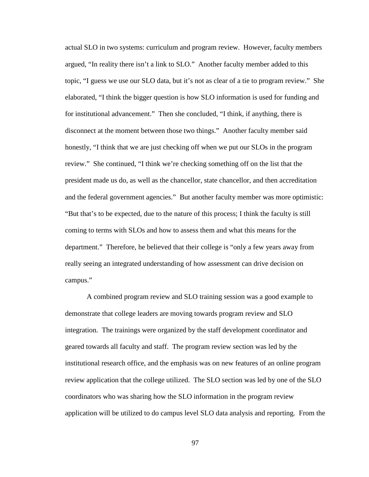actual SLO in two systems: curriculum and program review. However, faculty members argued, "In reality there isn't a link to SLO." Another faculty member added to this topic, "I guess we use our SLO data, but it's not as clear of a tie to program review." She elaborated, "I think the bigger question is how SLO information is used for funding and for institutional advancement." Then she concluded, "I think, if anything, there is disconnect at the moment between those two things." Another faculty member said honestly, "I think that we are just checking off when we put our SLOs in the program review." She continued, "I think we're checking something off on the list that the president made us do, as well as the chancellor, state chancellor, and then accreditation and the federal government agencies." But another faculty member was more optimistic: "But that's to be expected, due to the nature of this process; I think the faculty is still coming to terms with SLOs and how to assess them and what this means for the department." Therefore, he believed that their college is "only a few years away from really seeing an integrated understanding of how assessment can drive decision on campus."

A combined program review and SLO training session was a good example to demonstrate that college leaders are moving towards program review and SLO integration. The trainings were organized by the staff development coordinator and geared towards all faculty and staff. The program review section was led by the institutional research office, and the emphasis was on new features of an online program review application that the college utilized. The SLO section was led by one of the SLO coordinators who was sharing how the SLO information in the program review application will be utilized to do campus level SLO data analysis and reporting. From the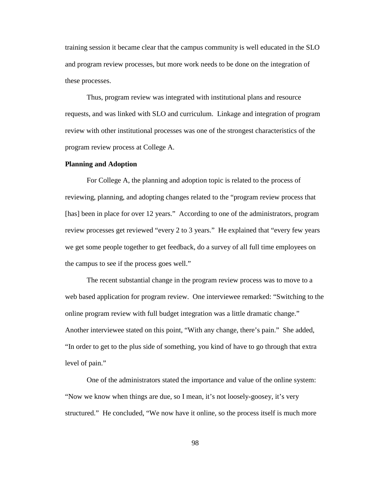training session it became clear that the campus community is well educated in the SLO and program review processes, but more work needs to be done on the integration of these processes.

Thus, program review was integrated with institutional plans and resource requests, and was linked with SLO and curriculum. Linkage and integration of program review with other institutional processes was one of the strongest characteristics of the program review process at College A.

#### **Planning and Adoption**

For College A, the planning and adoption topic is related to the process of reviewing, planning, and adopting changes related to the "program review process that [has] been in place for over 12 years." According to one of the administrators, program review processes get reviewed "every 2 to 3 years." He explained that "every few years we get some people together to get feedback, do a survey of all full time employees on the campus to see if the process goes well."

The recent substantial change in the program review process was to move to a web based application for program review. One interviewee remarked: "Switching to the online program review with full budget integration was a little dramatic change." Another interviewee stated on this point, "With any change, there's pain." She added, "In order to get to the plus side of something, you kind of have to go through that extra level of pain."

One of the administrators stated the importance and value of the online system: "Now we know when things are due, so I mean, it's not loosely-goosey, it's very structured." He concluded, "We now have it online, so the process itself is much more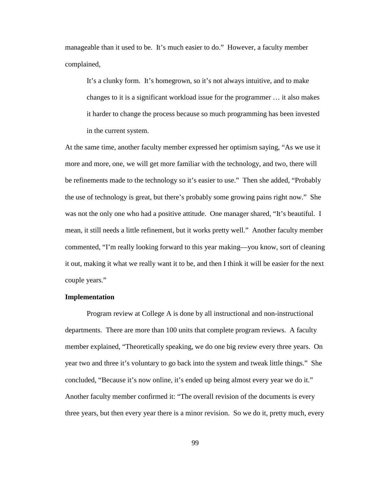manageable than it used to be. It's much easier to do." However, a faculty member complained,

It's a clunky form. It's homegrown, so it's not always intuitive, and to make changes to it is a significant workload issue for the programmer … it also makes it harder to change the process because so much programming has been invested in the current system.

At the same time, another faculty member expressed her optimism saying, "As we use it more and more, one, we will get more familiar with the technology, and two, there will be refinements made to the technology so it's easier to use." Then she added, "Probably the use of technology is great, but there's probably some growing pains right now." She was not the only one who had a positive attitude. One manager shared, "It's beautiful. I mean, it still needs a little refinement, but it works pretty well." Another faculty member commented, "I'm really looking forward to this year making—you know, sort of cleaning it out, making it what we really want it to be, and then I think it will be easier for the next couple years."

### **Implementation**

Program review at College A is done by all instructional and non-instructional departments. There are more than 100 units that complete program reviews. A faculty member explained, "Theoretically speaking, we do one big review every three years. On year two and three it's voluntary to go back into the system and tweak little things." She concluded, "Because it's now online, it's ended up being almost every year we do it." Another faculty member confirmed it: "The overall revision of the documents is every three years, but then every year there is a minor revision. So we do it, pretty much, every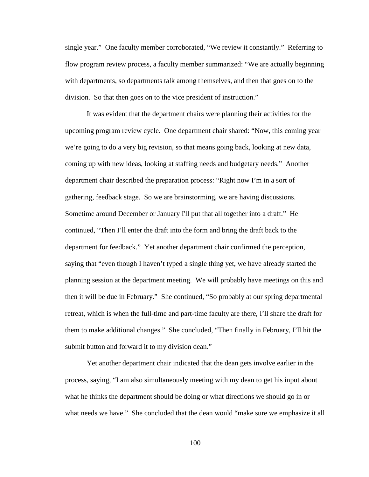single year." One faculty member corroborated, "We review it constantly." Referring to flow program review process, a faculty member summarized: "We are actually beginning with departments, so departments talk among themselves, and then that goes on to the division. So that then goes on to the vice president of instruction."

It was evident that the department chairs were planning their activities for the upcoming program review cycle. One department chair shared: "Now, this coming year we're going to do a very big revision, so that means going back, looking at new data, coming up with new ideas, looking at staffing needs and budgetary needs." Another department chair described the preparation process: "Right now I'm in a sort of gathering, feedback stage. So we are brainstorming, we are having discussions. Sometime around December or January I'll put that all together into a draft." He continued, "Then I'll enter the draft into the form and bring the draft back to the department for feedback." Yet another department chair confirmed the perception, saying that "even though I haven't typed a single thing yet, we have already started the planning session at the department meeting. We will probably have meetings on this and then it will be due in February." She continued, "So probably at our spring departmental retreat, which is when the full-time and part-time faculty are there, I'll share the draft for them to make additional changes." She concluded, "Then finally in February, I'll hit the submit button and forward it to my division dean."

Yet another department chair indicated that the dean gets involve earlier in the process, saying, "I am also simultaneously meeting with my dean to get his input about what he thinks the department should be doing or what directions we should go in or what needs we have." She concluded that the dean would "make sure we emphasize it all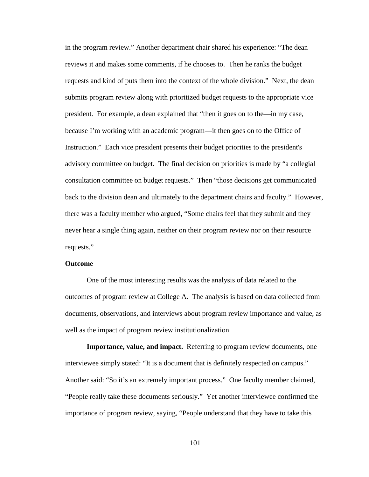in the program review." Another department chair shared his experience: "The dean reviews it and makes some comments, if he chooses to. Then he ranks the budget requests and kind of puts them into the context of the whole division." Next, the dean submits program review along with prioritized budget requests to the appropriate vice president. For example, a dean explained that "then it goes on to the—in my case, because I'm working with an academic program—it then goes on to the Office of Instruction." Each vice president presents their budget priorities to the president's advisory committee on budget. The final decision on priorities is made by "a collegial consultation committee on budget requests." Then "those decisions get communicated back to the division dean and ultimately to the department chairs and faculty." However, there was a faculty member who argued, "Some chairs feel that they submit and they never hear a single thing again, neither on their program review nor on their resource requests."

### **Outcome**

One of the most interesting results was the analysis of data related to the outcomes of program review at College A. The analysis is based on data collected from documents, observations, and interviews about program review importance and value, as well as the impact of program review institutionalization.

**Importance, value, and impact.** Referring to program review documents, one interviewee simply stated: "It is a document that is definitely respected on campus." Another said: "So it's an extremely important process." One faculty member claimed, "People really take these documents seriously." Yet another interviewee confirmed the importance of program review, saying, "People understand that they have to take this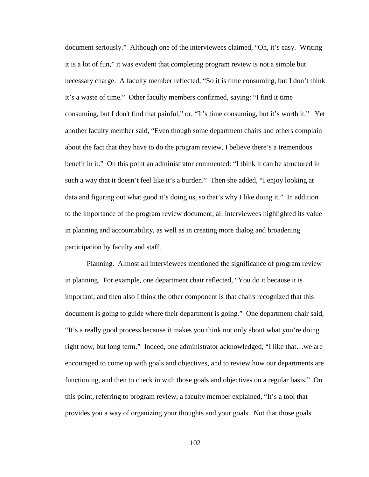document seriously." Although one of the interviewees claimed, "Oh, it's easy. Writing it is a lot of fun," it was evident that completing program review is not a simple but necessary charge. A faculty member reflected, "So it is time consuming, but I don't think it's a waste of time." Other faculty members confirmed, saying: "I find it time consuming, but I don't find that painful," or, "It's time consuming, but it's worth it." Yet another faculty member said, "Even though some department chairs and others complain about the fact that they have to do the program review, I believe there's a tremendous benefit in it." On this point an administrator commented: "I think it can be structured in such a way that it doesn't feel like it's a burden." Then she added, "I enjoy looking at data and figuring out what good it's doing us, so that's why I like doing it." In addition to the importance of the program review document, all interviewees highlighted its value in planning and accountability, as well as in creating more dialog and broadening participation by faculty and staff.

Planning. Almost all interviewees mentioned the significance of program review in planning. For example, one department chair reflected, "You do it because it is important, and then also I think the other component is that chairs recognized that this document is going to guide where their department is going." One department chair said, "It's a really good process because it makes you think not only about what you're doing right now, but long term." Indeed, one administrator acknowledged, "I like that…we are encouraged to come up with goals and objectives, and to review how our departments are functioning, and then to check in with those goals and objectives on a regular basis." On this point, referring to program review, a faculty member explained, "It's a tool that provides you a way of organizing your thoughts and your goals. Not that those goals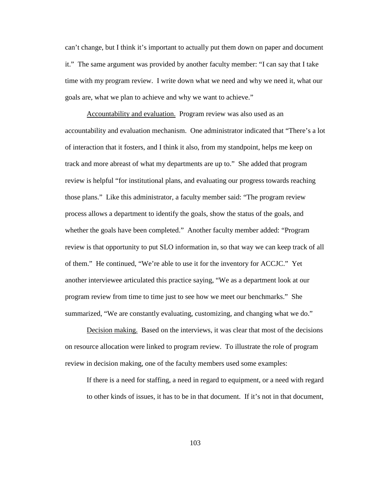can't change, but I think it's important to actually put them down on paper and document it." The same argument was provided by another faculty member: "I can say that I take time with my program review. I write down what we need and why we need it, what our goals are, what we plan to achieve and why we want to achieve."

Accountability and evaluation. Program review was also used as an accountability and evaluation mechanism. One administrator indicated that "There's a lot of interaction that it fosters, and I think it also, from my standpoint, helps me keep on track and more abreast of what my departments are up to." She added that program review is helpful "for institutional plans, and evaluating our progress towards reaching those plans." Like this administrator, a faculty member said: "The program review process allows a department to identify the goals, show the status of the goals, and whether the goals have been completed." Another faculty member added: "Program review is that opportunity to put SLO information in, so that way we can keep track of all of them." He continued, "We're able to use it for the inventory for ACCJC." Yet another interviewee articulated this practice saying, "We as a department look at our program review from time to time just to see how we meet our benchmarks." She summarized, "We are constantly evaluating, customizing, and changing what we do."

Decision making. Based on the interviews, it was clear that most of the decisions on resource allocation were linked to program review. To illustrate the role of program review in decision making, one of the faculty members used some examples:

If there is a need for staffing, a need in regard to equipment, or a need with regard to other kinds of issues, it has to be in that document. If it's not in that document,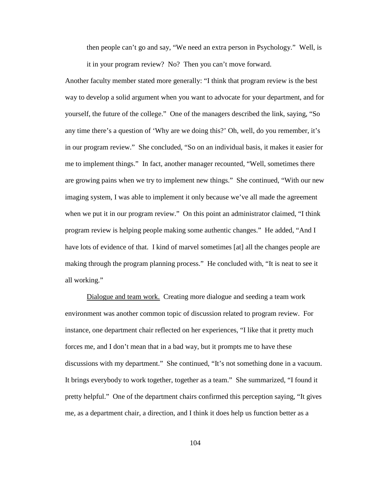then people can't go and say, "We need an extra person in Psychology." Well, is it in your program review? No? Then you can't move forward.

Another faculty member stated more generally: "I think that program review is the best way to develop a solid argument when you want to advocate for your department, and for yourself, the future of the college." One of the managers described the link, saying, "So any time there's a question of 'Why are we doing this?' Oh, well, do you remember, it's in our program review." She concluded, "So on an individual basis, it makes it easier for me to implement things." In fact, another manager recounted, "Well, sometimes there are growing pains when we try to implement new things." She continued, "With our new imaging system, I was able to implement it only because we've all made the agreement when we put it in our program review." On this point an administrator claimed, "I think program review is helping people making some authentic changes." He added, "And I have lots of evidence of that. I kind of marvel sometimes [at] all the changes people are making through the program planning process." He concluded with, "It is neat to see it all working."

Dialogue and team work. Creating more dialogue and seeding a team work environment was another common topic of discussion related to program review. For instance, one department chair reflected on her experiences, "I like that it pretty much forces me, and I don't mean that in a bad way, but it prompts me to have these discussions with my department." She continued, "It's not something done in a vacuum. It brings everybody to work together, together as a team." She summarized, "I found it pretty helpful." One of the department chairs confirmed this perception saying, "It gives me, as a department chair, a direction, and I think it does help us function better as a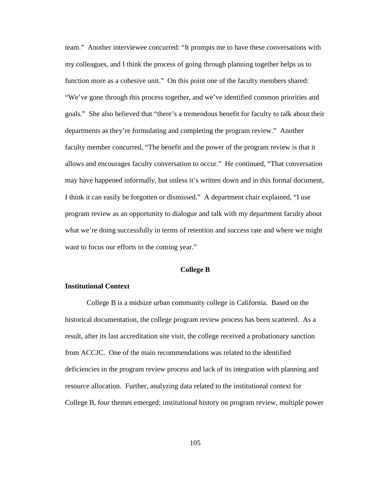team." Another interviewee concurred: "It prompts me to have these conversations with my colleagues, and I think the process of going through planning together helps us to function more as a cohesive unit." On this point one of the faculty members shared: "We've gone through this process together, and we've identified common priorities and goals." She also believed that "there's a tremendous benefit for faculty to talk about their departments as they're formulating and completing the program review." Another faculty member concurred, "The benefit and the power of the program review is that it allows and encourages faculty conversation to occur." He continued, "That conversation may have happened informally, but unless it's written down and in this formal document, I think it can easily be forgotten or dismissed." A department chair explained, "I use program review as an opportunity to dialogue and talk with my department faculty about what we're doing successfully in terms of retention and success rate and where we might want to focus our efforts in the coming year."

# **College B**

### **Institutional Context**

College B is a midsize urban community college in California. Based on the historical documentation, the college program review process has been scattered. As a result, after its last accreditation site visit, the college received a probationary sanction from ACCJC. One of the main recommendations was related to the identified deficiencies in the program review process and lack of its integration with planning and resource allocation. Further, analyzing data related to the institutional context for College B, four themes emerged: institutional history on program review, multiple power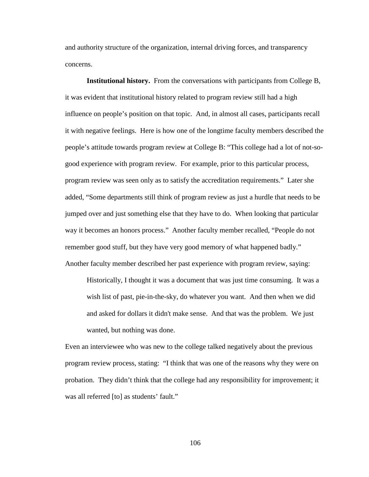and authority structure of the organization, internal driving forces, and transparency concerns.

**Institutional history.** From the conversations with participants from College B, it was evident that institutional history related to program review still had a high influence on people's position on that topic. And, in almost all cases, participants recall it with negative feelings. Here is how one of the longtime faculty members described the people's attitude towards program review at College B: "This college had a lot of not-sogood experience with program review. For example, prior to this particular process, program review was seen only as to satisfy the accreditation requirements." Later she added, "Some departments still think of program review as just a hurdle that needs to be jumped over and just something else that they have to do. When looking that particular way it becomes an honors process." Another faculty member recalled, "People do not remember good stuff, but they have very good memory of what happened badly." Another faculty member described her past experience with program review, saying:

Historically, I thought it was a document that was just time consuming. It was a wish list of past, pie-in-the-sky, do whatever you want. And then when we did and asked for dollars it didn't make sense. And that was the problem. We just wanted, but nothing was done.

Even an interviewee who was new to the college talked negatively about the previous program review process, stating: "I think that was one of the reasons why they were on probation. They didn't think that the college had any responsibility for improvement; it was all referred [to] as students' fault."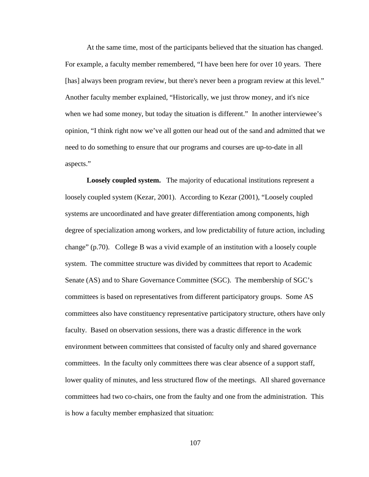At the same time, most of the participants believed that the situation has changed. For example, a faculty member remembered, "I have been here for over 10 years. There [has] always been program review, but there's never been a program review at this level." Another faculty member explained, "Historically, we just throw money, and it's nice when we had some money, but today the situation is different." In another interviewee's opinion, "I think right now we've all gotten our head out of the sand and admitted that we need to do something to ensure that our programs and courses are up-to-date in all aspects."

**Loosely coupled system.** The majority of educational institutions represent a loosely coupled system (Kezar, 2001). According to Kezar (2001), "Loosely coupled systems are uncoordinated and have greater differentiation among components, high degree of specialization among workers, and low predictability of future action, including change" (p.70). College B was a vivid example of an institution with a loosely couple system. The committee structure was divided by committees that report to Academic Senate (AS) and to Share Governance Committee (SGC). The membership of SGC's committees is based on representatives from different participatory groups. Some AS committees also have constituency representative participatory structure, others have only faculty. Based on observation sessions, there was a drastic difference in the work environment between committees that consisted of faculty only and shared governance committees. In the faculty only committees there was clear absence of a support staff, lower quality of minutes, and less structured flow of the meetings. All shared governance committees had two co-chairs, one from the faulty and one from the administration. This is how a faculty member emphasized that situation: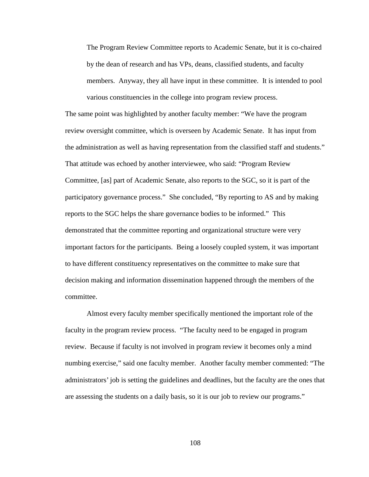The Program Review Committee reports to Academic Senate, but it is co-chaired by the dean of research and has VPs, deans, classified students, and faculty members. Anyway, they all have input in these committee. It is intended to pool various constituencies in the college into program review process.

The same point was highlighted by another faculty member: "We have the program review oversight committee, which is overseen by Academic Senate. It has input from the administration as well as having representation from the classified staff and students." That attitude was echoed by another interviewee, who said: "Program Review Committee, [as] part of Academic Senate, also reports to the SGC, so it is part of the participatory governance process." She concluded, "By reporting to AS and by making reports to the SGC helps the share governance bodies to be informed." This demonstrated that the committee reporting and organizational structure were very important factors for the participants. Being a loosely coupled system, it was important to have different constituency representatives on the committee to make sure that decision making and information dissemination happened through the members of the committee.

Almost every faculty member specifically mentioned the important role of the faculty in the program review process. "The faculty need to be engaged in program review. Because if faculty is not involved in program review it becomes only a mind numbing exercise," said one faculty member. Another faculty member commented: "The administrators' job is setting the guidelines and deadlines, but the faculty are the ones that are assessing the students on a daily basis, so it is our job to review our programs."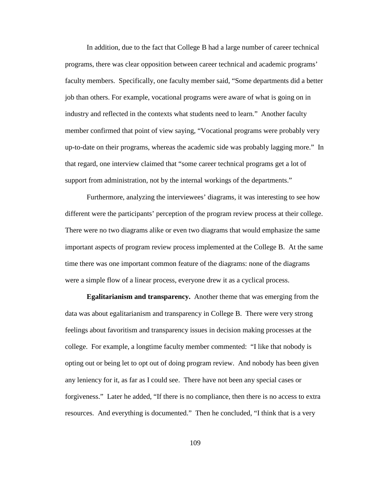In addition, due to the fact that College B had a large number of career technical programs, there was clear opposition between career technical and academic programs' faculty members. Specifically, one faculty member said, "Some departments did a better job than others. For example, vocational programs were aware of what is going on in industry and reflected in the contexts what students need to learn." Another faculty member confirmed that point of view saying, "Vocational programs were probably very up-to-date on their programs, whereas the academic side was probably lagging more." In that regard, one interview claimed that "some career technical programs get a lot of support from administration, not by the internal workings of the departments."

Furthermore, analyzing the interviewees' diagrams, it was interesting to see how different were the participants' perception of the program review process at their college. There were no two diagrams alike or even two diagrams that would emphasize the same important aspects of program review process implemented at the College B. At the same time there was one important common feature of the diagrams: none of the diagrams were a simple flow of a linear process, everyone drew it as a cyclical process.

**Egalitarianism and transparency.** Another theme that was emerging from the data was about egalitarianism and transparency in College B. There were very strong feelings about favoritism and transparency issues in decision making processes at the college. For example, a longtime faculty member commented: "I like that nobody is opting out or being let to opt out of doing program review. And nobody has been given any leniency for it, as far as I could see. There have not been any special cases or forgiveness." Later he added, "If there is no compliance, then there is no access to extra resources. And everything is documented." Then he concluded, "I think that is a very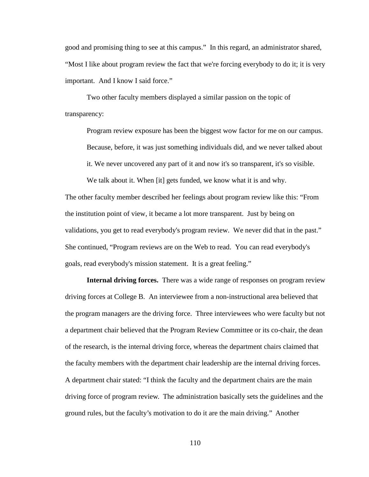good and promising thing to see at this campus." In this regard, an administrator shared, "Most I like about program review the fact that we're forcing everybody to do it; it is very important. And I know I said force."

Two other faculty members displayed a similar passion on the topic of transparency:

Program review exposure has been the biggest wow factor for me on our campus. Because, before, it was just something individuals did, and we never talked about

it. We never uncovered any part of it and now it's so transparent, it's so visible.

We talk about it. When [it] gets funded, we know what it is and why.

The other faculty member described her feelings about program review like this: "From the institution point of view, it became a lot more transparent. Just by being on validations, you get to read everybody's program review. We never did that in the past." She continued, "Program reviews are on the Web to read. You can read everybody's goals, read everybody's mission statement. It is a great feeling."

**Internal driving forces.** There was a wide range of responses on program review driving forces at College B. An interviewee from a non-instructional area believed that the program managers are the driving force. Three interviewees who were faculty but not a department chair believed that the Program Review Committee or its co-chair, the dean of the research, is the internal driving force, whereas the department chairs claimed that the faculty members with the department chair leadership are the internal driving forces. A department chair stated: "I think the faculty and the department chairs are the main driving force of program review. The administration basically sets the guidelines and the ground rules, but the faculty's motivation to do it are the main driving." Another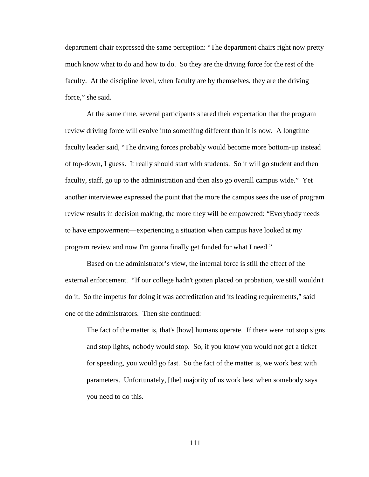department chair expressed the same perception: "The department chairs right now pretty much know what to do and how to do. So they are the driving force for the rest of the faculty. At the discipline level, when faculty are by themselves, they are the driving force." she said.

At the same time, several participants shared their expectation that the program review driving force will evolve into something different than it is now. A longtime faculty leader said, "The driving forces probably would become more bottom-up instead of top-down, I guess. It really should start with students. So it will go student and then faculty, staff, go up to the administration and then also go overall campus wide." Yet another interviewee expressed the point that the more the campus sees the use of program review results in decision making, the more they will be empowered: "Everybody needs to have empowerment—experiencing a situation when campus have looked at my program review and now I'm gonna finally get funded for what I need."

Based on the administrator's view, the internal force is still the effect of the external enforcement. "If our college hadn't gotten placed on probation, we still wouldn't do it. So the impetus for doing it was accreditation and its leading requirements," said one of the administrators. Then she continued:

The fact of the matter is, that's [how] humans operate. If there were not stop signs and stop lights, nobody would stop. So, if you know you would not get a ticket for speeding, you would go fast. So the fact of the matter is, we work best with parameters. Unfortunately, [the] majority of us work best when somebody says you need to do this.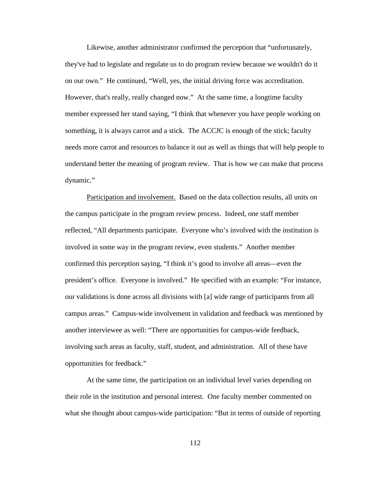Likewise, another administrator confirmed the perception that "unfortunately, they've had to legislate and regulate us to do program review because we wouldn't do it on our own." He continued, "Well, yes, the initial driving force was accreditation. However, that's really, really changed now." At the same time, a longtime faculty member expressed her stand saying, "I think that whenever you have people working on something, it is always carrot and a stick. The ACCJC is enough of the stick; faculty needs more carrot and resources to balance it out as well as things that will help people to understand better the meaning of program review. That is how we can make that process dynamic."

Participation and involvement. Based on the data collection results, all units on the campus participate in the program review process. Indeed, one staff member reflected, "All departments participate. Everyone who's involved with the institution is involved in some way in the program review, even students." Another member confirmed this perception saying, "I think it's good to involve all areas—even the president's office. Everyone is involved." He specified with an example: "For instance, our validations is done across all divisions with [a] wide range of participants from all campus areas." Campus-wide involvement in validation and feedback was mentioned by another interviewee as well: "There are opportunities for campus-wide feedback, involving such areas as faculty, staff, student, and administration. All of these have opportunities for feedback."

At the same time, the participation on an individual level varies depending on their role in the institution and personal interest. One faculty member commented on what she thought about campus-wide participation: "But in terms of outside of reporting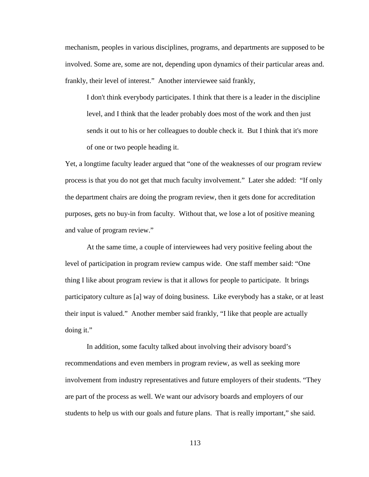mechanism, peoples in various disciplines, programs, and departments are supposed to be involved. Some are, some are not, depending upon dynamics of their particular areas and. frankly, their level of interest." Another interviewee said frankly,

I don't think everybody participates. I think that there is a leader in the discipline level, and I think that the leader probably does most of the work and then just sends it out to his or her colleagues to double check it. But I think that it's more of one or two people heading it.

Yet, a longtime faculty leader argued that "one of the weaknesses of our program review process is that you do not get that much faculty involvement." Later she added: "If only the department chairs are doing the program review, then it gets done for accreditation purposes, gets no buy-in from faculty. Without that, we lose a lot of positive meaning and value of program review."

At the same time, a couple of interviewees had very positive feeling about the level of participation in program review campus wide. One staff member said: "One thing I like about program review is that it allows for people to participate. It brings participatory culture as [a] way of doing business. Like everybody has a stake, or at least their input is valued." Another member said frankly, "I like that people are actually doing it."

In addition, some faculty talked about involving their advisory board's recommendations and even members in program review, as well as seeking more involvement from industry representatives and future employers of their students. "They are part of the process as well. We want our advisory boards and employers of our students to help us with our goals and future plans. That is really important," she said.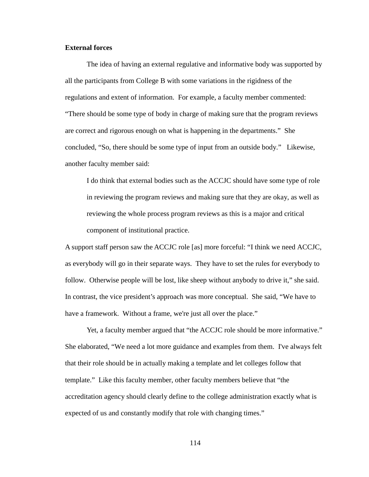## **External forces**

The idea of having an external regulative and informative body was supported by all the participants from College B with some variations in the rigidness of the regulations and extent of information. For example, a faculty member commented: "There should be some type of body in charge of making sure that the program reviews are correct and rigorous enough on what is happening in the departments." She concluded, "So, there should be some type of input from an outside body." Likewise, another faculty member said:

I do think that external bodies such as the ACCJC should have some type of role in reviewing the program reviews and making sure that they are okay, as well as reviewing the whole process program reviews as this is a major and critical component of institutional practice.

A support staff person saw the ACCJC role [as] more forceful: "I think we need ACCJC, as everybody will go in their separate ways. They have to set the rules for everybody to follow. Otherwise people will be lost, like sheep without anybody to drive it," she said. In contrast, the vice president's approach was more conceptual. She said, "We have to have a framework. Without a frame, we're just all over the place."

Yet, a faculty member argued that "the ACCJC role should be more informative." She elaborated, "We need a lot more guidance and examples from them. I've always felt that their role should be in actually making a template and let colleges follow that template." Like this faculty member, other faculty members believe that "the accreditation agency should clearly define to the college administration exactly what is expected of us and constantly modify that role with changing times."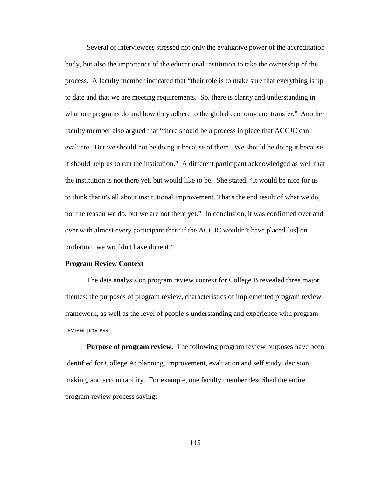Several of interviewees stressed not only the evaluative power of the accreditation body, but also the importance of the educational institution to take the ownership of the process. A faculty member indicated that "their role is to make sure that everything is up to date and that we are meeting requirements. So, there is clarity and understanding in what our programs do and how they adhere to the global economy and transfer." Another faculty member also argued that "there should be a process in place that ACCJC can evaluate. But we should not be doing it because of them. We should be doing it because it should help us to run the institution." A different participant acknowledged as well that the institution is not there yet, but would like to be. She stated, "It would be nice for us to think that it's all about institutional improvement. That's the end result of what we do, not the reason we do, but we are not there yet." In conclusion, it was confirmed over and over with almost every participant that "if the ACCJC wouldn't have placed [us] on probation, we wouldn't have done it."

### **Program Review Context**

The data analysis on program review context for College B revealed three major themes: the purposes of program review, characteristics of implemented program review framework, as well as the level of people's understanding and experience with program review process.

**Purpose of program review.** The following program review purposes have been identified for College A: planning, improvement, evaluation and self study, decision making, and accountability. For example, one faculty member described the entire program review process saying: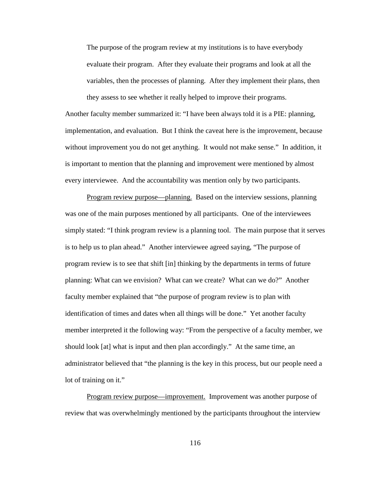The purpose of the program review at my institutions is to have everybody evaluate their program. After they evaluate their programs and look at all the variables, then the processes of planning. After they implement their plans, then they assess to see whether it really helped to improve their programs.

Another faculty member summarized it: "I have been always told it is a PIE: planning, implementation, and evaluation. But I think the caveat here is the improvement, because without improvement you do not get anything. It would not make sense." In addition, it is important to mention that the planning and improvement were mentioned by almost every interviewee. And the accountability was mention only by two participants.

Program review purpose—planning.Based on the interview sessions, planning was one of the main purposes mentioned by all participants. One of the interviewees simply stated: "I think program review is a planning tool. The main purpose that it serves is to help us to plan ahead." Another interviewee agreed saying, "The purpose of program review is to see that shift [in] thinking by the departments in terms of future planning: What can we envision? What can we create? What can we do?" Another faculty member explained that "the purpose of program review is to plan with identification of times and dates when all things will be done." Yet another faculty member interpreted it the following way: "From the perspective of a faculty member, we should look [at] what is input and then plan accordingly." At the same time, an administrator believed that "the planning is the key in this process, but our people need a lot of training on it."

Program review purpose—improvement.Improvement was another purpose of review that was overwhelmingly mentioned by the participants throughout the interview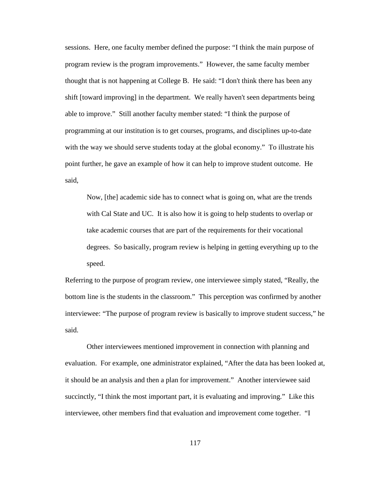sessions. Here, one faculty member defined the purpose: "I think the main purpose of program review is the program improvements." However, the same faculty member thought that is not happening at College B. He said: "I don't think there has been any shift [toward improving] in the department. We really haven't seen departments being able to improve." Still another faculty member stated: "I think the purpose of programming at our institution is to get courses, programs, and disciplines up-to-date with the way we should serve students today at the global economy." To illustrate his point further, he gave an example of how it can help to improve student outcome. He said,

Now, [the] academic side has to connect what is going on, what are the trends with Cal State and UC. It is also how it is going to help students to overlap or take academic courses that are part of the requirements for their vocational degrees. So basically, program review is helping in getting everything up to the speed.

Referring to the purpose of program review, one interviewee simply stated, "Really, the bottom line is the students in the classroom." This perception was confirmed by another interviewee: "The purpose of program review is basically to improve student success," he said.

Other interviewees mentioned improvement in connection with planning and evaluation. For example, one administrator explained, "After the data has been looked at, it should be an analysis and then a plan for improvement." Another interviewee said succinctly, "I think the most important part, it is evaluating and improving." Like this interviewee, other members find that evaluation and improvement come together. "I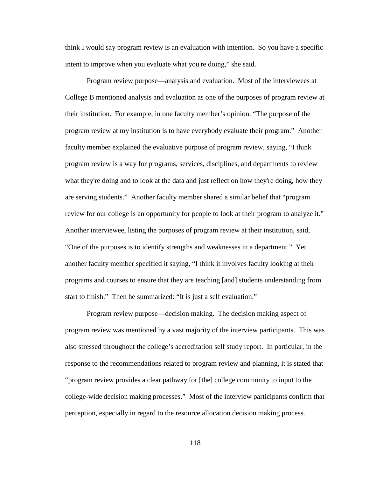think I would say program review is an evaluation with intention. So you have a specific intent to improve when you evaluate what you're doing," she said.

Program review purpose—analysis and evaluation. Most of the interviewees at College B mentioned analysis and evaluation as one of the purposes of program review at their institution. For example, in one faculty member's opinion, "The purpose of the program review at my institution is to have everybody evaluate their program." Another faculty member explained the evaluative purpose of program review, saying, "I think program review is a way for programs, services, disciplines, and departments to review what they're doing and to look at the data and just reflect on how they're doing, how they are serving students." Another faculty member shared a similar belief that "program review for our college is an opportunity for people to look at their program to analyze it." Another interviewee, listing the purposes of program review at their institution, said, "One of the purposes is to identify strengths and weaknesses in a department." Yet another faculty member specified it saying, "I think it involves faculty looking at their programs and courses to ensure that they are teaching [and] students understanding from start to finish." Then he summarized: "It is just a self evaluation."

Program review purpose—decision making. The decision making aspect of program review was mentioned by a vast majority of the interview participants. This was also stressed throughout the college's accreditation self study report. In particular, in the response to the recommendations related to program review and planning, it is stated that "program review provides a clear pathway for [the] college community to input to the college-wide decision making processes." Most of the interview participants confirm that perception, especially in regard to the resource allocation decision making process.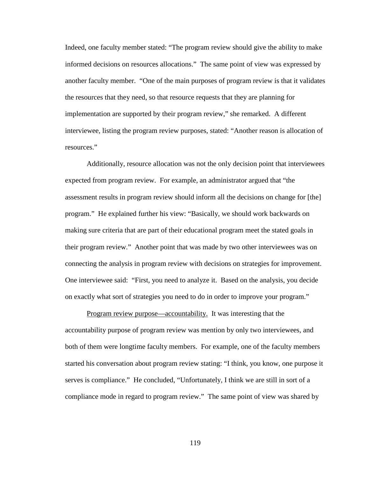Indeed, one faculty member stated: "The program review should give the ability to make informed decisions on resources allocations." The same point of view was expressed by another faculty member. "One of the main purposes of program review is that it validates the resources that they need, so that resource requests that they are planning for implementation are supported by their program review," she remarked. A different interviewee, listing the program review purposes, stated: "Another reason is allocation of resources."

Additionally, resource allocation was not the only decision point that interviewees expected from program review. For example, an administrator argued that "the assessment results in program review should inform all the decisions on change for [the] program." He explained further his view: "Basically, we should work backwards on making sure criteria that are part of their educational program meet the stated goals in their program review." Another point that was made by two other interviewees was on connecting the analysis in program review with decisions on strategies for improvement. One interviewee said: "First, you need to analyze it. Based on the analysis, you decide on exactly what sort of strategies you need to do in order to improve your program."

Program review purpose—accountability. It was interesting that the accountability purpose of program review was mention by only two interviewees, and both of them were longtime faculty members. For example, one of the faculty members started his conversation about program review stating: "I think, you know, one purpose it serves is compliance." He concluded, "Unfortunately, I think we are still in sort of a compliance mode in regard to program review." The same point of view was shared by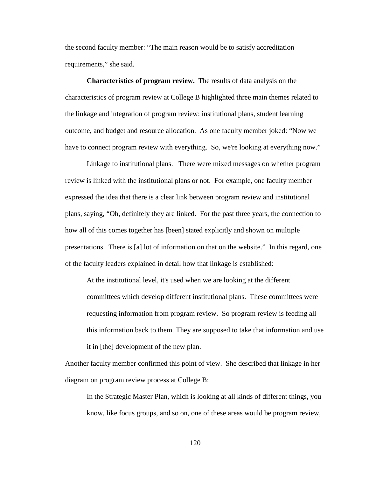the second faculty member: "The main reason would be to satisfy accreditation requirements," she said.

**Characteristics of program review.** The results of data analysis on the characteristics of program review at College B highlighted three main themes related to the linkage and integration of program review: institutional plans, student learning outcome, and budget and resource allocation. As one faculty member joked: "Now we have to connect program review with everything. So, we're looking at everything now."

Linkage to institutional plans.There were mixed messages on whether program review is linked with the institutional plans or not. For example, one faculty member expressed the idea that there is a clear link between program review and institutional plans, saying, "Oh, definitely they are linked. For the past three years, the connection to how all of this comes together has [been] stated explicitly and shown on multiple presentations. There is [a] lot of information on that on the website." In this regard, one of the faculty leaders explained in detail how that linkage is established:

At the institutional level, it's used when we are looking at the different committees which develop different institutional plans. These committees were requesting information from program review. So program review is feeding all this information back to them. They are supposed to take that information and use it in [the] development of the new plan.

Another faculty member confirmed this point of view. She described that linkage in her diagram on program review process at College B:

In the Strategic Master Plan, which is looking at all kinds of different things, you know, like focus groups, and so on, one of these areas would be program review,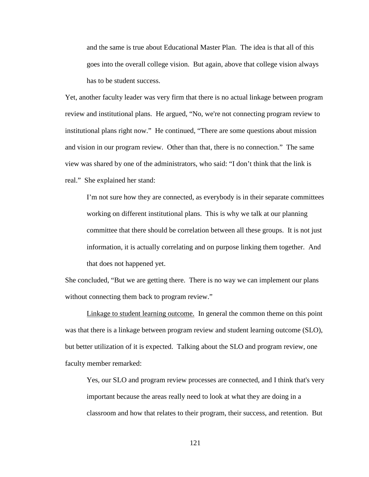and the same is true about Educational Master Plan. The idea is that all of this goes into the overall college vision. But again, above that college vision always has to be student success.

Yet, another faculty leader was very firm that there is no actual linkage between program review and institutional plans. He argued, "No, we're not connecting program review to institutional plans right now." He continued, "There are some questions about mission and vision in our program review. Other than that, there is no connection." The same view was shared by one of the administrators, who said: "I don't think that the link is real." She explained her stand:

I'm not sure how they are connected, as everybody is in their separate committees working on different institutional plans. This is why we talk at our planning committee that there should be correlation between all these groups. It is not just information, it is actually correlating and on purpose linking them together. And that does not happened yet.

She concluded, "But we are getting there. There is no way we can implement our plans without connecting them back to program review."

Linkage to student learning outcome. In general the common theme on this point was that there is a linkage between program review and student learning outcome (SLO), but better utilization of it is expected. Talking about the SLO and program review, one faculty member remarked:

Yes, our SLO and program review processes are connected, and I think that's very important because the areas really need to look at what they are doing in a classroom and how that relates to their program, their success, and retention. But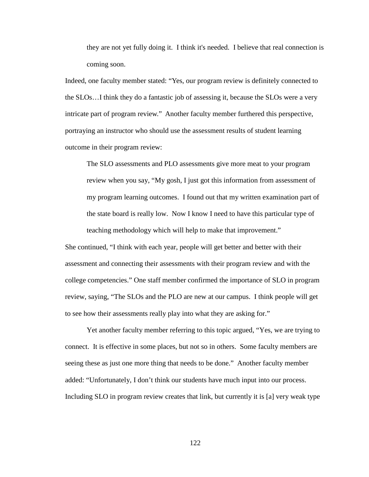they are not yet fully doing it. I think it's needed. I believe that real connection is coming soon.

Indeed, one faculty member stated: "Yes, our program review is definitely connected to the SLOs…I think they do a fantastic job of assessing it, because the SLOs were a very intricate part of program review." Another faculty member furthered this perspective, portraying an instructor who should use the assessment results of student learning outcome in their program review:

The SLO assessments and PLO assessments give more meat to your program review when you say, "My gosh, I just got this information from assessment of my program learning outcomes. I found out that my written examination part of the state board is really low. Now I know I need to have this particular type of teaching methodology which will help to make that improvement."

She continued, "I think with each year, people will get better and better with their assessment and connecting their assessments with their program review and with the college competencies." One staff member confirmed the importance of SLO in program review, saying, "The SLOs and the PLO are new at our campus. I think people will get to see how their assessments really play into what they are asking for."

Yet another faculty member referring to this topic argued, "Yes, we are trying to connect. It is effective in some places, but not so in others. Some faculty members are seeing these as just one more thing that needs to be done." Another faculty member added: "Unfortunately, I don't think our students have much input into our process. Including SLO in program review creates that link, but currently it is [a] very weak type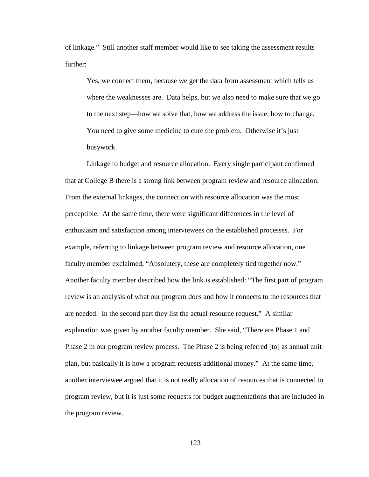of linkage." Still another staff member would like to see taking the assessment results further:

Yes, we connect them, because we get the data from assessment which tells us where the weaknesses are. Data helps, but we also need to make sure that we go to the next step—how we solve that, how we address the issue, how to change. You need to give some medicine to cure the problem. Otherwise it's just busywork.

Linkage to budget and resource allocation.Every single participant confirmed that at College B there is a strong link between program review and resource allocation. From the external linkages, the connection with resource allocation was the most perceptible. At the same time, there were significant differences in the level of enthusiasm and satisfaction among interviewees on the established processes. For example, referring to linkage between program review and resource allocation, one faculty member exclaimed, "Absolutely, these are completely tied together now." Another faculty member described how the link is established: "The first part of program review is an analysis of what our program does and how it connects to the resources that are needed. In the second part they list the actual resource request." A similar explanation was given by another faculty member. She said, "There are Phase 1 and Phase 2 in our program review process. The Phase 2 is being referred [to] as annual unit plan, but basically it is how a program requests additional money." At the same time, another interviewee argued that it is not really allocation of resources that is connected to program review, but it is just some requests for budget augmentations that are included in the program review.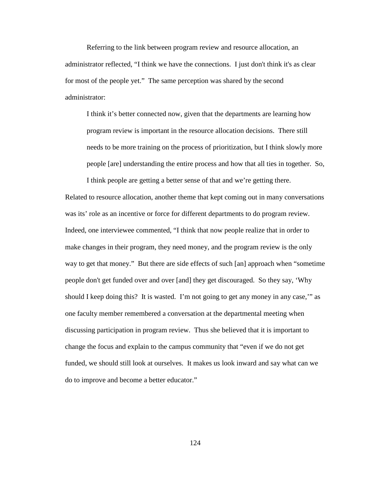Referring to the link between program review and resource allocation, an administrator reflected, "I think we have the connections. I just don't think it's as clear for most of the people yet." The same perception was shared by the second administrator:

I think it's better connected now, given that the departments are learning how program review is important in the resource allocation decisions. There still needs to be more training on the process of prioritization, but I think slowly more people [are] understanding the entire process and how that all ties in together. So,

I think people are getting a better sense of that and we're getting there. Related to resource allocation, another theme that kept coming out in many conversations was its' role as an incentive or force for different departments to do program review. Indeed, one interviewee commented, "I think that now people realize that in order to make changes in their program, they need money, and the program review is the only way to get that money." But there are side effects of such [an] approach when "sometime people don't get funded over and over [and] they get discouraged. So they say, 'Why should I keep doing this? It is wasted. I'm not going to get any money in any case,'" as one faculty member remembered a conversation at the departmental meeting when discussing participation in program review. Thus she believed that it is important to change the focus and explain to the campus community that "even if we do not get funded, we should still look at ourselves. It makes us look inward and say what can we do to improve and become a better educator."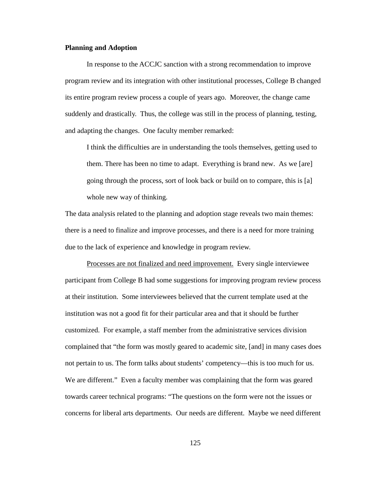### **Planning and Adoption**

In response to the ACCJC sanction with a strong recommendation to improve program review and its integration with other institutional processes, College B changed its entire program review process a couple of years ago. Moreover, the change came suddenly and drastically. Thus, the college was still in the process of planning, testing, and adapting the changes. One faculty member remarked:

I think the difficulties are in understanding the tools themselves, getting used to them. There has been no time to adapt. Everything is brand new. As we [are] going through the process, sort of look back or build on to compare, this is [a] whole new way of thinking.

The data analysis related to the planning and adoption stage reveals two main themes: there is a need to finalize and improve processes, and there is a need for more training due to the lack of experience and knowledge in program review.

Processes are not finalized and need improvement.Every single interviewee participant from College B had some suggestions for improving program review process at their institution. Some interviewees believed that the current template used at the institution was not a good fit for their particular area and that it should be further customized. For example, a staff member from the administrative services division complained that "the form was mostly geared to academic site, [and] in many cases does not pertain to us. The form talks about students' competency—this is too much for us. We are different." Even a faculty member was complaining that the form was geared towards career technical programs: "The questions on the form were not the issues or concerns for liberal arts departments. Our needs are different. Maybe we need different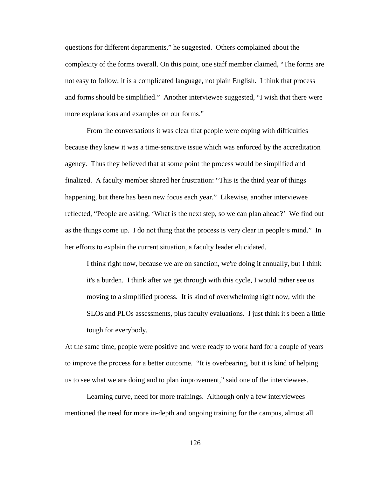questions for different departments," he suggested. Others complained about the complexity of the forms overall. On this point, one staff member claimed, "The forms are not easy to follow; it is a complicated language, not plain English. I think that process and forms should be simplified." Another interviewee suggested, "I wish that there were more explanations and examples on our forms."

From the conversations it was clear that people were coping with difficulties because they knew it was a time-sensitive issue which was enforced by the accreditation agency. Thus they believed that at some point the process would be simplified and finalized. A faculty member shared her frustration: "This is the third year of things happening, but there has been new focus each year." Likewise, another interviewee reflected, "People are asking, 'What is the next step, so we can plan ahead?' We find out as the things come up. I do not thing that the process is very clear in people's mind." In her efforts to explain the current situation, a faculty leader elucidated,

I think right now, because we are on sanction, we're doing it annually, but I think it's a burden. I think after we get through with this cycle, I would rather see us moving to a simplified process. It is kind of overwhelming right now, with the SLOs and PLOs assessments, plus faculty evaluations. I just think it's been a little tough for everybody.

At the same time, people were positive and were ready to work hard for a couple of years to improve the process for a better outcome. "It is overbearing, but it is kind of helping us to see what we are doing and to plan improvement," said one of the interviewees.

Learning curve, need for more trainings. Although only a few interviewees mentioned the need for more in-depth and ongoing training for the campus, almost all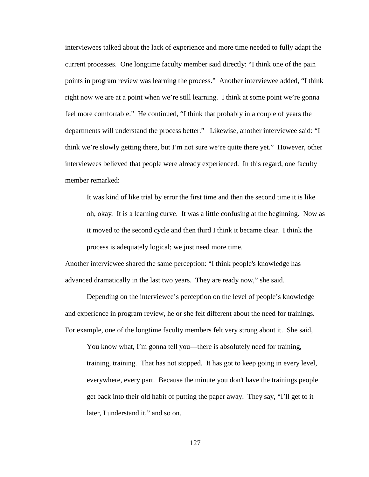interviewees talked about the lack of experience and more time needed to fully adapt the current processes. One longtime faculty member said directly: "I think one of the pain points in program review was learning the process." Another interviewee added, "I think right now we are at a point when we're still learning. I think at some point we're gonna feel more comfortable." He continued, "I think that probably in a couple of years the departments will understand the process better." Likewise, another interviewee said: "I think we're slowly getting there, but I'm not sure we're quite there yet." However, other interviewees believed that people were already experienced. In this regard, one faculty member remarked:

It was kind of like trial by error the first time and then the second time it is like oh, okay. It is a learning curve. It was a little confusing at the beginning. Now as it moved to the second cycle and then third I think it became clear. I think the process is adequately logical; we just need more time.

Another interviewee shared the same perception: "I think people's knowledge has advanced dramatically in the last two years. They are ready now," she said.

Depending on the interviewee's perception on the level of people's knowledge and experience in program review, he or she felt different about the need for trainings. For example, one of the longtime faculty members felt very strong about it. She said,

You know what, I'm gonna tell you—there is absolutely need for training, training, training. That has not stopped. It has got to keep going in every level, everywhere, every part. Because the minute you don't have the trainings people get back into their old habit of putting the paper away. They say, "I'll get to it later, I understand it," and so on.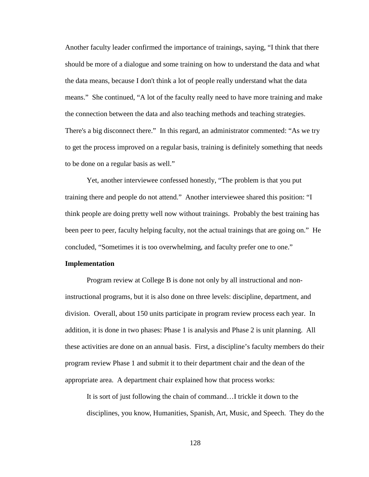Another faculty leader confirmed the importance of trainings, saying, "I think that there should be more of a dialogue and some training on how to understand the data and what the data means, because I don't think a lot of people really understand what the data means." She continued, "A lot of the faculty really need to have more training and make the connection between the data and also teaching methods and teaching strategies. There's a big disconnect there." In this regard, an administrator commented: "As we try to get the process improved on a regular basis, training is definitely something that needs to be done on a regular basis as well."

Yet, another interviewee confessed honestly, "The problem is that you put training there and people do not attend." Another interviewee shared this position: "I think people are doing pretty well now without trainings. Probably the best training has been peer to peer, faculty helping faculty, not the actual trainings that are going on." He concluded, "Sometimes it is too overwhelming, and faculty prefer one to one."

### **Implementation**

Program review at College B is done not only by all instructional and noninstructional programs, but it is also done on three levels: discipline, department, and division. Overall, about 150 units participate in program review process each year. In addition, it is done in two phases: Phase 1 is analysis and Phase 2 is unit planning. All these activities are done on an annual basis. First, a discipline's faculty members do their program review Phase 1 and submit it to their department chair and the dean of the appropriate area. A department chair explained how that process works:

It is sort of just following the chain of command…I trickle it down to the disciplines, you know, Humanities, Spanish, Art, Music, and Speech. They do the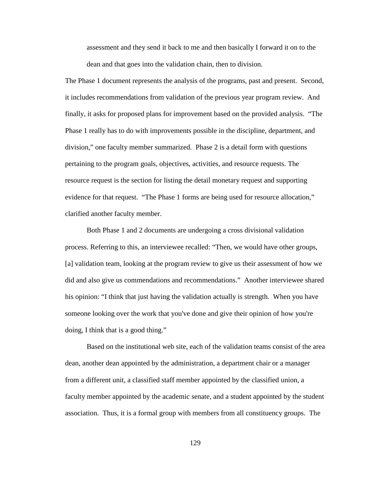assessment and they send it back to me and then basically I forward it on to the dean and that goes into the validation chain, then to division.

The Phase 1 document represents the analysis of the programs, past and present. Second, it includes recommendations from validation of the previous year program review. And finally, it asks for proposed plans for improvement based on the provided analysis. "The Phase 1 really has to do with improvements possible in the discipline, department, and division," one faculty member summarized. Phase 2 is a detail form with questions pertaining to the program goals, objectives, activities, and resource requests. The resource request is the section for listing the detail monetary request and supporting evidence for that request. "The Phase 1 forms are being used for resource allocation," clarified another faculty member.

Both Phase 1 and 2 documents are undergoing a cross divisional validation process. Referring to this, an interviewee recalled: "Then, we would have other groups, [a] validation team, looking at the program review to give us their assessment of how we did and also give us commendations and recommendations." Another interviewee shared his opinion: "I think that just having the validation actually is strength. When you have someone looking over the work that you've done and give their opinion of how you're doing, I think that is a good thing."

Based on the institutional web site, each of the validation teams consist of the area dean, another dean appointed by the administration, a department chair or a manager from a different unit, a classified staff member appointed by the classified union, a faculty member appointed by the academic senate, and a student appointed by the student association. Thus, it is a formal group with members from all constituency groups. The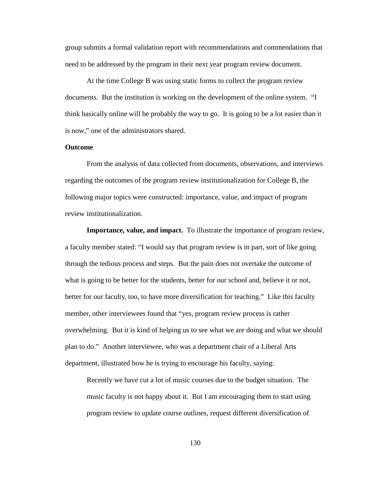group submits a formal validation report with recommendations and commendations that need to be addressed by the program in their next year program review document.

At the time College B was using static forms to collect the program review documents. But the institution is working on the development of the online system. "I think basically online will be probably the way to go. It is going to be a lot easier than it is now," one of the administrators shared.

### **Outcome**

From the analysis of data collected from documents, observations, and interviews regarding the outcomes of the program review institutionalization for College B, the following major topics were constructed: importance, value, and impact of program review institutionalization.

**Importance, value, and impact.** To illustrate the importance of program review, a faculty member stated: "I would say that program review is in part, sort of like going through the tedious process and steps. But the pain does not overtake the outcome of what is going to be better for the students, better for our school and, believe it or not, better for our faculty, too, to have more diversification for teaching." Like this faculty member, other interviewees found that "yes, program review process is rather overwhelming. But it is kind of helping us to see what we are doing and what we should plan to do." Another interviewee, who was a department chair of a Liberal Arts department, illustrated how he is trying to encourage his faculty, saying:

Recently we have cut a lot of music courses due to the budget situation. The music faculty is not happy about it. But I am encouraging them to start using program review to update course outlines, request different diversification of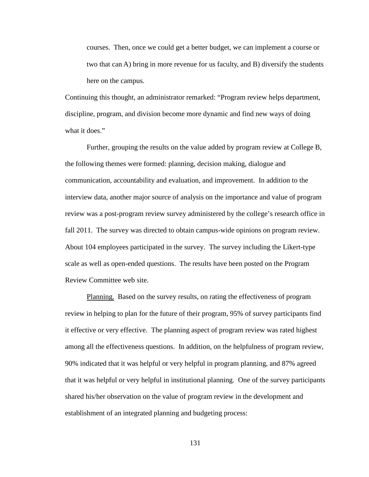courses. Then, once we could get a better budget, we can implement a course or two that can A) bring in more revenue for us faculty, and B) diversify the students here on the campus.

Continuing this thought, an administrator remarked: "Program review helps department, discipline, program, and division become more dynamic and find new ways of doing what it does."

Further, grouping the results on the value added by program review at College B, the following themes were formed: planning, decision making, dialogue and communication, accountability and evaluation, and improvement. In addition to the interview data, another major source of analysis on the importance and value of program review was a post-program review survey administered by the college's research office in fall 2011. The survey was directed to obtain campus-wide opinions on program review. About 104 employees participated in the survey. The survey including the Likert-type scale as well as open-ended questions. The results have been posted on the Program Review Committee web site.

Planning.Based on the survey results, on rating the effectiveness of program review in helping to plan for the future of their program, 95% of survey participants find it effective or very effective. The planning aspect of program review was rated highest among all the effectiveness questions. In addition, on the helpfulness of program review, 90% indicated that it was helpful or very helpful in program planning, and 87% agreed that it was helpful or very helpful in institutional planning. One of the survey participants shared his/her observation on the value of program review in the development and establishment of an integrated planning and budgeting process: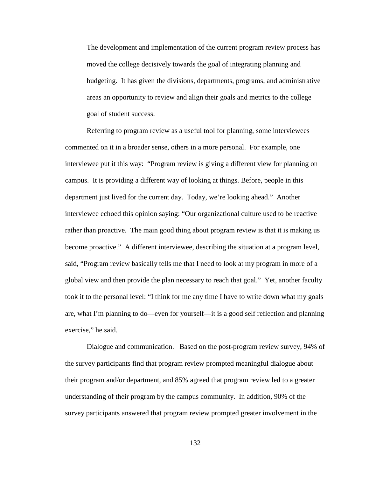The development and implementation of the current program review process has moved the college decisively towards the goal of integrating planning and budgeting. It has given the divisions, departments, programs, and administrative areas an opportunity to review and align their goals and metrics to the college goal of student success.

Referring to program review as a useful tool for planning, some interviewees commented on it in a broader sense, others in a more personal. For example, one interviewee put it this way: "Program review is giving a different view for planning on campus. It is providing a different way of looking at things. Before, people in this department just lived for the current day. Today, we're looking ahead." Another interviewee echoed this opinion saying: "Our organizational culture used to be reactive rather than proactive. The main good thing about program review is that it is making us become proactive." A different interviewee, describing the situation at a program level, said, "Program review basically tells me that I need to look at my program in more of a global view and then provide the plan necessary to reach that goal." Yet, another faculty took it to the personal level: "I think for me any time I have to write down what my goals are, what I'm planning to do—even for yourself—it is a good self reflection and planning exercise," he said.

Dialogue and communication.Based on the post-program review survey, 94% of the survey participants find that program review prompted meaningful dialogue about their program and/or department, and 85% agreed that program review led to a greater understanding of their program by the campus community. In addition, 90% of the survey participants answered that program review prompted greater involvement in the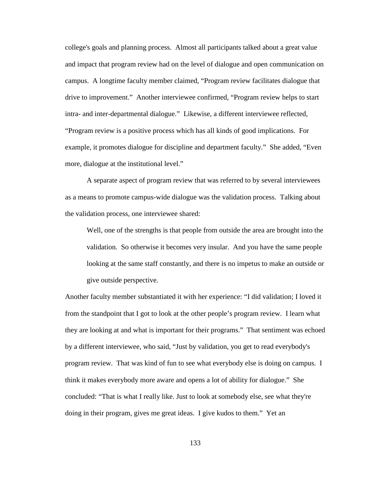college's goals and planning process. Almost all participants talked about a great value and impact that program review had on the level of dialogue and open communication on campus. A longtime faculty member claimed, "Program review facilitates dialogue that drive to improvement." Another interviewee confirmed, "Program review helps to start intra- and inter-departmental dialogue." Likewise, a different interviewee reflected, "Program review is a positive process which has all kinds of good implications. For example, it promotes dialogue for discipline and department faculty." She added, "Even more, dialogue at the institutional level."

A separate aspect of program review that was referred to by several interviewees as a means to promote campus-wide dialogue was the validation process. Talking about the validation process, one interviewee shared:

Well, one of the strengths is that people from outside the area are brought into the validation. So otherwise it becomes very insular. And you have the same people looking at the same staff constantly, and there is no impetus to make an outside or give outside perspective.

Another faculty member substantiated it with her experience: "I did validation; I loved it from the standpoint that I got to look at the other people's program review. I learn what they are looking at and what is important for their programs." That sentiment was echoed by a different interviewee, who said, "Just by validation, you get to read everybody's program review. That was kind of fun to see what everybody else is doing on campus. I think it makes everybody more aware and opens a lot of ability for dialogue." She concluded: "That is what I really like. Just to look at somebody else, see what they're doing in their program, gives me great ideas. I give kudos to them." Yet an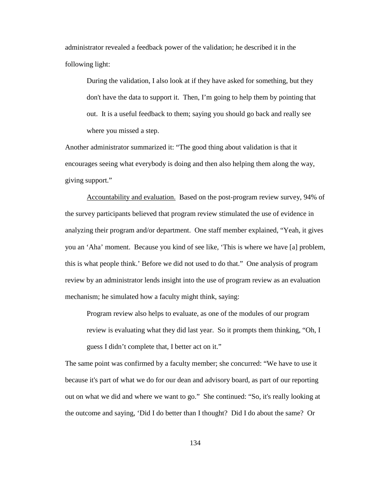administrator revealed a feedback power of the validation; he described it in the following light:

During the validation, I also look at if they have asked for something, but they don't have the data to support it. Then, I'm going to help them by pointing that out. It is a useful feedback to them; saying you should go back and really see where you missed a step.

Another administrator summarized it: "The good thing about validation is that it encourages seeing what everybody is doing and then also helping them along the way, giving support."

Accountability and evaluation.Based on the post-program review survey, 94% of the survey participants believed that program review stimulated the use of evidence in analyzing their program and/or department. One staff member explained, "Yeah, it gives you an 'Aha' moment. Because you kind of see like, 'This is where we have [a] problem, this is what people think.' Before we did not used to do that." One analysis of program review by an administrator lends insight into the use of program review as an evaluation mechanism; he simulated how a faculty might think, saying:

Program review also helps to evaluate, as one of the modules of our program review is evaluating what they did last year. So it prompts them thinking, "Oh, I guess I didn't complete that, I better act on it."

The same point was confirmed by a faculty member; she concurred: "We have to use it because it's part of what we do for our dean and advisory board, as part of our reporting out on what we did and where we want to go." She continued: "So, it's really looking at the outcome and saying, 'Did I do better than I thought? Did I do about the same? Or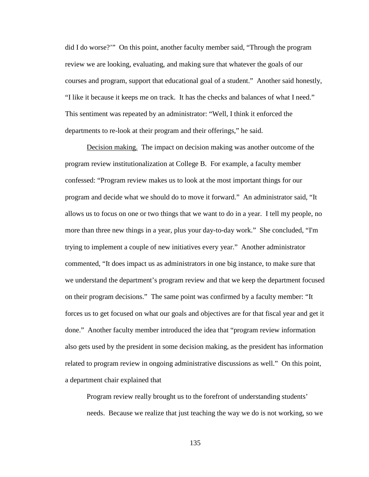did I do worse?'" On this point, another faculty member said, "Through the program review we are looking, evaluating, and making sure that whatever the goals of our courses and program, support that educational goal of a student." Another said honestly, "I like it because it keeps me on track. It has the checks and balances of what I need." This sentiment was repeated by an administrator: "Well, I think it enforced the departments to re-look at their program and their offerings," he said.

Decision making. The impact on decision making was another outcome of the program review institutionalization at College B. For example, a faculty member confessed: "Program review makes us to look at the most important things for our program and decide what we should do to move it forward." An administrator said, "It allows us to focus on one or two things that we want to do in a year. I tell my people, no more than three new things in a year, plus your day-to-day work." She concluded, "I'm trying to implement a couple of new initiatives every year." Another administrator commented, "It does impact us as administrators in one big instance, to make sure that we understand the department's program review and that we keep the department focused on their program decisions." The same point was confirmed by a faculty member: "It forces us to get focused on what our goals and objectives are for that fiscal year and get it done." Another faculty member introduced the idea that "program review information also gets used by the president in some decision making, as the president has information related to program review in ongoing administrative discussions as well." On this point, a department chair explained that

Program review really brought us to the forefront of understanding students' needs. Because we realize that just teaching the way we do is not working, so we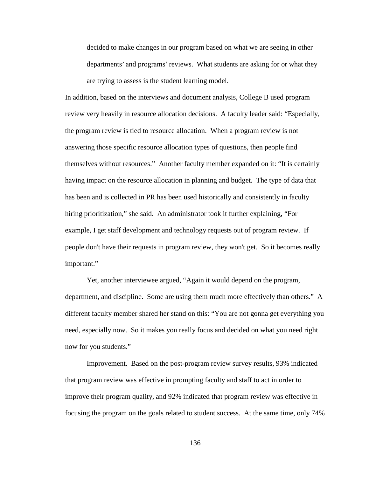decided to make changes in our program based on what we are seeing in other departments' and programs' reviews. What students are asking for or what they are trying to assess is the student learning model.

In addition, based on the interviews and document analysis, College B used program review very heavily in resource allocation decisions. A faculty leader said: "Especially, the program review is tied to resource allocation. When a program review is not answering those specific resource allocation types of questions, then people find themselves without resources." Another faculty member expanded on it: "It is certainly having impact on the resource allocation in planning and budget. The type of data that has been and is collected in PR has been used historically and consistently in faculty hiring prioritization," she said. An administrator took it further explaining, "For example, I get staff development and technology requests out of program review. If people don't have their requests in program review, they won't get. So it becomes really important."

Yet, another interviewee argued, "Again it would depend on the program, department, and discipline. Some are using them much more effectively than others." A different faculty member shared her stand on this: "You are not gonna get everything you need, especially now. So it makes you really focus and decided on what you need right now for you students."

Improvement. Based on the post-program review survey results, 93% indicated that program review was effective in prompting faculty and staff to act in order to improve their program quality, and 92% indicated that program review was effective in focusing the program on the goals related to student success. At the same time, only 74%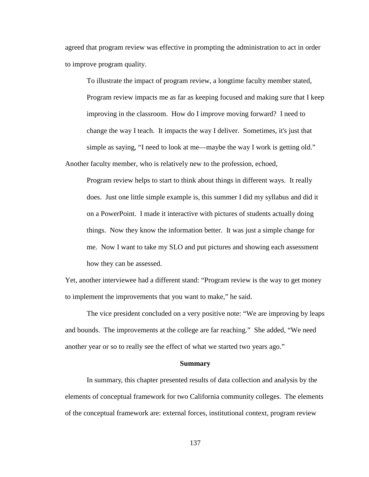agreed that program review was effective in prompting the administration to act in order to improve program quality.

To illustrate the impact of program review, a longtime faculty member stated, Program review impacts me as far as keeping focused and making sure that I keep improving in the classroom. How do I improve moving forward? I need to change the way I teach. It impacts the way I deliver. Sometimes, it's just that simple as saying, "I need to look at me—maybe the way I work is getting old." Another faculty member, who is relatively new to the profession, echoed,

Program review helps to start to think about things in different ways. It really does. Just one little simple example is, this summer I did my syllabus and did it on a PowerPoint. I made it interactive with pictures of students actually doing things. Now they know the information better. It was just a simple change for me. Now I want to take my SLO and put pictures and showing each assessment how they can be assessed.

Yet, another interviewee had a different stand: "Program review is the way to get money to implement the improvements that you want to make," he said.

The vice president concluded on a very positive note: "We are improving by leaps and bounds. The improvements at the college are far reaching." She added, "We need another year or so to really see the effect of what we started two years ago."

#### **Summary**

In summary, this chapter presented results of data collection and analysis by the elements of conceptual framework for two California community colleges. The elements of the conceptual framework are: external forces, institutional context, program review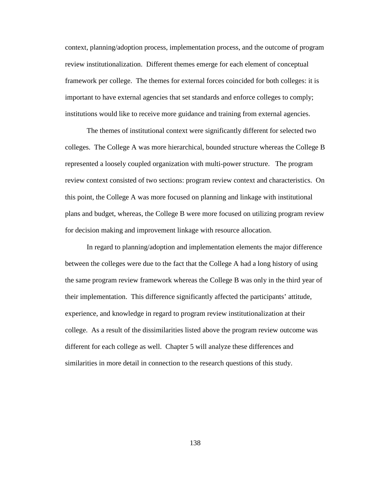context, planning/adoption process, implementation process, and the outcome of program review institutionalization. Different themes emerge for each element of conceptual framework per college. The themes for external forces coincided for both colleges: it is important to have external agencies that set standards and enforce colleges to comply; institutions would like to receive more guidance and training from external agencies.

The themes of institutional context were significantly different for selected two colleges. The College A was more hierarchical, bounded structure whereas the College B represented a loosely coupled organization with multi-power structure. The program review context consisted of two sections: program review context and characteristics. On this point, the College A was more focused on planning and linkage with institutional plans and budget, whereas, the College B were more focused on utilizing program review for decision making and improvement linkage with resource allocation.

In regard to planning/adoption and implementation elements the major difference between the colleges were due to the fact that the College A had a long history of using the same program review framework whereas the College B was only in the third year of their implementation. This difference significantly affected the participants' attitude, experience, and knowledge in regard to program review institutionalization at their college. As a result of the dissimilarities listed above the program review outcome was different for each college as well. Chapter 5 will analyze these differences and similarities in more detail in connection to the research questions of this study.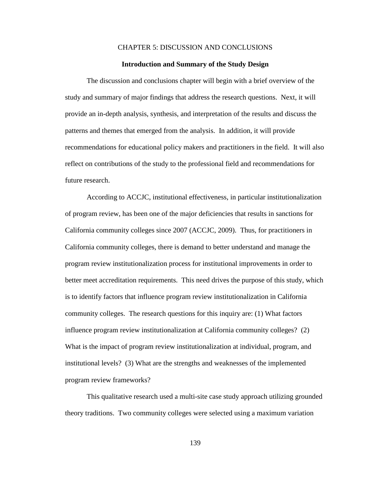## CHAPTER 5: DISCUSSION AND CONCLUSIONS

## **Introduction and Summary of the Study Design**

The discussion and conclusions chapter will begin with a brief overview of the study and summary of major findings that address the research questions. Next, it will provide an in-depth analysis, synthesis, and interpretation of the results and discuss the patterns and themes that emerged from the analysis. In addition, it will provide recommendations for educational policy makers and practitioners in the field. It will also reflect on contributions of the study to the professional field and recommendations for future research.

According to ACCJC, institutional effectiveness, in particular institutionalization of program review, has been one of the major deficiencies that results in sanctions for California community colleges since 2007 [\(ACCJC, 2009\)](#page-175-0). Thus, for practitioners in California community colleges, there is demand to better understand and manage the program review institutionalization process for institutional improvements in order to better meet accreditation requirements. This need drives the purpose of this study, which is to identify factors that influence program review institutionalization in California community colleges. The research questions for this inquiry are: (1) What factors influence program review institutionalization at California community colleges? (2) What is the impact of program review institutionalization at individual, program, and institutional levels? (3) What are the strengths and weaknesses of the implemented program review frameworks?

This qualitative research used a multi-site case study approach utilizing grounded theory traditions. Two community colleges were selected using a maximum variation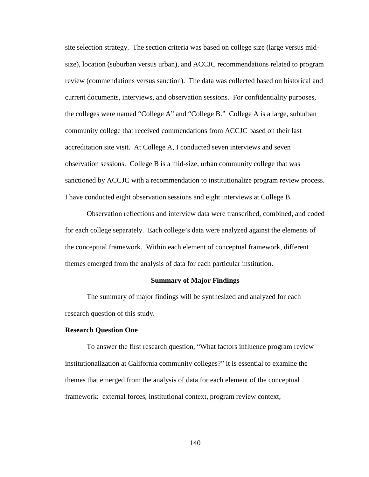site selection strategy. The section criteria was based on college size (large versus midsize), location (suburban versus urban), and ACCJC recommendations related to program review (commendations versus sanction). The data was collected based on historical and current documents, interviews, and observation sessions. For confidentiality purposes, the colleges were named "College A" and "College B." College A is a large, suburban community college that received commendations from ACCJC based on their last accreditation site visit. At College A, I conducted seven interviews and seven observation sessions. College B is a mid-size, urban community college that was sanctioned by ACCJC with a recommendation to institutionalize program review process. I have conducted eight observation sessions and eight interviews at College B.

Observation reflections and interview data were transcribed, combined, and coded for each college separately. Each college's data were analyzed against the elements of the conceptual framework. Within each element of conceptual framework, different themes emerged from the analysis of data for each particular institution.

#### **Summary of Major Findings**

The summary of major findings will be synthesized and analyzed for each research question of this study.

## **Research Question One**

To answer the first research question, "What factors influence program review institutionalization at California community colleges?" it is essential to examine the themes that emerged from the analysis of data for each element of the conceptual framework: external forces, institutional context, program review context,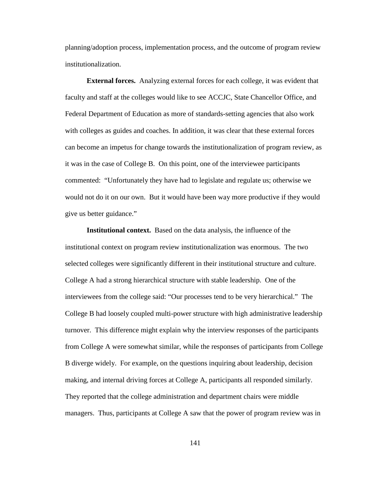planning/adoption process, implementation process, and the outcome of program review institutionalization.

**External forces.** Analyzing external forces for each college, it was evident that faculty and staff at the colleges would like to see ACCJC, State Chancellor Office, and Federal Department of Education as more of standards-setting agencies that also work with colleges as guides and coaches. In addition, it was clear that these external forces can become an impetus for change towards the institutionalization of program review, as it was in the case of College B. On this point, one of the interviewee participants commented: "Unfortunately they have had to legislate and regulate us; otherwise we would not do it on our own. But it would have been way more productive if they would give us better guidance."

**Institutional context.** Based on the data analysis, the influence of the institutional context on program review institutionalization was enormous. The two selected colleges were significantly different in their institutional structure and culture. College A had a strong hierarchical structure with stable leadership. One of the interviewees from the college said: "Our processes tend to be very hierarchical." The College B had loosely coupled multi-power structure with high administrative leadership turnover. This difference might explain why the interview responses of the participants from College A were somewhat similar, while the responses of participants from College B diverge widely. For example, on the questions inquiring about leadership, decision making, and internal driving forces at College A, participants all responded similarly. They reported that the college administration and department chairs were middle managers. Thus, participants at College A saw that the power of program review was in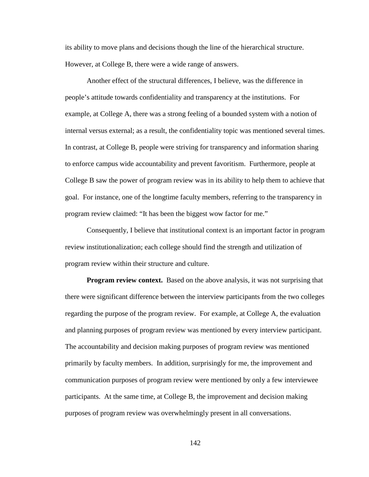its ability to move plans and decisions though the line of the hierarchical structure. However, at College B, there were a wide range of answers.

Another effect of the structural differences, I believe, was the difference in people's attitude towards confidentiality and transparency at the institutions. For example, at College A, there was a strong feeling of a bounded system with a notion of internal versus external; as a result, the confidentiality topic was mentioned several times. In contrast, at College B, people were striving for transparency and information sharing to enforce campus wide accountability and prevent favoritism. Furthermore, people at College B saw the power of program review was in its ability to help them to achieve that goal. For instance, one of the longtime faculty members, referring to the transparency in program review claimed: "It has been the biggest wow factor for me."

Consequently, I believe that institutional context is an important factor in program review institutionalization; each college should find the strength and utilization of program review within their structure and culture.

**Program review context.** Based on the above analysis, it was not surprising that there were significant difference between the interview participants from the two colleges regarding the purpose of the program review. For example, at College A, the evaluation and planning purposes of program review was mentioned by every interview participant. The accountability and decision making purposes of program review was mentioned primarily by faculty members. In addition, surprisingly for me, the improvement and communication purposes of program review were mentioned by only a few interviewee participants. At the same time, at College B, the improvement and decision making purposes of program review was overwhelmingly present in all conversations.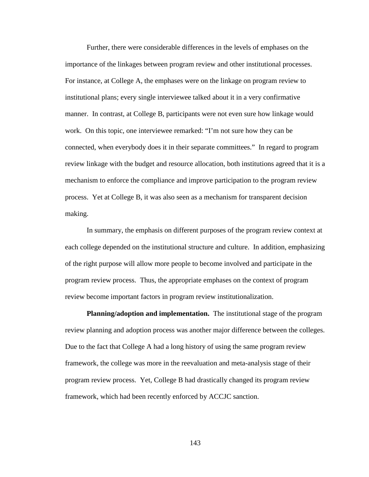Further, there were considerable differences in the levels of emphases on the importance of the linkages between program review and other institutional processes. For instance, at College A, the emphases were on the linkage on program review to institutional plans; every single interviewee talked about it in a very confirmative manner. In contrast, at College B, participants were not even sure how linkage would work. On this topic, one interviewee remarked: "I'm not sure how they can be connected, when everybody does it in their separate committees." In regard to program review linkage with the budget and resource allocation, both institutions agreed that it is a mechanism to enforce the compliance and improve participation to the program review process. Yet at College B, it was also seen as a mechanism for transparent decision making.

In summary, the emphasis on different purposes of the program review context at each college depended on the institutional structure and culture. In addition, emphasizing of the right purpose will allow more people to become involved and participate in the program review process. Thus, the appropriate emphases on the context of program review become important factors in program review institutionalization.

**Planning/adoption and implementation.** The institutional stage of the program review planning and adoption process was another major difference between the colleges. Due to the fact that College A had a long history of using the same program review framework, the college was more in the reevaluation and meta-analysis stage of their program review process. Yet, College B had drastically changed its program review framework, which had been recently enforced by ACCJC sanction.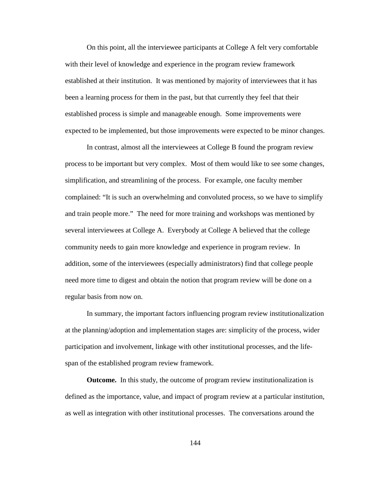On this point, all the interviewee participants at College A felt very comfortable with their level of knowledge and experience in the program review framework established at their institution. It was mentioned by majority of interviewees that it has been a learning process for them in the past, but that currently they feel that their established process is simple and manageable enough. Some improvements were expected to be implemented, but those improvements were expected to be minor changes.

In contrast, almost all the interviewees at College B found the program review process to be important but very complex. Most of them would like to see some changes, simplification, and streamlining of the process. For example, one faculty member complained: "It is such an overwhelming and convoluted process, so we have to simplify and train people more." The need for more training and workshops was mentioned by several interviewees at College A. Everybody at College A believed that the college community needs to gain more knowledge and experience in program review. In addition, some of the interviewees (especially administrators) find that college people need more time to digest and obtain the notion that program review will be done on a regular basis from now on.

In summary, the important factors influencing program review institutionalization at the planning/adoption and implementation stages are: simplicity of the process, wider participation and involvement, linkage with other institutional processes, and the lifespan of the established program review framework.

**Outcome.** In this study, the outcome of program review institutionalization is defined as the importance, value, and impact of program review at a particular institution, as well as integration with other institutional processes. The conversations around the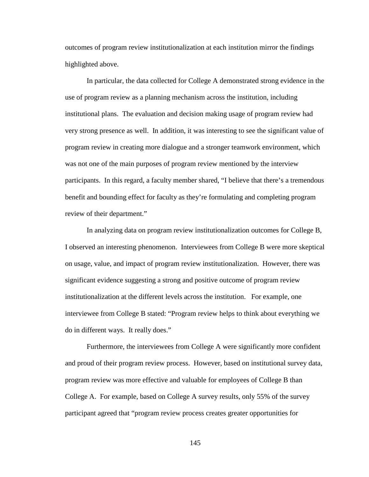outcomes of program review institutionalization at each institution mirror the findings highlighted above.

In particular, the data collected for College A demonstrated strong evidence in the use of program review as a planning mechanism across the institution, including institutional plans. The evaluation and decision making usage of program review had very strong presence as well. In addition, it was interesting to see the significant value of program review in creating more dialogue and a stronger teamwork environment, which was not one of the main purposes of program review mentioned by the interview participants. In this regard, a faculty member shared, "I believe that there's a tremendous benefit and bounding effect for faculty as they're formulating and completing program review of their department."

In analyzing data on program review institutionalization outcomes for College B, I observed an interesting phenomenon. Interviewees from College B were more skeptical on usage, value, and impact of program review institutionalization. However, there was significant evidence suggesting a strong and positive outcome of program review institutionalization at the different levels across the institution. For example, one interviewee from College B stated: "Program review helps to think about everything we do in different ways. It really does."

Furthermore, the interviewees from College A were significantly more confident and proud of their program review process. However, based on institutional survey data, program review was more effective and valuable for employees of College B than College A. For example, based on College A survey results, only 55% of the survey participant agreed that "program review process creates greater opportunities for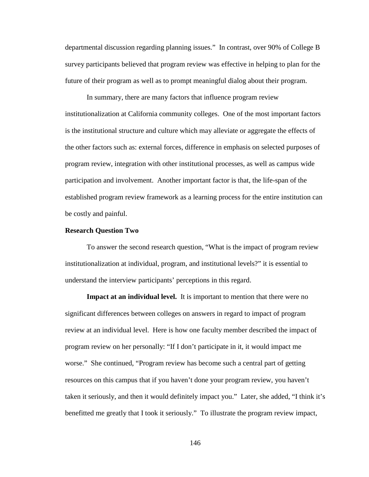departmental discussion regarding planning issues." In contrast, over 90% of College B survey participants believed that program review was effective in helping to plan for the future of their program as well as to prompt meaningful dialog about their program.

In summary, there are many factors that influence program review institutionalization at California community colleges. One of the most important factors is the institutional structure and culture which may alleviate or aggregate the effects of the other factors such as: external forces, difference in emphasis on selected purposes of program review, integration with other institutional processes, as well as campus wide participation and involvement. Another important factor is that, the life-span of the established program review framework as a learning process for the entire institution can be costly and painful.

#### **Research Question Two**

To answer the second research question, "What is the impact of program review institutionalization at individual, program, and institutional levels?" it is essential to understand the interview participants' perceptions in this regard.

**Impact at an individual level.** It is important to mention that there were no significant differences between colleges on answers in regard to impact of program review at an individual level. Here is how one faculty member described the impact of program review on her personally: "If I don't participate in it, it would impact me worse." She continued, "Program review has become such a central part of getting resources on this campus that if you haven't done your program review, you haven't taken it seriously, and then it would definitely impact you." Later, she added, "I think it's benefitted me greatly that I took it seriously." To illustrate the program review impact,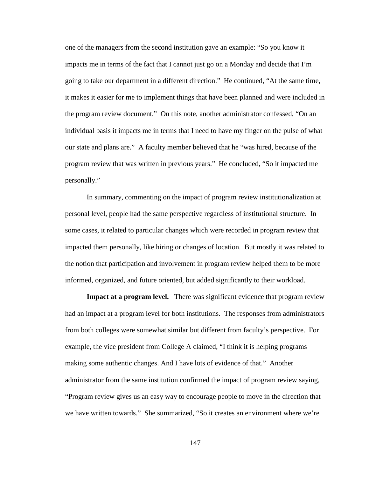one of the managers from the second institution gave an example: "So you know it impacts me in terms of the fact that I cannot just go on a Monday and decide that I'm going to take our department in a different direction." He continued, "At the same time, it makes it easier for me to implement things that have been planned and were included in the program review document." On this note, another administrator confessed, "On an individual basis it impacts me in terms that I need to have my finger on the pulse of what our state and plans are." A faculty member believed that he "was hired, because of the program review that was written in previous years." He concluded, "So it impacted me personally."

In summary, commenting on the impact of program review institutionalization at personal level, people had the same perspective regardless of institutional structure. In some cases, it related to particular changes which were recorded in program review that impacted them personally, like hiring or changes of location. But mostly it was related to the notion that participation and involvement in program review helped them to be more informed, organized, and future oriented, but added significantly to their workload.

**Impact at a program level.** There was significant evidence that program review had an impact at a program level for both institutions. The responses from administrators from both colleges were somewhat similar but different from faculty's perspective. For example, the vice president from College A claimed, "I think it is helping programs making some authentic changes. And I have lots of evidence of that." Another administrator from the same institution confirmed the impact of program review saying, "Program review gives us an easy way to encourage people to move in the direction that we have written towards." She summarized, "So it creates an environment where we're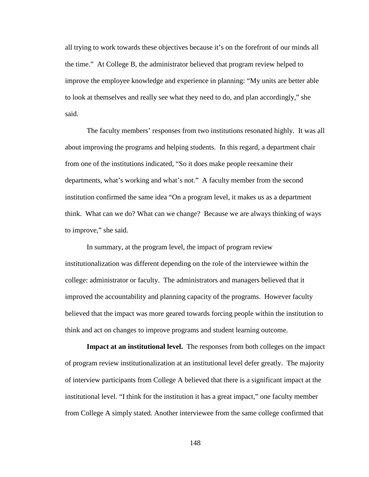all trying to work towards these objectives because it's on the forefront of our minds all the time." At College B, the administrator believed that program review helped to improve the employee knowledge and experience in planning: "My units are better able to look at themselves and really see what they need to do, and plan accordingly," she said.

The faculty members' responses from two institutions resonated highly. It was all about improving the programs and helping students. In this regard, a department chair from one of the institutions indicated, "So it does make people reexamine their departments, what's working and what's not." A faculty member from the second institution confirmed the same idea "On a program level, it makes us as a department think. What can we do? What can we change? Because we are always thinking of ways to improve," she said.

In summary, at the program level, the impact of program review institutionalization was different depending on the role of the interviewee within the college: administrator or faculty. The administrators and managers believed that it improved the accountability and planning capacity of the programs. However faculty believed that the impact was more geared towards forcing people within the institution to think and act on changes to improve programs and student learning outcome.

**Impact at an institutional level.** The responses from both colleges on the impact of program review institutionalization at an institutional level defer greatly. The majority of interview participants from College A believed that there is a significant impact at the institutional level. "I think for the institution it has a great impact," one faculty member from College A simply stated. Another interviewee from the same college confirmed that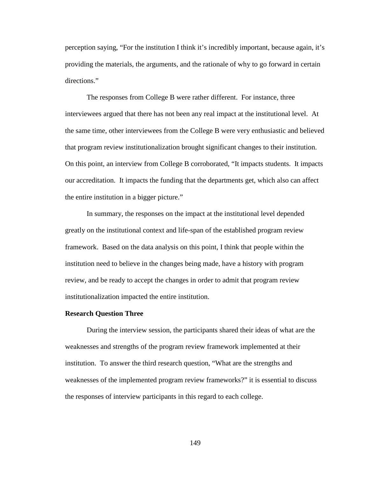perception saying, "For the institution I think it's incredibly important, because again, it's providing the materials, the arguments, and the rationale of why to go forward in certain directions."

The responses from College B were rather different. For instance, three interviewees argued that there has not been any real impact at the institutional level. At the same time, other interviewees from the College B were very enthusiastic and believed that program review institutionalization brought significant changes to their institution. On this point, an interview from College B corroborated, "It impacts students. It impacts our accreditation. It impacts the funding that the departments get, which also can affect the entire institution in a bigger picture."

In summary, the responses on the impact at the institutional level depended greatly on the institutional context and life-span of the established program review framework. Based on the data analysis on this point, I think that people within the institution need to believe in the changes being made, have a history with program review, and be ready to accept the changes in order to admit that program review institutionalization impacted the entire institution.

#### **Research Question Three**

During the interview session, the participants shared their ideas of what are the weaknesses and strengths of the program review framework implemented at their institution. To answer the third research question, "What are the strengths and weaknesses of the implemented program review frameworks?" it is essential to discuss the responses of interview participants in this regard to each college.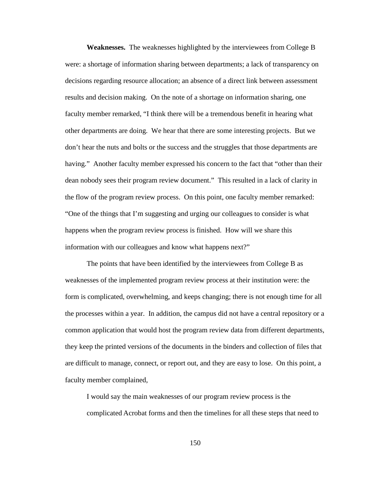**Weaknesses.** The weaknesses highlighted by the interviewees from College B were: a shortage of information sharing between departments; a lack of transparency on decisions regarding resource allocation; an absence of a direct link between assessment results and decision making. On the note of a shortage on information sharing, one faculty member remarked, "I think there will be a tremendous benefit in hearing what other departments are doing. We hear that there are some interesting projects. But we don't hear the nuts and bolts or the success and the struggles that those departments are having." Another faculty member expressed his concern to the fact that "other than their dean nobody sees their program review document." This resulted in a lack of clarity in the flow of the program review process. On this point, one faculty member remarked: "One of the things that I'm suggesting and urging our colleagues to consider is what happens when the program review process is finished. How will we share this information with our colleagues and know what happens next?"

The points that have been identified by the interviewees from College B as weaknesses of the implemented program review process at their institution were: the form is complicated, overwhelming, and keeps changing; there is not enough time for all the processes within a year. In addition, the campus did not have a central repository or a common application that would host the program review data from different departments, they keep the printed versions of the documents in the binders and collection of files that are difficult to manage, connect, or report out, and they are easy to lose. On this point, a faculty member complained,

I would say the main weaknesses of our program review process is the complicated Acrobat forms and then the timelines for all these steps that need to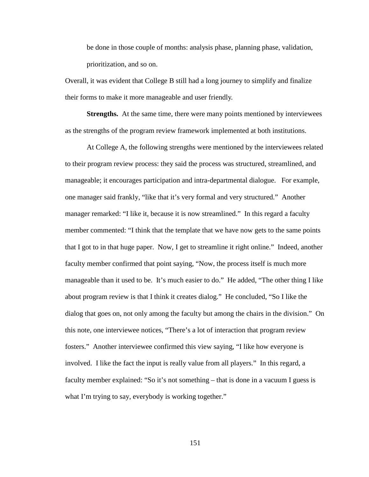be done in those couple of months: analysis phase, planning phase, validation, prioritization, and so on.

Overall, it was evident that College B still had a long journey to simplify and finalize their forms to make it more manageable and user friendly.

**Strengths.** At the same time, there were many points mentioned by interviewees as the strengths of the program review framework implemented at both institutions.

At College A, the following strengths were mentioned by the interviewees related to their program review process: they said the process was structured, streamlined, and manageable; it encourages participation and intra-departmental dialogue. For example, one manager said frankly, "like that it's very formal and very structured." Another manager remarked: "I like it, because it is now streamlined." In this regard a faculty member commented: "I think that the template that we have now gets to the same points that I got to in that huge paper. Now, I get to streamline it right online." Indeed, another faculty member confirmed that point saying, "Now, the process itself is much more manageable than it used to be. It's much easier to do." He added, "The other thing I like about program review is that I think it creates dialog." He concluded, "So I like the dialog that goes on, not only among the faculty but among the chairs in the division." On this note, one interviewee notices, "There's a lot of interaction that program review fosters." Another interviewee confirmed this view saying, "I like how everyone is involved. I like the fact the input is really value from all players." In this regard, a faculty member explained: "So it's not something – that is done in a vacuum I guess is what I'm trying to say, everybody is working together."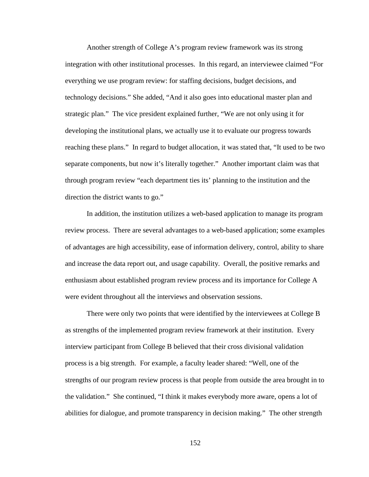Another strength of College A's program review framework was its strong integration with other institutional processes. In this regard, an interviewee claimed "For everything we use program review: for staffing decisions, budget decisions, and technology decisions." She added, "And it also goes into educational master plan and strategic plan." The vice president explained further, "We are not only using it for developing the institutional plans, we actually use it to evaluate our progress towards reaching these plans." In regard to budget allocation, it was stated that, "It used to be two separate components, but now it's literally together." Another important claim was that through program review "each department ties its' planning to the institution and the direction the district wants to go."

In addition, the institution utilizes a web-based application to manage its program review process. There are several advantages to a web-based application; some examples of advantages are high accessibility, ease of information delivery, control, ability to share and increase the data report out, and usage capability. Overall, the positive remarks and enthusiasm about established program review process and its importance for College A were evident throughout all the interviews and observation sessions.

There were only two points that were identified by the interviewees at College B as strengths of the implemented program review framework at their institution. Every interview participant from College B believed that their cross divisional validation process is a big strength. For example, a faculty leader shared: "Well, one of the strengths of our program review process is that people from outside the area brought in to the validation." She continued, "I think it makes everybody more aware, opens a lot of abilities for dialogue, and promote transparency in decision making." The other strength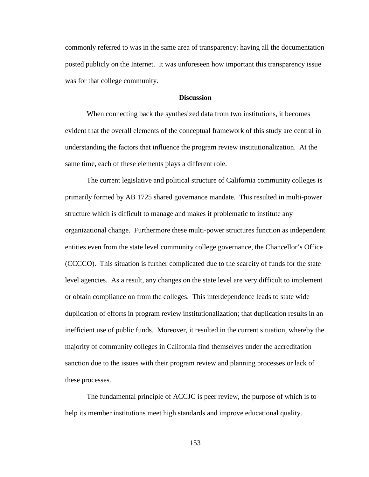commonly referred to was in the same area of transparency: having all the documentation posted publicly on the Internet. It was unforeseen how important this transparency issue was for that college community.

## **Discussion**

When connecting back the synthesized data from two institutions, it becomes evident that the overall elements of the conceptual framework of this study are central in understanding the factors that influence the program review institutionalization. At the same time, each of these elements plays a different role.

The current legislative and political structure of California community colleges is primarily formed by AB 1725 shared governance mandate. This resulted in multi-power structure which is difficult to manage and makes it problematic to institute any organizational change. Furthermore these multi-power structures function as independent entities even from the state level community college governance, the Chancellor's Office (CCCCO). This situation is further complicated due to the scarcity of funds for the state level agencies. As a result, any changes on the state level are very difficult to implement or obtain compliance on from the colleges. This interdependence leads to state wide duplication of efforts in program review institutionalization; that duplication results in an inefficient use of public funds. Moreover, it resulted in the current situation, whereby the majority of community colleges in California find themselves under the accreditation sanction due to the issues with their program review and planning processes or lack of these processes.

The fundamental principle of ACCJC is peer review, the purpose of which is to help its member institutions meet high standards and improve educational quality.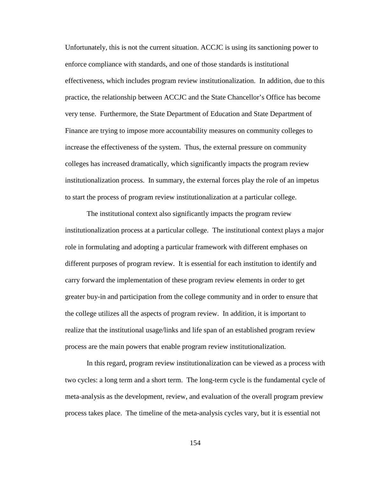Unfortunately, this is not the current situation. ACCJC is using its sanctioning power to enforce compliance with standards, and one of those standards is institutional effectiveness, which includes program review institutionalization. In addition, due to this practice, the relationship between ACCJC and the State Chancellor's Office has become very tense. Furthermore, the State Department of Education and State Department of Finance are trying to impose more accountability measures on community colleges to increase the effectiveness of the system. Thus, the external pressure on community colleges has increased dramatically, which significantly impacts the program review institutionalization process. In summary, the external forces play the role of an impetus to start the process of program review institutionalization at a particular college.

The institutional context also significantly impacts the program review institutionalization process at a particular college. The institutional context plays a major role in formulating and adopting a particular framework with different emphases on different purposes of program review. It is essential for each institution to identify and carry forward the implementation of these program review elements in order to get greater buy-in and participation from the college community and in order to ensure that the college utilizes all the aspects of program review. In addition, it is important to realize that the institutional usage/links and life span of an established program review process are the main powers that enable program review institutionalization.

In this regard, program review institutionalization can be viewed as a process with two cycles: a long term and a short term. The long-term cycle is the fundamental cycle of meta-analysis as the development, review, and evaluation of the overall program preview process takes place. The timeline of the meta-analysis cycles vary, but it is essential not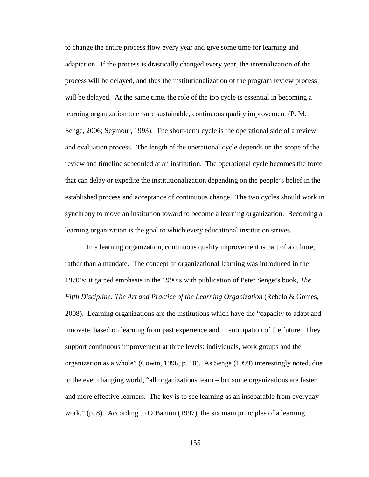to change the entire process flow every year and give some time for learning and adaptation. If the process is drastically changed every year, the internalization of the process will be delayed, and thus the institutionalization of the program review process will be delayed. At the same time, the role of the top cycle is essential in becoming a learning organization to ensure sustainable, continuous quality improvement [\(P. M.](#page-181-0)  [Senge, 2006;](#page-181-0) [Seymour, 1993\)](#page-181-1). The short-term cycle is the operational side of a review and evaluation process. The length of the operational cycle depends on the scope of the review and timeline scheduled at an institution. The operational cycle becomes the force that can delay or expedite the institutionalization depending on the people's belief in the established process and acceptance of continuous change. The two cycles should work in synchrony to move an institution toward to become a learning organization. Becoming a learning organization is the goal to which every educational institution strives.

In a learning organization, continuous quality improvement is part of a culture, rather than a mandate. The concept of organizational learning was introduced in the 1970's; it gained emphasis in the 1990's with publication of Peter Senge's book, *The Fifth Discipline: The Art and Practice of the Learning Organization* [\(Rebelo & Gomes,](#page-180-0)  [2008\)](#page-180-0). Learning organizations are the institutions which have the "capacity to adapt and innovate, based on learning from past experience and in anticipation of the future. They support continuous improvement at three levels: individuals, work groups and the organization as a whole" (Cowin, 1996, p. 10). As Senge (1999) interestingly noted, due to the ever changing world, "all organizations learn – but some organizations are faster and more effective learners. The key is to see learning as an inseparable from everyday work." (p. 8). According to O'Banion (1997), the six main principles of a learning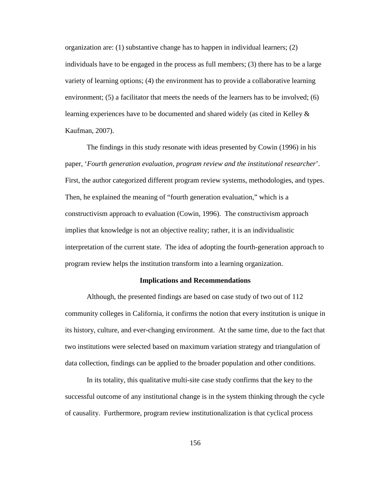organization are: (1) substantive change has to happen in individual learners; (2) individuals have to be engaged in the process as full members; (3) there has to be a large variety of learning options; (4) the environment has to provide a collaborative learning environment; (5) a facilitator that meets the needs of the learners has to be involved; (6) learning experiences have to be documented and shared widely (as cited in Kelley & Kaufman, 2007).

The findings in this study resonate with ideas presented by Cowin (1996) in his paper, '*Fourth generation evaluation, program review and the institutional researcher*'. First, the author categorized different program review systems, methodologies, and types. Then, he explained the meaning of "fourth generation evaluation," which is a constructivism approach to evaluation [\(Cowin, 1996\)](#page-177-0). The constructivism approach implies that knowledge is not an objective reality; rather, it is an individualistic interpretation of the current state. The idea of adopting the fourth-generation approach to program review helps the institution transform into a learning organization.

## **Implications and Recommendations**

Although, the presented findings are based on case study of two out of 112 community colleges in California, it confirms the notion that every institution is unique in its history, culture, and ever-changing environment. At the same time, due to the fact that two institutions were selected based on maximum variation strategy and triangulation of data collection, findings can be applied to the broader population and other conditions.

In its totality, this qualitative multi-site case study confirms that the key to the successful outcome of any institutional change is in the system thinking through the cycle of causality. Furthermore, program review institutionalization is that cyclical process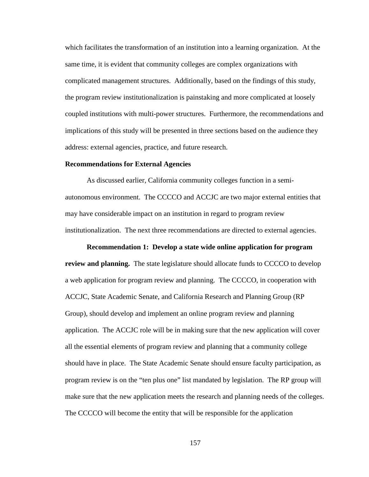which facilitates the transformation of an institution into a learning organization. At the same time, it is evident that community colleges are complex organizations with complicated management structures. Additionally, based on the findings of this study, the program review institutionalization is painstaking and more complicated at loosely coupled institutions with multi-power structures. Furthermore, the recommendations and implications of this study will be presented in three sections based on the audience they address: external agencies, practice, and future research.

#### **Recommendations for External Agencies**

As discussed earlier, California community colleges function in a semiautonomous environment. The CCCCO and ACCJC are two major external entities that may have considerable impact on an institution in regard to program review institutionalization. The next three recommendations are directed to external agencies.

#### **Recommendation 1: Develop a state wide online application for program**

**review and planning.** The state legislature should allocate funds to CCCCO to develop a web application for program review and planning. The CCCCO, in cooperation with ACCJC, State Academic Senate, and California Research and Planning Group (RP Group), should develop and implement an online program review and planning application. The ACCJC role will be in making sure that the new application will cover all the essential elements of program review and planning that a community college should have in place. The State Academic Senate should ensure faculty participation, as program review is on the "ten plus one" list mandated by legislation. The RP group will make sure that the new application meets the research and planning needs of the colleges. The CCCCO will become the entity that will be responsible for the application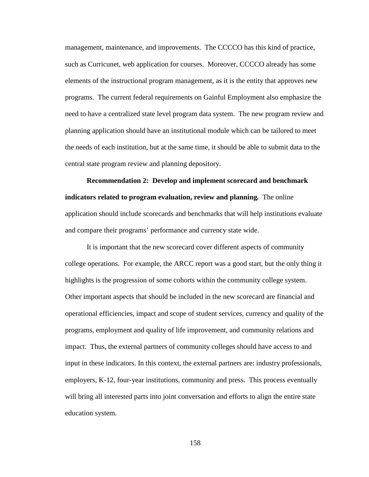management, maintenance, and improvements. The CCCCO has this kind of practice, such as Curricunet, web application for courses. Moreover, CCCCO already has some elements of the instructional program management, as it is the entity that approves new programs. The current federal requirements on Gainful Employment also emphasize the need to have a centralized state level program data system. The new program review and planning application should have an institutional module which can be tailored to meet the needs of each institution, but at the same time, it should be able to submit data to the central state program review and planning depository.

**Recommendation 2: Develop and implement scorecard and benchmark indicators related to program evaluation, review and planning***.* The online application should include scorecards and benchmarks that will help institutions evaluate and compare their programs' performance and currency state wide.

It is important that the new scorecard cover different aspects of community college operations. For example, the ARCC report was a good start, but the only thing it highlights is the progression of some cohorts within the community college system. Other important aspects that should be included in the new scorecard are financial and operational efficiencies, impact and scope of student services, currency and quality of the programs, employment and quality of life improvement, and community relations and impact. Thus, the external partners of community colleges should have access to and input in these indicators. In this context, the external partners are: industry professionals, employers, K-12, four-year institutions, community and press. This process eventually will bring all interested parts into joint conversation and efforts to align the entire state education system.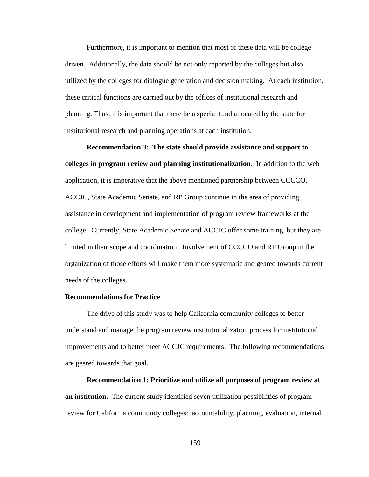Furthermore, it is important to mention that most of these data will be college driven. Additionally, the data should be not only reported by the colleges but also utilized by the colleges for dialogue generation and decision making. At each institution, these critical functions are carried out by the offices of institutional research and planning. Thus, it is important that there be a special fund allocated by the state for institutional research and planning operations at each institution.

**Recommendation 3: The state should provide assistance and support to colleges in program review and planning institutionalization.** In addition to the web application, it is imperative that the above mentioned partnership between CCCCO, ACCJC, State Academic Senate, and RP Group continue in the area of providing assistance in development and implementation of program review frameworks at the college. Currently, State Academic Senate and ACCJC offer some training, but they are limited in their scope and coordination. Involvement of CCCCO and RP Group in the organization of those efforts will make them more systematic and geared towards current needs of the colleges.

## **Recommendations for Practice**

The drive of this study was to help California community colleges to better understand and manage the program review institutionalization process for institutional improvements and to better meet ACCJC requirements. The following recommendations are geared towards that goal.

**Recommendation 1: Prioritize and utilize all purposes of program review at an institution.**The current study identified seven utilization possibilities of program review for California community colleges: accountability, planning, evaluation, internal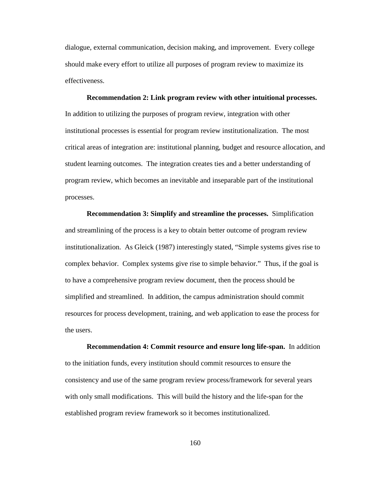dialogue, external communication, decision making, and improvement. Every college should make every effort to utilize all purposes of program review to maximize its effectiveness.

**Recommendation 2: Link program review with other intuitional processes.** In addition to utilizing the purposes of program review, integration with other institutional processes is essential for program review institutionalization. The most critical areas of integration are: institutional planning, budget and resource allocation, and student learning outcomes. The integration creates ties and a better understanding of program review, which becomes an inevitable and inseparable part of the institutional processes.

**Recommendation 3: Simplify and streamline the processes.** Simplification and streamlining of the process is a key to obtain better outcome of program review institutionalization. As Gleick (1987) interestingly stated, "Simple systems gives rise to complex behavior. Complex systems give rise to simple behavior." Thus, if the goal is to have a comprehensive program review document, then the process should be simplified and streamlined. In addition, the campus administration should commit resources for process development, training, and web application to ease the process for the users.

**Recommendation 4: Commit resource and ensure long life-span.**In addition to the initiation funds, every institution should commit resources to ensure the consistency and use of the same program review process/framework for several years with only small modifications. This will build the history and the life-span for the established program review framework so it becomes institutionalized.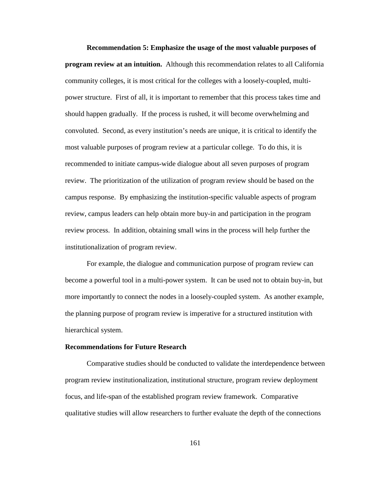**Recommendation 5: Emphasize the usage of the most valuable purposes of program review at an intuition.** Although this recommendation relates to all California community colleges, it is most critical for the colleges with a loosely-coupled, multipower structure. First of all, it is important to remember that this process takes time and should happen gradually. If the process is rushed, it will become overwhelming and convoluted. Second, as every institution's needs are unique, it is critical to identify the most valuable purposes of program review at a particular college. To do this, it is recommended to initiate campus-wide dialogue about all seven purposes of program review. The prioritization of the utilization of program review should be based on the campus response. By emphasizing the institution-specific valuable aspects of program review, campus leaders can help obtain more buy-in and participation in the program review process. In addition, obtaining small wins in the process will help further the institutionalization of program review.

For example, the dialogue and communication purpose of program review can become a powerful tool in a multi-power system. It can be used not to obtain buy-in, but more importantly to connect the nodes in a loosely-coupled system. As another example, the planning purpose of program review is imperative for a structured institution with hierarchical system.

# **Recommendations for Future Research**

Comparative studies should be conducted to validate the interdependence between program review institutionalization, institutional structure, program review deployment focus, and life-span of the established program review framework. Comparative qualitative studies will allow researchers to further evaluate the depth of the connections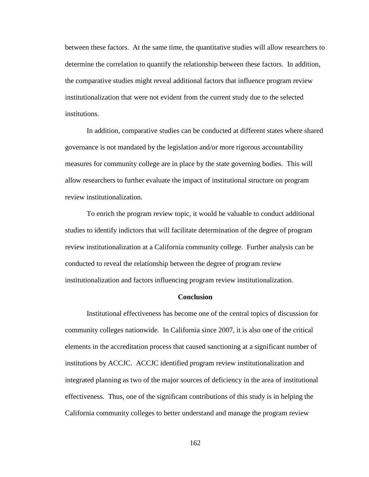between these factors. At the same time, the quantitative studies will allow researchers to determine the correlation to quantify the relationship between these factors. In addition, the comparative studies might reveal additional factors that influence program review institutionalization that were not evident from the current study due to the selected institutions.

In addition, comparative studies can be conducted at different states where shared governance is not mandated by the legislation and/or more rigorous accountability measures for community college are in place by the state governing bodies. This will allow researchers to further evaluate the impact of institutional structure on program review institutionalization.

To enrich the program review topic, it would be valuable to conduct additional studies to identify indictors that will facilitate determination of the degree of program review institutionalization at a California community college. Further analysis can be conducted to reveal the relationship between the degree of program review institutionalization and factors influencing program review institutionalization.

## **Conclusion**

Institutional effectiveness has become one of the central topics of discussion for community colleges nationwide. In California since 2007, it is also one of the critical elements in the accreditation process that caused sanctioning at a significant number of institutions by ACCJC. ACCJC identified program review institutionalization and integrated planning as two of the major sources of deficiency in the area of institutional effectiveness. Thus, one of the significant contributions of this study is in helping the California community colleges to better understand and manage the program review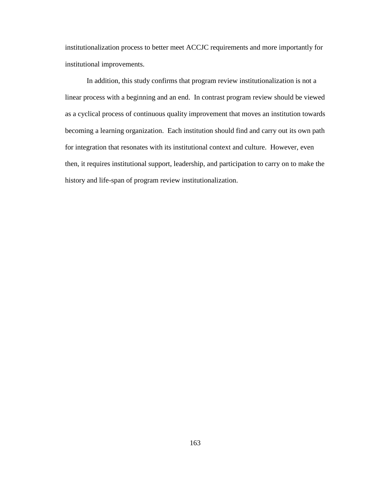institutionalization process to better meet ACCJC requirements and more importantly for institutional improvements.

In addition, this study confirms that program review institutionalization is not a linear process with a beginning and an end. In contrast program review should be viewed as a cyclical process of continuous quality improvement that moves an institution towards becoming a learning organization. Each institution should find and carry out its own path for integration that resonates with its institutional context and culture. However, even then, it requires institutional support, leadership, and participation to carry on to make the history and life-span of program review institutionalization.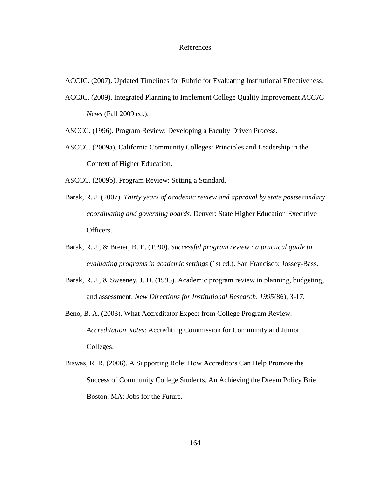### References

ACCJC. (2007). Updated Timelines for Rubric for Evaluating Institutional Effectiveness.

- <span id="page-175-0"></span>ACCJC. (2009). Integrated Planning to Implement College Quality Improvement *ACCJC News* (Fall 2009 ed.).
- ASCCC. (1996). Program Review: Developing a Faculty Driven Process.
- ASCCC. (2009a). California Community Colleges: Principles and Leadership in the Context of Higher Education.
- ASCCC. (2009b). Program Review: Setting a Standard.
- Barak, R. J. (2007). *Thirty years of academic review and approval by state postsecondary coordinating and governing boards*. Denver: State Higher Education Executive Officers.
- Barak, R. J., & Breier, B. E. (1990). *Successful program review : a practical guide to evaluating programs in academic settings* (1st ed.). San Francisco: Jossey-Bass.
- Barak, R. J., & Sweeney, J. D. (1995). Academic program review in planning, budgeting, and assessment. *New Directions for Institutional Research, 1995*(86), 3-17.
- Beno, B. A. (2003). What Accreditator Expect from College Program Review. *Accreditation Notes*: Accrediting Commission for Community and Junior Colleges.
- Biswas, R. R. (2006). A Supporting Role: How Accreditors Can Help Promote the Success of Community College Students. An Achieving the Dream Policy Brief. Boston, MA: Jobs for the Future.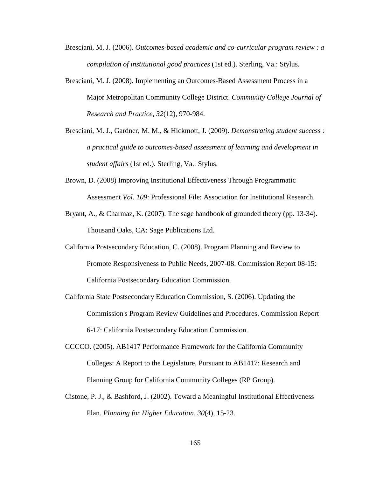- Bresciani, M. J. (2006). *Outcomes-based academic and co-curricular program review : a compilation of institutional good practices* (1st ed.). Sterling, Va.: Stylus.
- Bresciani, M. J. (2008). Implementing an Outcomes-Based Assessment Process in a Major Metropolitan Community College District. *Community College Journal of Research and Practice, 32*(12), 970-984.
- Bresciani, M. J., Gardner, M. M., & Hickmott, J. (2009). *Demonstrating student success : a practical guide to outcomes-based assessment of learning and development in student affairs* (1st ed.). Sterling, Va.: Stylus.
- Brown, D. (2008) Improving Institutional Effectiveness Through Programmatic Assessment *Vol. 109*: Professional File: Association for Institutional Research.
- Bryant, A., & Charmaz, K. (2007). The sage handbook of grounded theory (pp. 13-34). Thousand Oaks, CA: Sage Publications Ltd.
- California Postsecondary Education, C. (2008). Program Planning and Review to Promote Responsiveness to Public Needs, 2007-08. Commission Report 08-15: California Postsecondary Education Commission.
- California State Postsecondary Education Commission, S. (2006). Updating the Commission's Program Review Guidelines and Procedures. Commission Report 6-17: California Postsecondary Education Commission.
- CCCCO. (2005). AB1417 Performance Framework for the California Community Colleges: A Report to the Legislature, Pursuant to AB1417: Research and Planning Group for California Community Colleges (RP Group).
- Cistone, P. J., & Bashford, J. (2002). Toward a Meaningful Institutional Effectiveness Plan. *Planning for Higher Education, 30*(4), 15-23.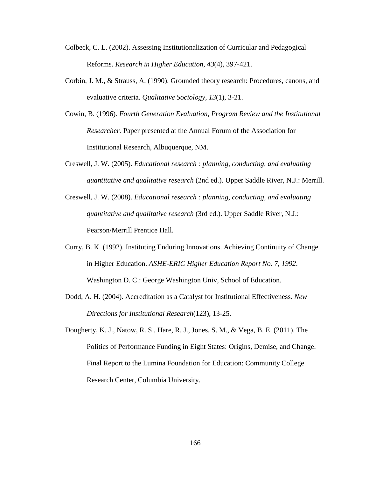- Colbeck, C. L. (2002). Assessing Institutionalization of Curricular and Pedagogical Reforms. *Research in Higher Education, 43*(4), 397-421.
- Corbin, J. M., & Strauss, A. (1990). Grounded theory research: Procedures, canons, and evaluative criteria. *Qualitative Sociology, 13*(1), 3-21.
- <span id="page-177-0"></span>Cowin, B. (1996). *Fourth Generation Evaluation, Program Review and the Institutional Researcher.* Paper presented at the Annual Forum of the Association for Institutional Research, Albuquerque, NM.
- Creswell, J. W. (2005). *Educational research : planning, conducting, and evaluating quantitative and qualitative research* (2nd ed.). Upper Saddle River, N.J.: Merrill.
- Creswell, J. W. (2008). *Educational research : planning, conducting, and evaluating quantitative and qualitative research* (3rd ed.). Upper Saddle River, N.J.: Pearson/Merrill Prentice Hall.
- Curry, B. K. (1992). Instituting Enduring Innovations. Achieving Continuity of Change in Higher Education. *ASHE-ERIC Higher Education Report No. 7, 1992*. Washington D. C.: George Washington Univ, School of Education.
- Dodd, A. H. (2004). Accreditation as a Catalyst for Institutional Effectiveness. *New Directions for Institutional Research*(123), 13-25.
- Dougherty, K. J., Natow, R. S., Hare, R. J., Jones, S. M., & Vega, B. E. (2011). The Politics of Performance Funding in Eight States: Origins, Demise, and Change. Final Report to the Lumina Foundation for Education: Community College Research Center, Columbia University.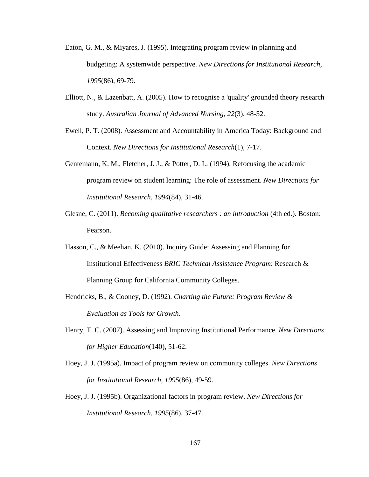- Eaton, G. M., & Miyares, J. (1995). Integrating program review in planning and budgeting: A systemwide perspective. *New Directions for Institutional Research, 1995*(86), 69-79.
- Elliott, N., & Lazenbatt, A. (2005). How to recognise a 'quality' grounded theory research study. *Australian Journal of Advanced Nursing, 22*(3), 48-52.
- Ewell, P. T. (2008). Assessment and Accountability in America Today: Background and Context. *New Directions for Institutional Research*(1), 7-17.
- Gentemann, K. M., Fletcher, J. J., & Potter, D. L. (1994). Refocusing the academic program review on student learning: The role of assessment. *New Directions for Institutional Research, 1994*(84), 31-46.
- Glesne, C. (2011). *Becoming qualitative researchers : an introduction* (4th ed.). Boston: Pearson.
- Hasson, C., & Meehan, K. (2010). Inquiry Guide: Assessing and Planning for Institutional Effectiveness *BRIC Technical Assistance Program*: Research & Planning Group for California Community Colleges.
- Hendricks, B., & Cooney, D. (1992). *Charting the Future: Program Review & Evaluation as Tools for Growth*.
- Henry, T. C. (2007). Assessing and Improving Institutional Performance. *New Directions for Higher Education*(140), 51-62.
- Hoey, J. J. (1995a). Impact of program review on community colleges. *New Directions for Institutional Research, 1995*(86), 49-59.
- Hoey, J. J. (1995b). Organizational factors in program review. *New Directions for Institutional Research, 1995*(86), 37-47.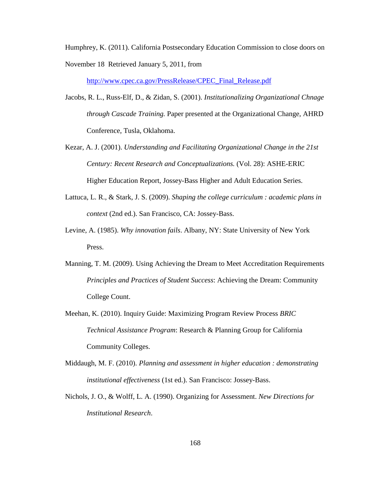Humphrey, K. (2011). California Postsecondary Education Commission to close doors on

November 18 Retrieved January 5, 2011, from

[http://www.cpec.ca.gov/PressRelease/CPEC\\_Final\\_Release.pdf](http://www.cpec.ca.gov/PressRelease/CPEC_Final_Release.pdf)

- Jacobs, R. L., Russ-Elf, D., & Zidan, S. (2001). *Institutionalizing Organizational Chnage through Cascade Training.* Paper presented at the Organizational Change, AHRD Conference, Tusla, Oklahoma.
- Kezar, A. J. (2001). *Understanding and Facilitating Organizational Change in the 21st Century: Recent Research and Conceptualizations.* (Vol. 28): ASHE-ERIC Higher Education Report, Jossey-Bass Higher and Adult Education Series.
- Lattuca, L. R., & Stark, J. S. (2009). *Shaping the college curriculum : academic plans in context* (2nd ed.). San Francisco, CA: Jossey-Bass.
- Levine, A. (1985). *Why innovation fails*. Albany, NY: State University of New York Press.
- Manning, T. M. (2009). Using Achieving the Dream to Meet Accreditation Requirements *Principles and Practices of Student Success*: Achieving the Dream: Community College Count.
- Meehan, K. (2010). Inquiry Guide: Maximizing Program Review Process *BRIC Technical Assistance Program*: Research & Planning Group for California Community Colleges.
- Middaugh, M. F. (2010). *Planning and assessment in higher education : demonstrating institutional effectiveness* (1st ed.). San Francisco: Jossey-Bass.
- Nichols, J. O., & Wolff, L. A. (1990). Organizing for Assessment. *New Directions for Institutional Research*.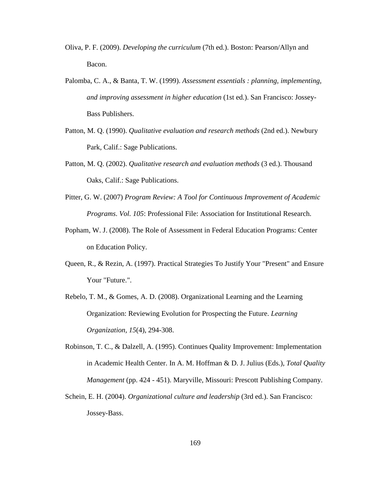- Oliva, P. F. (2009). *Developing the curriculum* (7th ed.). Boston: Pearson/Allyn and Bacon.
- Palomba, C. A., & Banta, T. W. (1999). *Assessment essentials : planning, implementing, and improving assessment in higher education* (1st ed.). San Francisco: Jossey-Bass Publishers.
- Patton, M. Q. (1990). *Qualitative evaluation and research methods* (2nd ed.). Newbury Park, Calif.: Sage Publications.
- Patton, M. Q. (2002). *Qualitative research and evaluation methods* (3 ed.). Thousand Oaks, Calif.: Sage Publications.
- Pitter, G. W. (2007) *Program Review: A Tool for Continuous Improvement of Academic Programs*. *Vol. 105*: Professional File: Association for Institutional Research.
- Popham, W. J. (2008). The Role of Assessment in Federal Education Programs: Center on Education Policy.
- Queen, R., & Rezin, A. (1997). Practical Strategies To Justify Your "Present" and Ensure Your "Future.".
- Rebelo, T. M., & Gomes, A. D. (2008). Organizational Learning and the Learning Organization: Reviewing Evolution for Prospecting the Future. *Learning Organization, 15*(4), 294-308.
- Robinson, T. C., & Dalzell, A. (1995). Continues Quality Improvement: Implementation in Academic Health Center. In A. M. Hoffman & D. J. Julius (Eds.), *Total Quality Management* (pp. 424 - 451). Maryville, Missouri: Prescott Publishing Company.
- Schein, E. H. (2004). *Organizational culture and leadership* (3rd ed.). San Francisco: Jossey-Bass.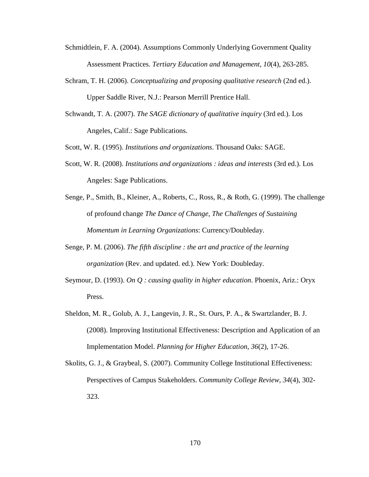- Schmidtlein, F. A. (2004). Assumptions Commonly Underlying Government Quality Assessment Practices. *Tertiary Education and Management, 10*(4), 263-285.
- Schram, T. H. (2006). *Conceptualizing and proposing qualitative research* (2nd ed.). Upper Saddle River, N.J.: Pearson Merrill Prentice Hall.
- Schwandt, T. A. (2007). *The SAGE dictionary of qualitative inquiry* (3rd ed.). Los Angeles, Calif.: Sage Publications.
- Scott, W. R. (1995). *Institutions and organizations*. Thousand Oaks: SAGE.
- Scott, W. R. (2008). *Institutions and organizations : ideas and interests* (3rd ed.). Los Angeles: Sage Publications.
- Senge, P., Smith, B., Kleiner, A., Roberts, C., Ross, R., & Roth, G. (1999). The challenge of profound change *The Dance of Change, The Challenges of Sustaining Momentum in Learning Organizations*: Currency/Doubleday.
- Senge, P. M. (2006). *The fifth discipline : the art and practice of the learning organization* (Rev. and updated. ed.). New York: Doubleday.
- Seymour, D. (1993). *On Q : causing quality in higher education*. Phoenix, Ariz.: Oryx Press.
- Sheldon, M. R., Golub, A. J., Langevin, J. R., St. Ours, P. A., & Swartzlander, B. J. (2008). Improving Institutional Effectiveness: Description and Application of an Implementation Model. *Planning for Higher Education, 36*(2), 17-26.
- Skolits, G. J., & Graybeal, S. (2007). Community College Institutional Effectiveness: Perspectives of Campus Stakeholders. *Community College Review, 34*(4), 302- 323.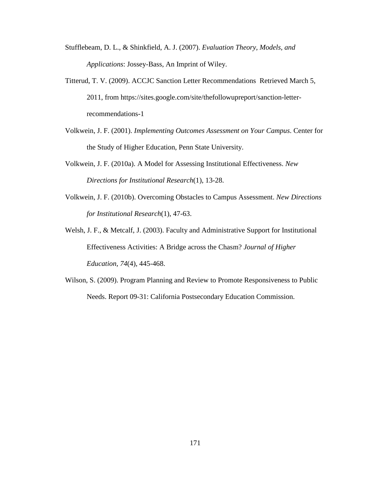- Stufflebeam, D. L., & Shinkfield, A. J. (2007). *Evaluation Theory, Models, and Applications*: Jossey-Bass, An Imprint of Wiley.
- Titterud, T. V. (2009). ACCJC Sanction Letter Recommendations Retrieved March 5, 2011, from https://sites.google.com/site/thefollowupreport/sanction-letterrecommendations-1
- Volkwein, J. F. (2001). *Implementing Outcomes Assessment on Your Campus*. Center for the Study of Higher Education, Penn State University.
- Volkwein, J. F. (2010a). A Model for Assessing Institutional Effectiveness. *New Directions for Institutional Research*(1), 13-28.
- Volkwein, J. F. (2010b). Overcoming Obstacles to Campus Assessment. *New Directions for Institutional Research*(1), 47-63.
- Welsh, J. F., & Metcalf, J. (2003). Faculty and Administrative Support for Institutional Effectiveness Activities: A Bridge across the Chasm? *Journal of Higher Education, 74*(4), 445-468.
- Wilson, S. (2009). Program Planning and Review to Promote Responsiveness to Public Needs. Report 09-31: California Postsecondary Education Commission.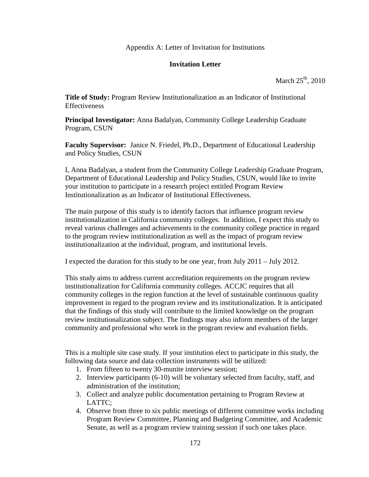# Appendix A: Letter of Invitation for Institutions

# **Invitation Letter**

March  $25<sup>th</sup>$ , 2010

**Title of Study:** Program Review Institutionalization as an Indicator of Institutional Effectiveness

**Principal Investigator:** Anna Badalyan, Community College Leadership Graduate Program, CSUN

**Faculty Supervisor:** Janice N. Friedel, Ph.D., Department of Educational Leadership and Policy Studies, CSUN

I, Anna Badalyan, a student from the Community College Leadership Graduate Program, Department of Educational Leadership and Policy Studies, CSUN, would like to invite your institution to participate in a research project entitled Program Review Institutionalization as an Indicator of Institutional Effectiveness.

The main purpose of this study is to identify factors that influence program review institutionalization in California community colleges. In addition, I expect this study to reveal various challenges and achievements in the community college practice in regard to the program review institutionalization as well as the impact of program review institutionalization at the individual, program, and institutional levels.

I expected the duration for this study to be one year, from July 2011 – July 2012.

This study aims to address current accreditation requirements on the program review institutionalization for California community colleges. ACCJC requires that all community colleges in the region function at the level of sustainable continuous quality improvement in regard to the program review and its institutionalization. It is anticipated that the findings of this study will contribute to the limited knowledge on the program review institutionalization subject. The findings may also inform members of the larger community and professional who work in the program review and evaluation fields.

This is a multiple site case study. If your institution elect to participate in this study, the following data source and data collection instruments will be utilized:

- 1. From fifteen to twenty 30-munite interview session;
- 2. Interview participants (6-10) will be voluntary selected from faculty, staff, and administration of the institution;
- 3. Collect and analyze public documentation pertaining to Program Review at  $LATTC$ :
- 4. Observe from three to six public meetings of different committee works including Program Review Committee, Planning and Budgeting Committee, and Academic Senate, as well as a program review training session if such one takes place.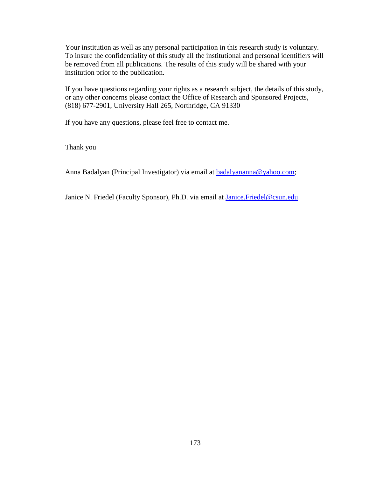Your institution as well as any personal participation in this research study is voluntary. To insure the confidentiality of this study all the institutional and personal identifiers will be removed from all publications. The results of this study will be shared with your institution prior to the publication.

If you have questions regarding your rights as a research subject, the details of this study, or any other concerns please contact the Office of Research and Sponsored Projects, (818) 677-2901, University Hall 265, Northridge, CA 91330

If you have any questions, please feel free to contact me.

Thank you

Anna Badalyan (Principal Investigator) via email at [badalyananna@yahoo.com;](mailto:badalyananna@yahoo.com)

Janice N. Friedel (Faculty Sponsor), Ph.D. via email at [Janice.Friedel@csun.edu](mailto:Janice.Friedel@csun.edu)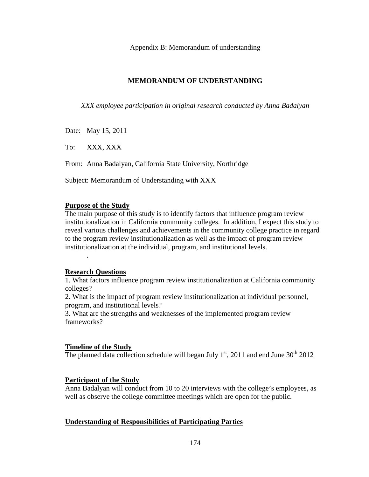Appendix B: Memorandum of understanding

# **MEMORANDUM OF UNDERSTANDING**

*XXX employee participation in original research conducted by Anna Badalyan*

Date: May 15, 2011

To: XXX, XXX

From: Anna Badalyan, California State University, Northridge

Subject: Memorandum of Understanding with XXX

#### **Purpose of the Study**

The main purpose of this study is to identify factors that influence program review institutionalization in California community colleges. In addition, I expect this study to reveal various challenges and achievements in the community college practice in regard to the program review institutionalization as well as the impact of program review institutionalization at the individual, program, and institutional levels.

#### **Research Questions**

.

1. What factors influence program review institutionalization at California community colleges?

2. What is the impact of program review institutionalization at individual personnel, program, and institutional levels?

3. What are the strengths and weaknesses of the implemented program review frameworks?

# **Timeline of the Study**

The planned data collection schedule will began July  $1<sup>st</sup>$ , 2011 and end June 30<sup>th</sup> 2012

# **Participant of the Study**

Anna Badalyan will conduct from 10 to 20 interviews with the college's employees, as well as observe the college committee meetings which are open for the public.

# **Understanding of Responsibilities of Participating Parties**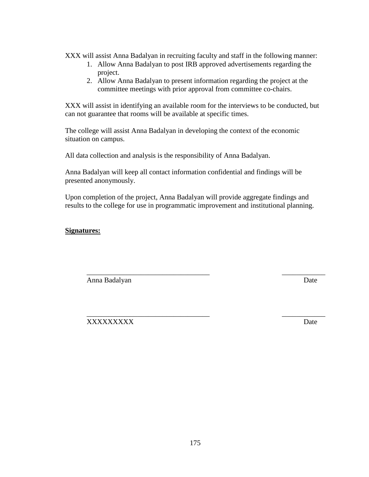XXX will assist Anna Badalyan in recruiting faculty and staff in the following manner:

- 1. Allow Anna Badalyan to post IRB approved advertisements regarding the project.
- 2. Allow Anna Badalyan to present information regarding the project at the committee meetings with prior approval from committee co-chairs.

XXX will assist in identifying an available room for the interviews to be conducted, but can not guarantee that rooms will be available at specific times.

The college will assist Anna Badalyan in developing the context of the economic situation on campus.

All data collection and analysis is the responsibility of Anna Badalyan.

Anna Badalyan will keep all contact information confidential and findings will be presented anonymously.

Upon completion of the project, Anna Badalyan will provide aggregate findings and results to the college for use in programmatic improvement and institutional planning.

\_\_\_\_\_\_\_\_\_\_\_\_\_\_\_\_\_\_\_\_\_\_\_\_\_\_\_\_\_\_\_\_\_\_ \_\_\_\_\_\_\_\_\_\_\_\_

# **Signatures:**

Anna Badalyan Date

\_\_\_\_\_\_\_\_\_\_\_\_\_\_\_\_\_\_\_\_\_\_\_\_\_\_\_\_\_\_\_\_\_\_ \_\_\_\_\_\_\_\_\_\_\_\_ XXXXXXXXX Date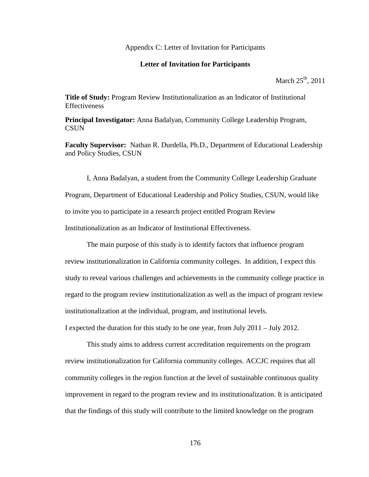#### Appendix C: Letter of Invitation for Participants

#### **Letter of Invitation for Participants**

March  $25<sup>th</sup>$ , 2011

**Title of Study:** Program Review Institutionalization as an Indicator of Institutional Effectiveness

**Principal Investigator:** Anna Badalyan, Community College Leadership Program, **CSUN** 

**Faculty Supervisor:** Nathan R. Durdella, Ph.D., Department of Educational Leadership and Policy Studies, CSUN

I, Anna Badalyan, a student from the Community College Leadership Graduate Program, Department of Educational Leadership and Policy Studies, CSUN, would like to invite you to participate in a research project entitled Program Review Institutionalization as an Indicator of Institutional Effectiveness.

The main purpose of this study is to identify factors that influence program review institutionalization in California community colleges. In addition, I expect this study to reveal various challenges and achievements in the community college practice in regard to the program review institutionalization as well as the impact of program review institutionalization at the individual, program, and institutional levels.

I expected the duration for this study to be one year, from July 2011 – July 2012.

This study aims to address current accreditation requirements on the program review institutionalization for California community colleges. ACCJC requires that all community colleges in the region function at the level of sustainable continuous quality improvement in regard to the program review and its institutionalization. It is anticipated that the findings of this study will contribute to the limited knowledge on the program

176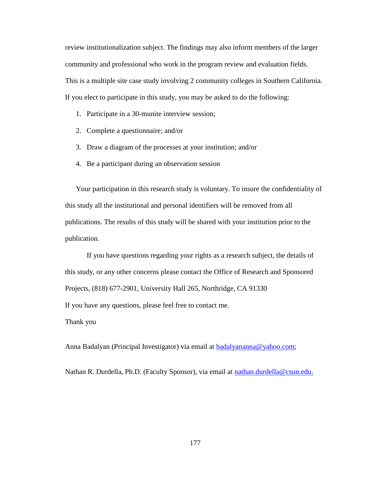review institutionalization subject. The findings may also inform members of the larger community and professional who work in the program review and evaluation fields. This is a multiple site case study involving 2 community colleges in Southern California. If you elect to participate in this study, you may be asked to do the following:

- 1. Participate in a 30-munite interview session;
- 2. Complete a questionnaire; and/or
- 3. Draw a diagram of the processes at your institution; and/or
- 4. Be a participant during an observation session

Your participation in this research study is voluntary. To insure the confidentiality of this study all the institutional and personal identifiers will be removed from all publications. The results of this study will be shared with your institution prior to the publication.

If you have questions regarding your rights as a research subject, the details of this study, or any other concerns please contact the Office of Research and Sponsored Projects, (818) 677-2901, University Hall 265, Northridge, CA 91330

If you have any questions, please feel free to contact me.

Thank you

Anna Badalyan (Principal Investigator) via email at **badalyananna@yahoo.com**;

Nathan R. Durdella, Ph.D. (Faculty Sponsor), via email at nathan.durdella@csun.edu.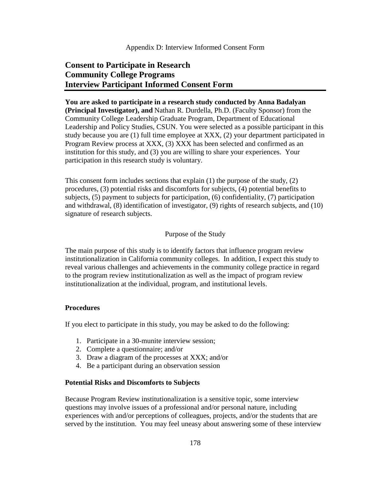#### Appendix D: Interview Informed Consent Form

# **Consent to Participate in Research Community College Programs Interview Participant Informed Consent Form**

# **You are asked to participate in a research study conducted by Anna Badalyan**

**(Principal Investigator), and** Nathan R. Durdella, Ph.D. (Faculty Sponsor) from the Community College Leadership Graduate Program, Department of Educational Leadership and Policy Studies, CSUN. You were selected as a possible participant in this study because you are (1) full time employee at XXX, (2) your department participated in Program Review process at XXX, (3) XXX has been selected and confirmed as an institution for this study, and (3) you are willing to share your experiences. Your participation in this research study is voluntary.

This consent form includes sections that explain  $(1)$  the purpose of the study,  $(2)$ procedures, (3) potential risks and discomforts for subjects, (4) potential benefits to subjects, (5) payment to subjects for participation, (6) confidentiality, (7) participation and withdrawal, (8) identification of investigator, (9) rights of research subjects, and (10) signature of research subjects.

# Purpose of the Study

The main purpose of this study is to identify factors that influence program review institutionalization in California community colleges. In addition, I expect this study to reveal various challenges and achievements in the community college practice in regard to the program review institutionalization as well as the impact of program review institutionalization at the individual, program, and institutional levels.

# **Procedures**

If you elect to participate in this study, you may be asked to do the following:

- 1. Participate in a 30-munite interview session;
- 2. Complete a questionnaire; and/or
- 3. Draw a diagram of the processes at XXX; and/or
- 4. Be a participant during an observation session

#### **Potential Risks and Discomforts to Subjects**

Because Program Review institutionalization is a sensitive topic, some interview questions may involve issues of a professional and/or personal nature, including experiences with and/or perceptions of colleagues, projects, and/or the students that are served by the institution. You may feel uneasy about answering some of these interview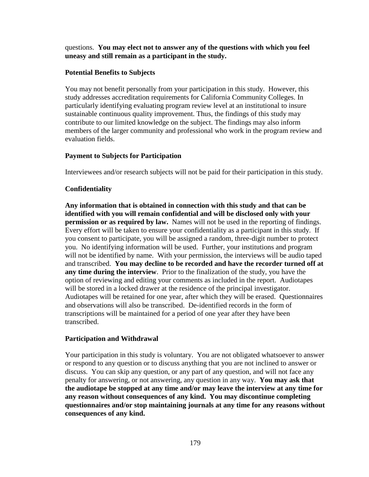questions. **You may elect not to answer any of the questions with which you feel uneasy and still remain as a participant in the study.**

# **Potential Benefits to Subjects**

You may not benefit personally from your participation in this study. However, this study addresses accreditation requirements for California Community Colleges. In particularly identifying evaluating program review level at an institutional to insure sustainable continuous quality improvement. Thus, the findings of this study may contribute to our limited knowledge on the subject. The findings may also inform members of the larger community and professional who work in the program review and evaluation fields.

# **Payment to Subjects for Participation**

Interviewees and/or research subjects will not be paid for their participation in this study.

# **Confidentiality**

**Any information that is obtained in connection with this study and that can be identified with you will remain confidential and will be disclosed only with your permission or as required by law.** Names will not be used in the reporting of findings. Every effort will be taken to ensure your confidentiality as a participant in this study. If you consent to participate, you will be assigned a random, three-digit number to protect you. No identifying information will be used. Further, your institutions and program will not be identified by name. With your permission, the interviews will be audio taped and transcribed. **You may decline to be recorded and have the recorder turned off at any time during the interview**. Prior to the finalization of the study, you have the option of reviewing and editing your comments as included in the report. Audiotapes will be stored in a locked drawer at the residence of the principal investigator. Audiotapes will be retained for one year, after which they will be erased. Questionnaires and observations will also be transcribed. De-identified records in the form of transcriptions will be maintained for a period of one year after they have been transcribed.

# **Participation and Withdrawal**

Your participation in this study is voluntary. You are not obligated whatsoever to answer or respond to any question or to discuss anything that you are not inclined to answer or discuss. You can skip any question, or any part of any question, and will not face any penalty for answering, or not answering, any question in any way. **You may ask that the audiotape be stopped at any time and/or may leave the interview at any time for any reason without consequences of any kind. You may discontinue completing questionnaires and/or stop maintaining journals at any time for any reasons without consequences of any kind.**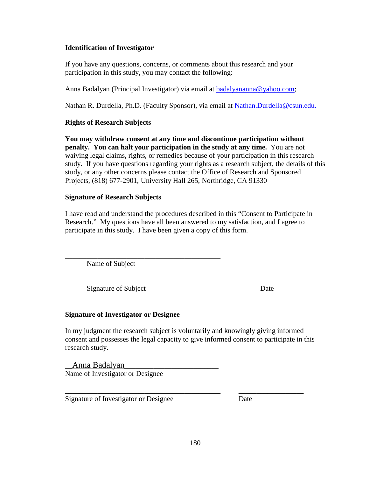# **Identification of Investigator**

If you have any questions, concerns, or comments about this research and your participation in this study, you may contact the following:

Anna Badalyan (Principal Investigator) via email at [badalyananna@yahoo.com;](mailto:badalyananna@yahoo.com)

Nathan R. Durdella, Ph.D. (Faculty Sponsor), via email at Nathan.Durdella@csun.edu.

# **Rights of Research Subjects**

**You may withdraw consent at any time and discontinue participation without penalty. You can halt your participation in the study at any time.** You are not waiving legal claims, rights, or remedies because of your participation in this research study. If you have questions regarding your rights as a research subject, the details of this study, or any other concerns please contact the Office of Research and Sponsored Projects, (818) 677-2901, University Hall 265, Northridge, CA 91330

# **Signature of Research Subjects**

I have read and understand the procedures described in this "Consent to Participate in Research." My questions have all been answered to my satisfaction, and I agree to participate in this study. I have been given a copy of this form.

\_\_\_\_\_\_\_\_\_\_\_\_\_\_\_\_\_\_\_\_\_\_\_\_\_\_\_\_\_\_\_\_\_\_\_\_\_\_\_\_\_\_\_ Name of Subject

\_\_\_\_\_\_\_\_\_\_\_\_\_\_\_\_\_\_\_\_\_\_\_\_\_\_\_\_\_\_\_\_\_\_\_\_\_\_\_\_\_\_\_ \_\_\_\_\_\_\_\_\_\_\_\_\_\_\_\_\_\_ Signature of Subject Date

# **Signature of Investigator or Designee**

In my judgment the research subject is voluntarily and knowingly giving informed consent and possesses the legal capacity to give informed consent to participate in this research study.

\_\_\_\_\_\_\_\_\_\_\_\_\_\_\_\_\_\_\_\_\_\_\_\_\_\_\_\_\_\_\_\_\_\_\_\_\_\_\_\_\_\_\_ \_\_\_\_\_\_\_\_\_\_\_\_\_\_\_\_\_\_

\_\_Anna Badalyan\_\_\_\_\_\_\_\_\_\_\_\_\_\_\_\_\_\_\_\_\_\_\_\_\_\_ Name of Investigator or Designee

Signature of Investigator or Designee Date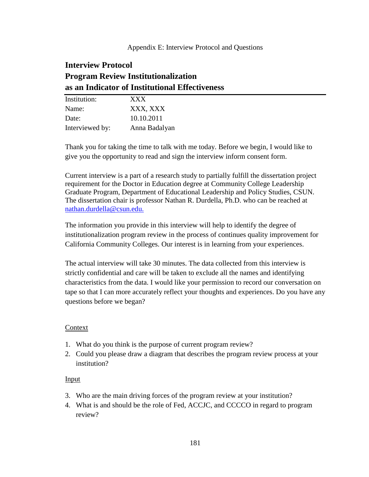# **Interview Protocol Program Review Institutionalization as an Indicator of Institutional Effectiveness**

| Institution:    | XXX           |
|-----------------|---------------|
| Name:           | XXX, XXX      |
| Date:           | 10.10.2011    |
| Interviewed by: | Anna Badalyan |

Thank you for taking the time to talk with me today. Before we begin, I would like to give you the opportunity to read and sign the interview inform consent form.

Current interview is a part of a research study to partially fulfill the dissertation project requirement for the Doctor in Education degree at Community College Leadership Graduate Program, Department of Educational Leadership and Policy Studies, CSUN. The dissertation chair is professor Nathan R. Durdella, Ph.D. who can be reached at nathan.durdella@csun.edu.

The information you provide in this interview will help to identify the degree of institutionalization program review in the process of continues quality improvement for California Community Colleges. Our interest is in learning from your experiences.

The actual interview will take 30 minutes. The data collected from this interview is strictly confidential and care will be taken to exclude all the names and identifying characteristics from the data. I would like your permission to record our conversation on tape so that I can more accurately reflect your thoughts and experiences. Do you have any questions before we began?

# Context

- 1. What do you think is the purpose of current program review?
- 2. Could you please draw a diagram that describes the program review process at your institution?

# Input

- 3. Who are the main driving forces of the program review at your institution?
- 4. What is and should be the role of Fed, ACCJC, and CCCCO in regard to program review?